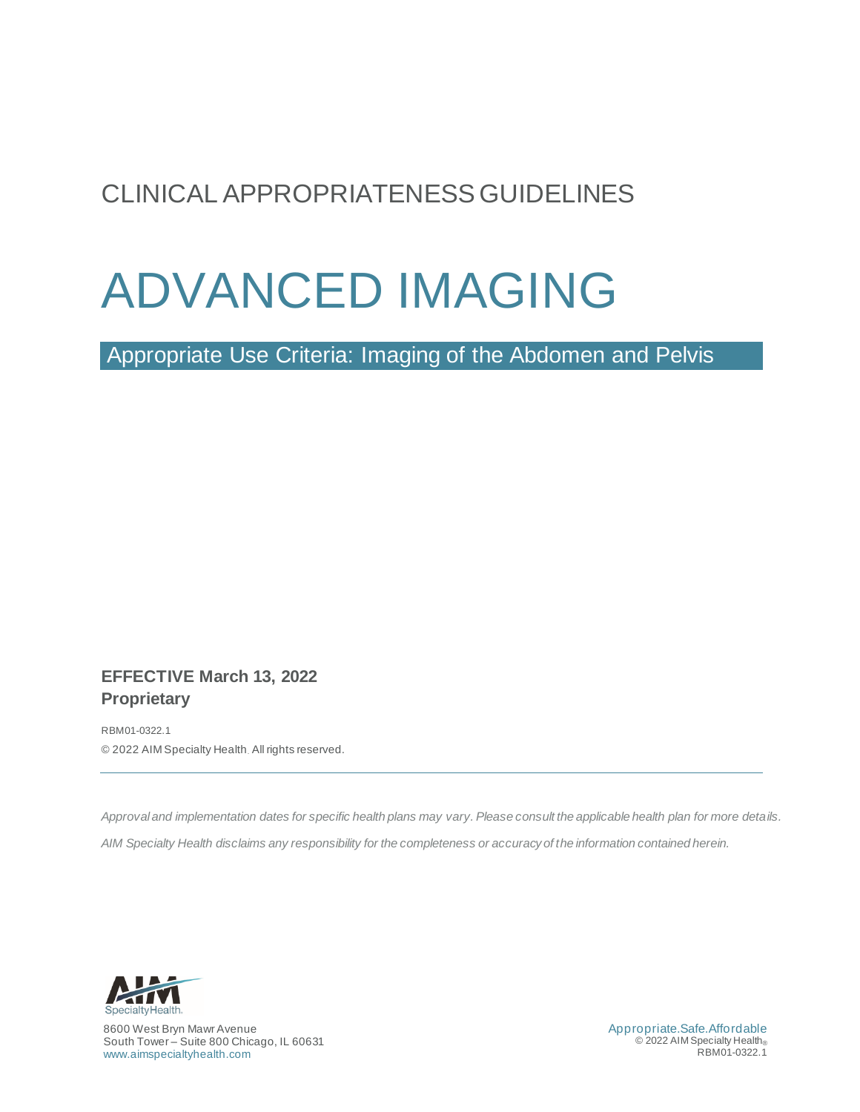# CLINICAL APPROPRIATENESS GUIDELINES

# ADVANCED IMAGING

<span id="page-0-0"></span>Appropriate Use Criteria: Imaging of the Abdomen and Pelvis

# **EFFECTIVE March 13, 2022 Proprietary**

RBM01-0322.1 © 2022 AIM Specialty Health. All rights reserved.

*Approval and implementation dates for specific health plans may vary. Please consult the applicable health plan for more details.* 

*AIM Specialty Health disclaims any responsibility for the completeness or accuracy of the information contained herein.*



8600 West Bryn Mawr Avenue South Tower – Suite 800 Chicago, IL 60631 [www.aimspecialtyhealth.com](http://www.aimspecialtyhealth.com/)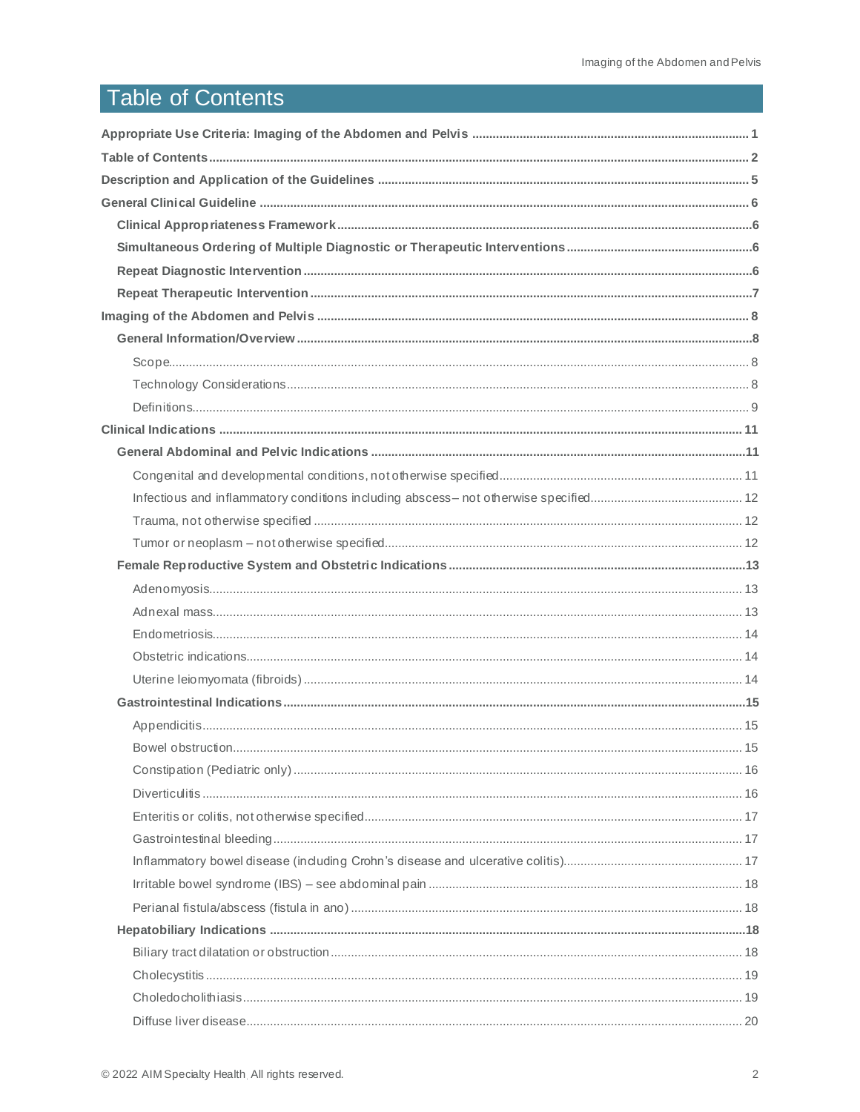# <span id="page-1-0"></span>**Table of Contents**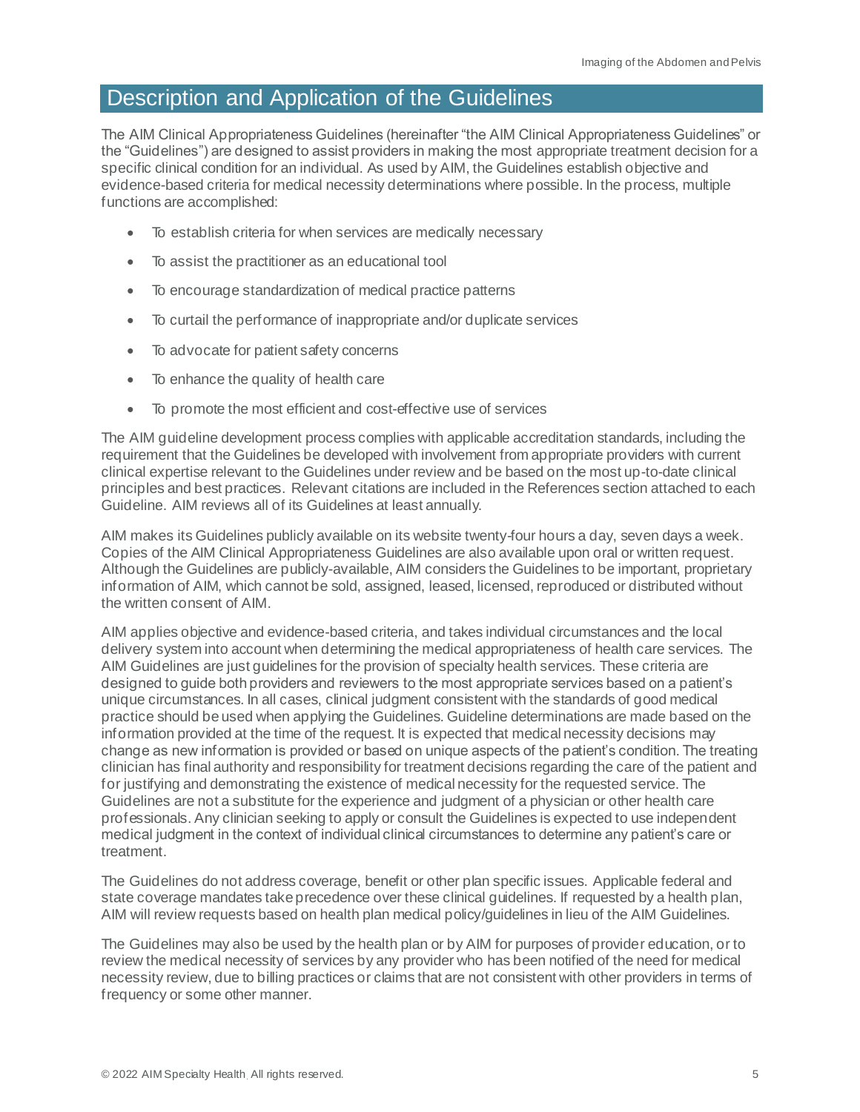# <span id="page-4-0"></span>Description and Application of the Guidelines

The AIM Clinical Appropriateness Guidelines (hereinafter "the AIM Clinical Appropriateness Guidelines" or the "Guidelines") are designed to assist providers in making the most appropriate treatment decision for a specific clinical condition for an individual. As used by AIM, the Guidelines establish objective and evidence-based criteria for medical necessity determinations where possible. In the process, multiple functions are accomplished:

- To establish criteria for when services are medically necessary
- To assist the practitioner as an educational tool
- To encourage standardization of medical practice patterns
- To curtail the performance of inappropriate and/or duplicate services
- To advocate for patient safety concerns
- To enhance the quality of health care
- To promote the most efficient and cost-effective use of services

The AIM guideline development process complies with applicable accreditation standards, including the requirement that the Guidelines be developed with involvement from appropriate providers with current clinical expertise relevant to the Guidelines under review and be based on the most up-to-date clinical principles and best practices. Relevant citations are included in the References section attached to each Guideline. AIM reviews all of its Guidelines at least annually.

AIM makes its Guidelines publicly available on its website twenty-four hours a day, seven days a week. Copies of the AIM Clinical Appropriateness Guidelines are also available upon oral or written request. Although the Guidelines are publicly-available, AIM considers the Guidelines to be important, proprietary information of AIM, which cannot be sold, assigned, leased, licensed, reproduced or distributed without the written consent of AIM.

AIM applies objective and evidence-based criteria, and takes individual circumstances and the local delivery system into account when determining the medical appropriateness of health care services. The AIM Guidelines are just guidelines for the provision of specialty health services. These criteria are designed to guide both providers and reviewers to the most appropriate services based on a patient's unique circumstances. In all cases, clinical judgment consistent with the standards of good medical practice should be used when applying the Guidelines. Guideline determinations are made based on the information provided at the time of the request. It is expected that medical necessity decisions may change as new information is provided or based on unique aspects of the patient's condition. The treating clinician has final authority and responsibility for treatment decisions regarding the care of the patient and for justifying and demonstrating the existence of medical necessity for the requested service. The Guidelines are not a substitute for the experience and judgment of a physician or other health care professionals. Any clinician seeking to apply or consult the Guidelines is expected to use independent medical judgment in the context of individual clinical circumstances to determine any patient's care or treatment.

The Guidelines do not address coverage, benefit or other plan specific issues. Applicable federal and state coverage mandates take precedence over these clinical guidelines. If requested by a health plan, AIM will review requests based on health plan medical policy/guidelines in lieu of the AIM Guidelines.

The Guidelines may also be used by the health plan or by AIM for purposes of provider education, or to review the medical necessity of services by any provider who has been notified of the need for medical necessity review, due to billing practices or claims that are not consistent with other providers in terms of frequency or some other manner.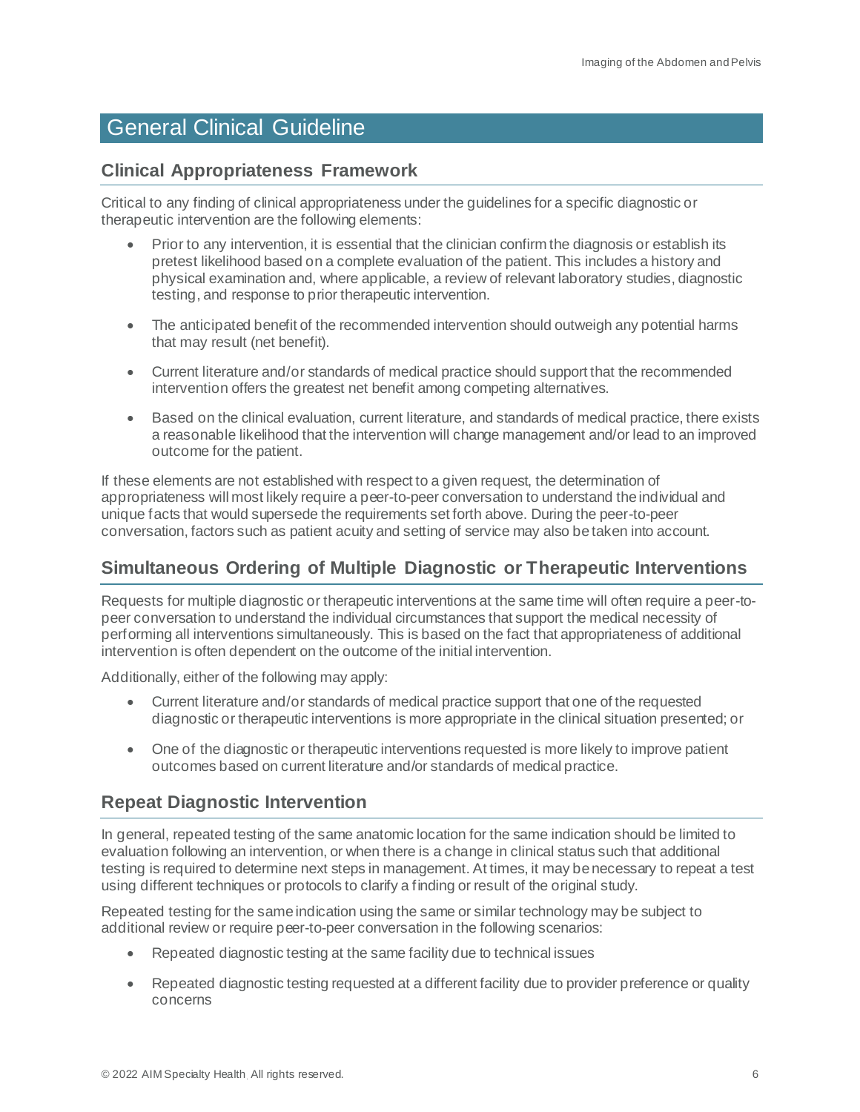# <span id="page-5-0"></span>General Clinical Guideline

# <span id="page-5-1"></span>**Clinical Appropriateness Framework**

Critical to any finding of clinical appropriateness under the guidelines for a specific diagnostic or therapeutic intervention are the following elements:

- Prior to any intervention, it is essential that the clinician confirm the diagnosis or establish its pretest likelihood based on a complete evaluation of the patient. This includes a history and physical examination and, where applicable, a review of relevant laboratory studies, diagnostic testing, and response to prior therapeutic intervention.
- The anticipated benefit of the recommended intervention should outweigh any potential harms that may result (net benefit).
- Current literature and/or standards of medical practice should support that the recommended intervention offers the greatest net benefit among competing alternatives.
- Based on the clinical evaluation, current literature, and standards of medical practice, there exists a reasonable likelihood that the intervention will change management and/or lead to an improved outcome for the patient.

If these elements are not established with respect to a given request, the determination of appropriateness will most likely require a peer-to-peer conversation to understand the individual and unique facts that would supersede the requirements set forth above. During the peer-to-peer conversation, factors such as patient acuity and setting of service may also be taken into account.

# <span id="page-5-2"></span>**Simultaneous Ordering of Multiple Diagnostic or Therapeutic Interventions**

Requests for multiple diagnostic or therapeutic interventions at the same time will often require a peer-topeer conversation to understand the individual circumstances that support the medical necessity of performing all interventions simultaneously. This is based on the fact that appropriateness of additional intervention is often dependent on the outcome of the initial intervention.

Additionally, either of the following may apply:

- Current literature and/or standards of medical practice support that one of the requested diagnostic or therapeutic interventions is more appropriate in the clinical situation presented; or
- One of the diagnostic or therapeutic interventions requested is more likely to improve patient outcomes based on current literature and/or standards of medical practice.

# <span id="page-5-3"></span>**Repeat Diagnostic Intervention**

In general, repeated testing of the same anatomic location for the same indication should be limited to evaluation following an intervention, or when there is a change in clinical status such that additional testing is required to determine next steps in management. At times, it may be necessary to repeat a test using different techniques or protocols to clarify a finding or result of the original study.

Repeated testing for the same indication using the same or similar technology may be subject to additional review or require peer-to-peer conversation in the following scenarios:

- Repeated diagnostic testing at the same facility due to technical issues
- Repeated diagnostic testing requested at a different facility due to provider preference or quality concerns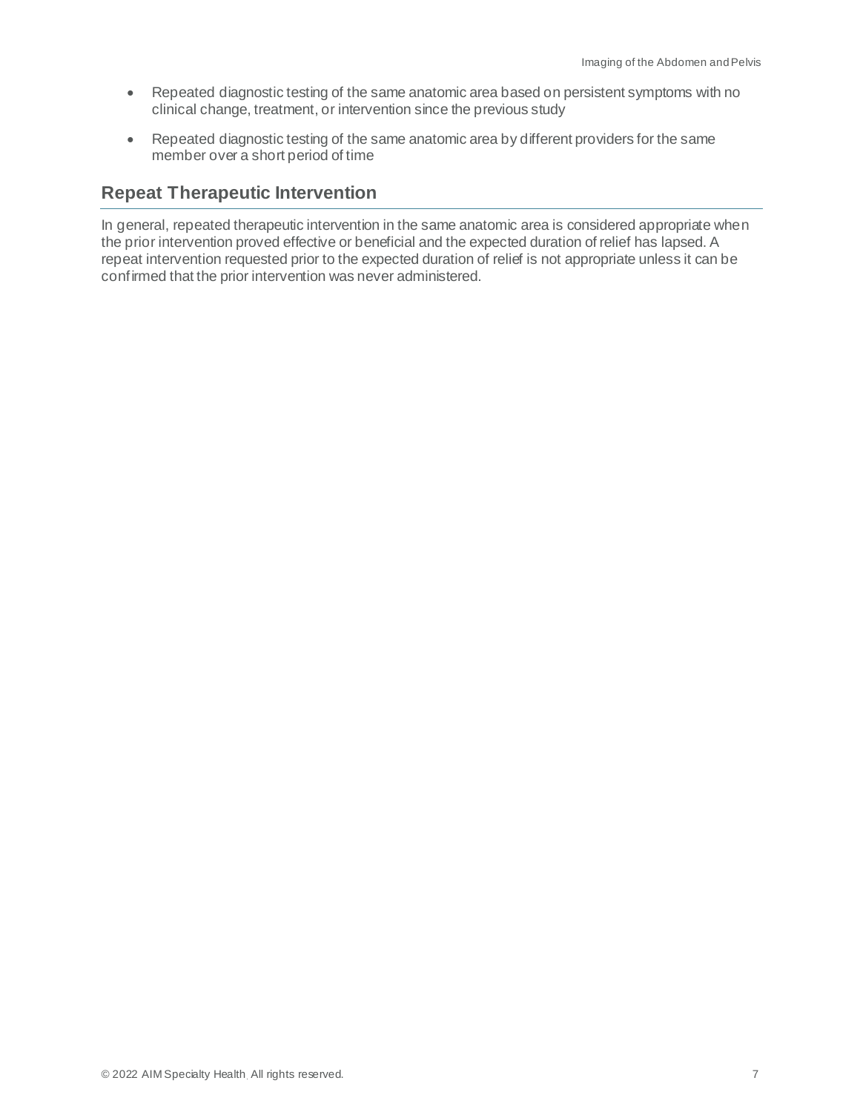- Repeated diagnostic testing of the same anatomic area based on persistent symptoms with no clinical change, treatment, or intervention since the previous study
- Repeated diagnostic testing of the same anatomic area by different providers for the same member over a short period of time

# <span id="page-6-0"></span>**Repeat Therapeutic Intervention**

In general, repeated therapeutic intervention in the same anatomic area is considered appropriate when the prior intervention proved effective or beneficial and the expected duration of relief has lapsed. A repeat intervention requested prior to the expected duration of relief is not appropriate unless it can be confirmed that the prior intervention was never administered.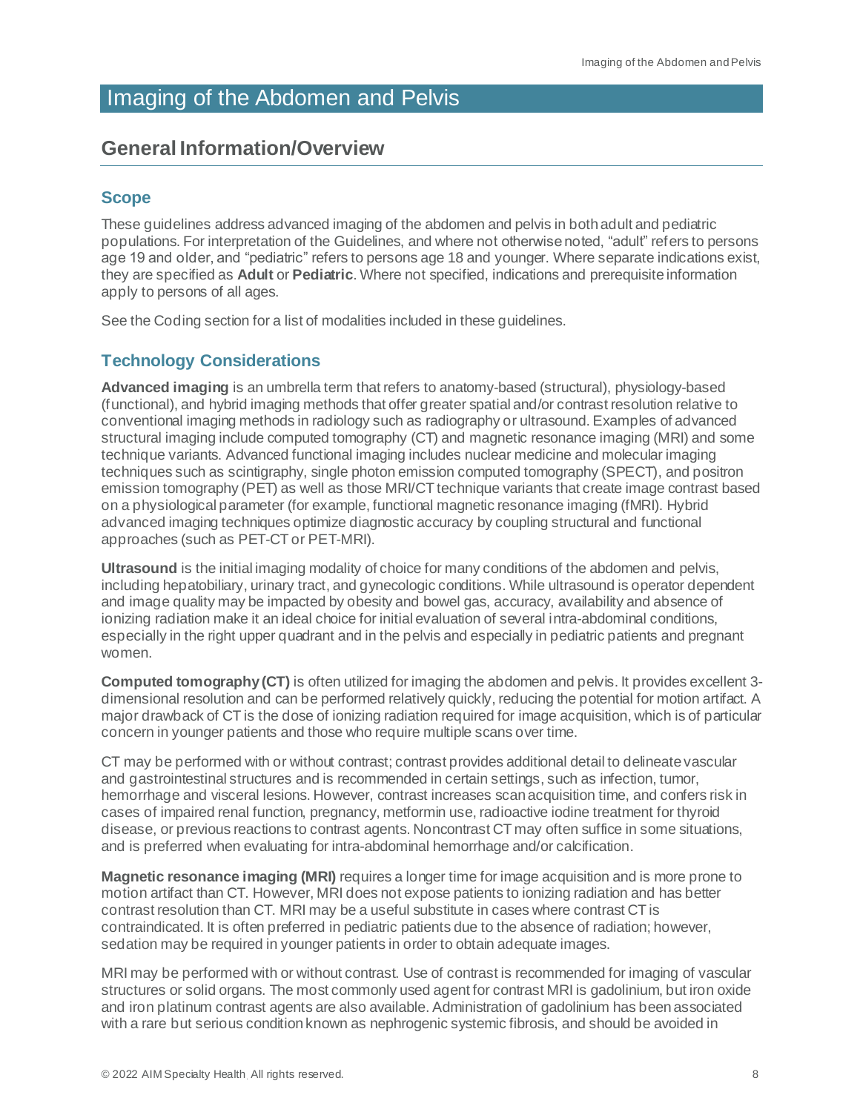# <span id="page-7-0"></span>Imaging of the Abdomen and Pelvis

# <span id="page-7-1"></span>**General Information/Overview**

# <span id="page-7-2"></span>**Scope**

These guidelines address advanced imaging of the abdomen and pelvis in both adult and pediatric populations. For interpretation of the Guidelines, and where not otherwise noted, "adult" refers to persons age 19 and older, and "pediatric" refers to persons age 18 and younger. Where separate indications exist, they are specified as **Adult** or **Pediatric**. Where not specified, indications and prerequisite information apply to persons of all ages.

See the Coding section for a list of modalities included in these guidelines.

# <span id="page-7-3"></span>**Technology Considerations**

**Advanced imaging** is an umbrella term that refers to anatomy-based (structural), physiology-based (functional), and hybrid imaging methods that offer greater spatial and/or contrast resolution relative to conventional imaging methods in radiology such as radiography or ultrasound. Examples of advanced structural imaging include computed tomography (CT) and magnetic resonance imaging (MRI) and some technique variants. Advanced functional imaging includes nuclear medicine and molecular imaging techniques such as scintigraphy, single photon emission computed tomography (SPECT), and positron emission tomography (PET) as well as those MRI/CT technique variants that create image contrast based on a physiological parameter (for example, functional magnetic resonance imaging (fMRI). Hybrid advanced imaging techniques optimize diagnostic accuracy by coupling structural and functional approaches (such as PET-CT or PET-MRI).

**Ultrasound** is the initial imaging modality of choice for many conditions of the abdomen and pelvis, including hepatobiliary, urinary tract, and gynecologic conditions. While ultrasound is operator dependent and image quality may be impacted by obesity and bowel gas, accuracy, availability and absence of ionizing radiation make it an ideal choice for initial evaluation of several intra-abdominal conditions, especially in the right upper quadrant and in the pelvis and especially in pediatric patients and pregnant women.

**Computed tomography (CT)** is often utilized for imaging the abdomen and pelvis. It provides excellent 3 dimensional resolution and can be performed relatively quickly, reducing the potential for motion artifact. A major drawback of CT is the dose of ionizing radiation required for image acquisition, which is of particular concern in younger patients and those who require multiple scans over time.

CT may be performed with or without contrast; contrast provides additional detail to delineate vascular and gastrointestinal structures and is recommended in certain settings, such as infection, tumor, hemorrhage and visceral lesions. However, contrast increases scan acquisition time, and confers risk in cases of impaired renal function, pregnancy, metformin use, radioactive iodine treatment for thyroid disease, or previous reactions to contrast agents. Noncontrast CT may often suffice in some situations, and is preferred when evaluating for intra-abdominal hemorrhage and/or calcification.

**Magnetic resonance imaging (MRI)** requires a longer time for image acquisition and is more prone to motion artifact than CT. However, MRI does not expose patients to ionizing radiation and has better contrast resolution than CT. MRI may be a useful substitute in cases where contrast CT is contraindicated. It is often preferred in pediatric patients due to the absence of radiation; however, sedation may be required in younger patients in order to obtain adequate images.

MRI may be performed with or without contrast. Use of contrast is recommended for imaging of vascular structures or solid organs. The most commonly used agent for contrast MRI is gadolinium, but iron oxide and iron platinum contrast agents are also available. Administration of gadolinium has been associated with a rare but serious condition known as nephrogenic systemic fibrosis, and should be avoided in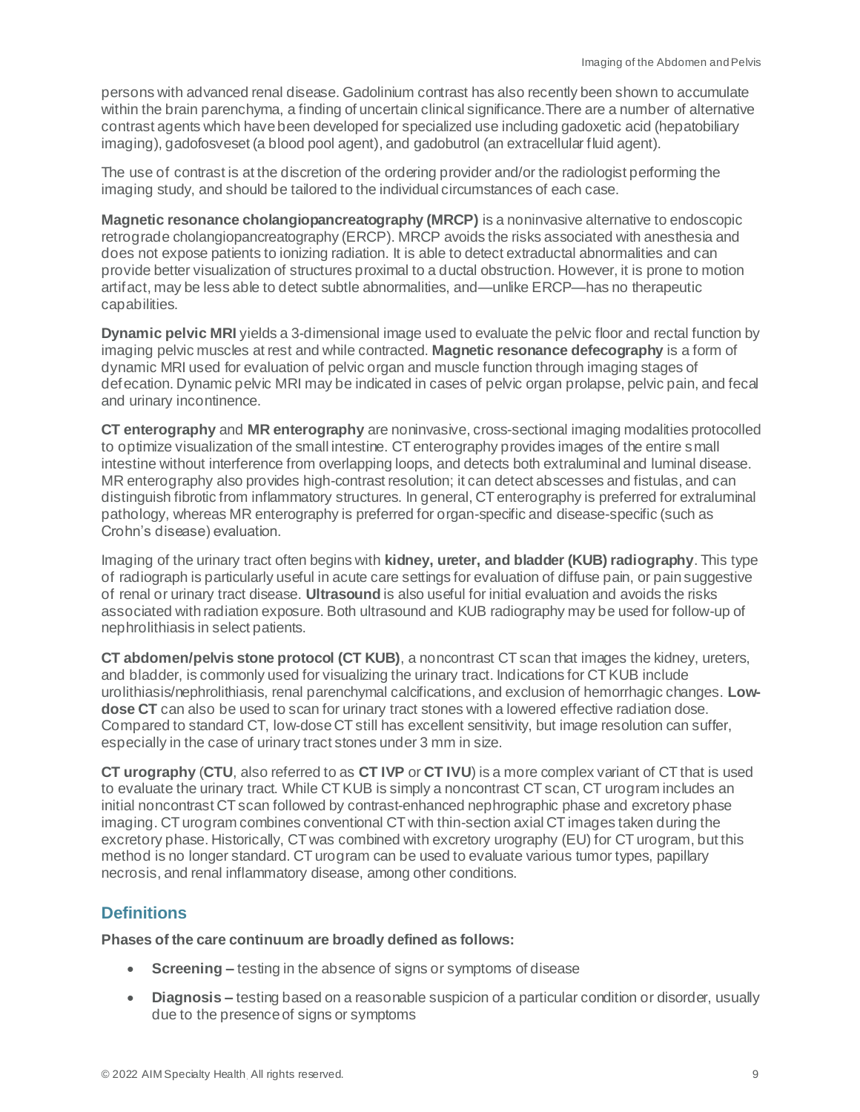persons with advanced renal disease. Gadolinium contrast has also recently been shown to accumulate within the brain parenchyma, a finding of uncertain clinical significance.There are a number of alternative contrast agents which have been developed for specialized use including gadoxetic acid (hepatobiliary imaging), gadofosveset (a blood pool agent), and gadobutrol (an extracellular fluid agent).

The use of contrast is at the discretion of the ordering provider and/or the radiologist performing the imaging study, and should be tailored to the individual circumstances of each case.

**Magnetic resonance cholangiopancreatography (MRCP)** is a noninvasive alternative to endoscopic retrograde cholangiopancreatography (ERCP). MRCP avoids the risks associated with anesthesia and does not expose patients to ionizing radiation. It is able to detect extraductal abnormalities and can provide better visualization of structures proximal to a ductal obstruction. However, it is prone to motion artifact, may be less able to detect subtle abnormalities, and—unlike ERCP—has no therapeutic capabilities.

**Dynamic pelvic MRI** yields a 3-dimensional image used to evaluate the pelvic floor and rectal function by imaging pelvic muscles at rest and while contracted. **Magnetic resonance defecography** is a form of dynamic MRI used for evaluation of pelvic organ and muscle function through imaging stages of defecation. Dynamic pelvic MRI may be indicated in cases of pelvic organ prolapse, pelvic pain, and fecal and urinary incontinence.

**CT enterography** and **MR enterography** are noninvasive, cross-sectional imaging modalities protocolled to optimize visualization of the small intestine. CT enterography provides images of the entire small intestine without interference from overlapping loops, and detects both extraluminal and luminal disease. MR enterography also provides high-contrast resolution; it can detect abscesses and fistulas, and can distinguish fibrotic from inflammatory structures. In general, CT enterography is preferred for extraluminal pathology, whereas MR enterography is preferred for organ-specific and disease-specific (such as Crohn's disease) evaluation.

Imaging of the urinary tract often begins with **kidney, ureter, and bladder (KUB) radiography**. This type of radiograph is particularly useful in acute care settings for evaluation of diffuse pain, or pain suggestive of renal or urinary tract disease. **Ultrasound** is also useful for initial evaluation and avoids the risks associated with radiation exposure. Both ultrasound and KUB radiography may be used for follow-up of nephrolithiasis in select patients.

**CT abdomen/pelvis stone protocol (CT KUB)**, a noncontrast CT scan that images the kidney, ureters, and bladder, is commonly used for visualizing the urinary tract. Indications for CT KUB include urolithiasis/nephrolithiasis, renal parenchymal calcifications, and exclusion of hemorrhagic changes. **Lowdose CT** can also be used to scan for urinary tract stones with a lowered effective radiation dose. Compared to standard CT, low-dose CT still has excellent sensitivity, but image resolution can suffer, especially in the case of urinary tract stones under 3 mm in size.

**CT urography** (**CTU**, also referred to as **CT IVP** or **CT IVU**) is a more complex variant of CT that is used to evaluate the urinary tract. While CT KUB is simply a noncontrast CT scan, CT urogram includes an initial noncontrast CT scan followed by contrast-enhanced nephrographic phase and excretory phase imaging. CT urogram combines conventional CT with thin-section axial CT images taken during the excretory phase. Historically, CT was combined with excretory urography (EU) for CT urogram, but this method is no longer standard. CT urogram can be used to evaluate various tumor types, papillary necrosis, and renal inflammatory disease, among other conditions.

# <span id="page-8-0"></span>**Definitions**

**Phases of the care continuum are broadly defined as follows:**

- **Screening –** testing in the absence of signs or symptoms of disease
- **Diagnosis –** testing based on a reasonable suspicion of a particular condition or disorder, usually due to the presence of signs or symptoms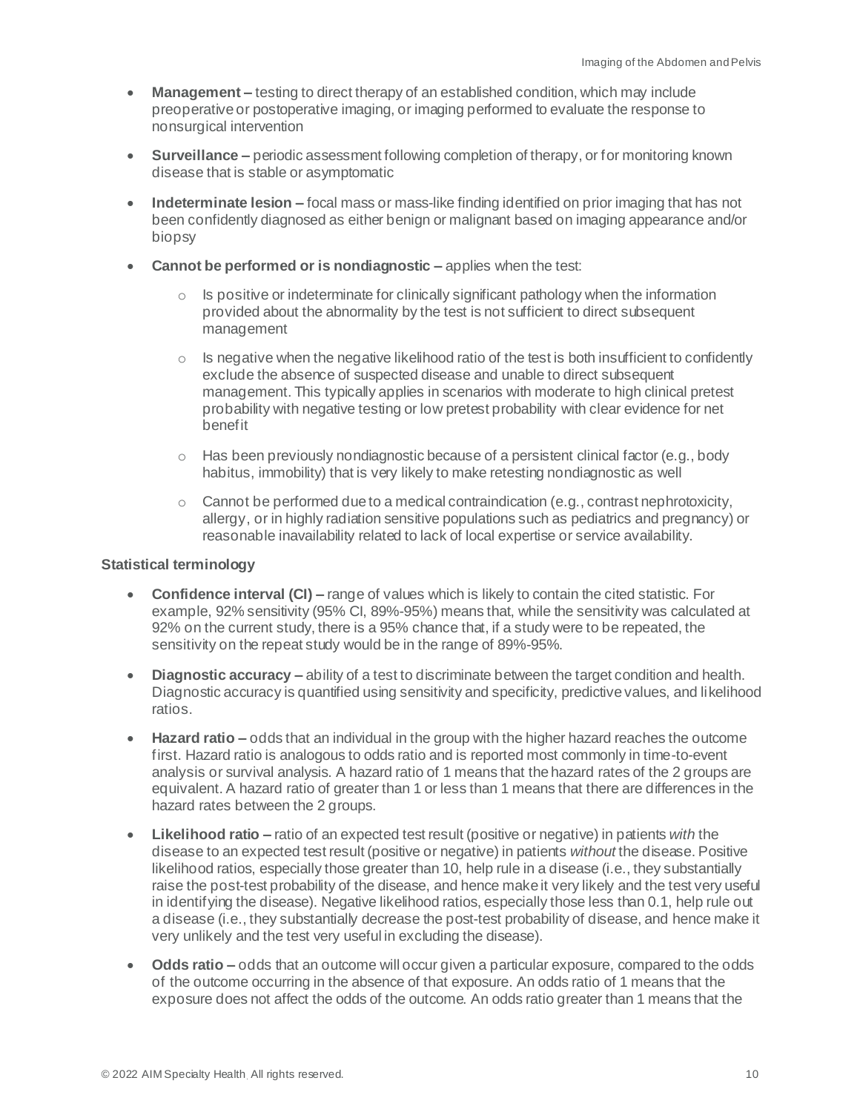- **Management –** testing to direct therapy of an established condition, which may include preoperative or postoperative imaging, or imaging performed to evaluate the response to nonsurgical intervention
- **Surveillance –** periodic assessment following completion of therapy, or for monitoring known disease that is stable or asymptomatic
- **Indeterminate lesion –** focal mass or mass-like finding identified on prior imaging that has not been confidently diagnosed as either benign or malignant based on imaging appearance and/or biopsy
- **Cannot be performed or is nondiagnostic –** applies when the test:
	- $\circ$  Is positive or indeterminate for clinically significant pathology when the information provided about the abnormality by the test is not sufficient to direct subsequent management
	- $\circ$  Is negative when the negative likelihood ratio of the test is both insufficient to confidently exclude the absence of suspected disease and unable to direct subsequent management. This typically applies in scenarios with moderate to high clinical pretest probability with negative testing or low pretest probability with clear evidence for net benefit
	- $\circ$  Has been previously nondiagnostic because of a persistent clinical factor (e.g., body habitus, immobility) that is very likely to make retesting nondiagnostic as well
	- o Cannot be performed due to a medical contraindication (e.g., contrast nephrotoxicity, allergy, or in highly radiation sensitive populations such as pediatrics and pregnancy) or reasonable inavailability related to lack of local expertise or service availability.

#### **Statistical terminology**

- **Confidence interval (CI) –** range of values which is likely to contain the cited statistic. For example, 92% sensitivity (95% CI, 89%-95%) means that, while the sensitivity was calculated at 92% on the current study, there is a 95% chance that, if a study were to be repeated, the sensitivity on the repeat study would be in the range of 89%-95%.
- **Diagnostic accuracy –** ability of a test to discriminate between the target condition and health. Diagnostic accuracy is quantified using sensitivity and specificity, predictive values, and likelihood ratios.
- **Hazard ratio –** odds that an individual in the group with the higher hazard reaches the outcome first. Hazard ratio is analogous to odds ratio and is reported most commonly in time-to-event analysis or survival analysis. A hazard ratio of 1 means that the hazard rates of the 2 groups are equivalent. A hazard ratio of greater than 1 or less than 1 means that there are differences in the hazard rates between the 2 groups.
- **Likelihood ratio –** ratio of an expected test result (positive or negative) in patients *with* the disease to an expected test result (positive or negative) in patients *without* the disease. Positive likelihood ratios, especially those greater than 10, help rule in a disease (i.e., they substantially raise the post-test probability of the disease, and hence make it very likely and the test very useful in identifying the disease). Negative likelihood ratios, especially those less than 0.1, help rule out a disease (i.e., they substantially decrease the post-test probability of disease, and hence make it very unlikely and the test very useful in excluding the disease).
- **Odds ratio –** odds that an outcome will occur given a particular exposure, compared to the odds of the outcome occurring in the absence of that exposure. An odds ratio of 1 means that the exposure does not affect the odds of the outcome. An odds ratio greater than 1 means that the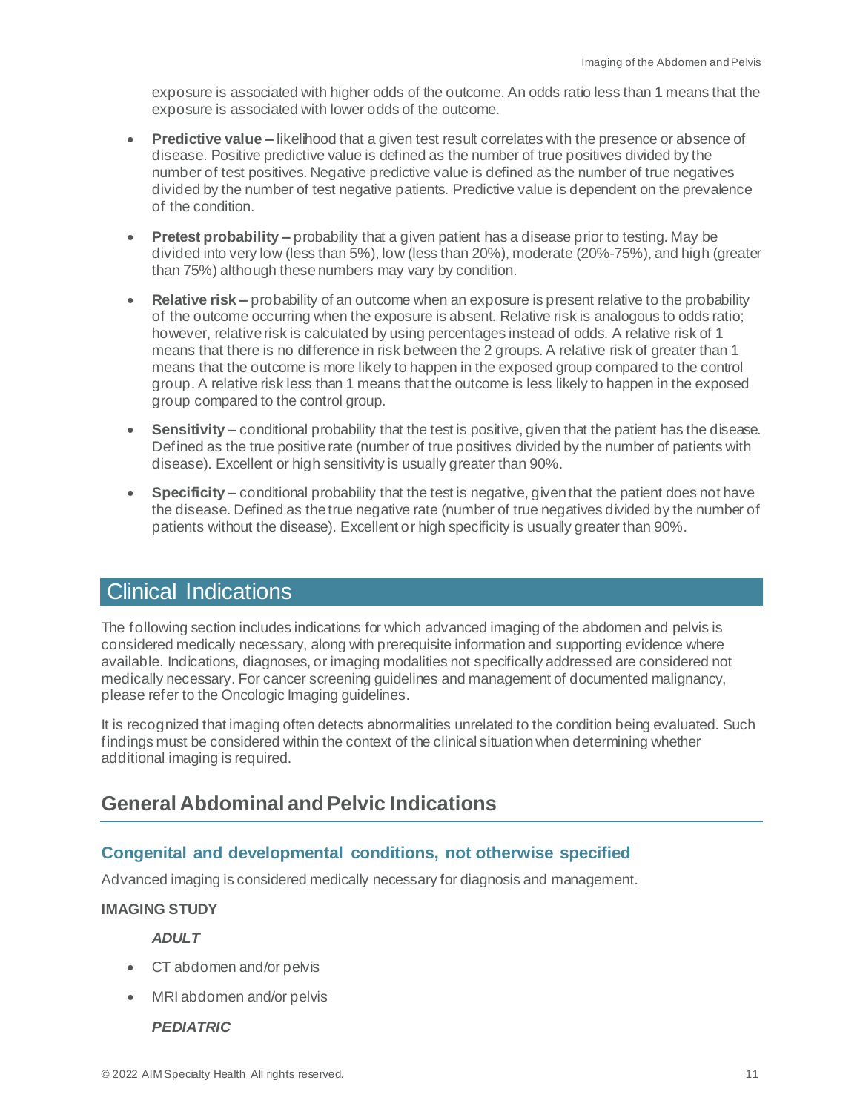exposure is associated with higher odds of the outcome. An odds ratio less than 1 means that the exposure is associated with lower odds of the outcome.

- **Predictive value –** likelihood that a given test result correlates with the presence or absence of disease. Positive predictive value is defined as the number of true positives divided by the number of test positives. Negative predictive value is defined as the number of true negatives divided by the number of test negative patients. Predictive value is dependent on the prevalence of the condition.
- **Pretest probability –** probability that a given patient has a disease prior to testing. May be divided into very low (less than 5%), low (less than 20%), moderate (20%-75%), and high (greater than 75%) although these numbers may vary by condition.
- **Relative risk –** probability of an outcome when an exposure is present relative to the probability of the outcome occurring when the exposure is absent. Relative risk is analogous to odds ratio; however, relative risk is calculated by using percentages instead of odds. A relative risk of 1 means that there is no difference in risk between the 2 groups. A relative risk of greater than 1 means that the outcome is more likely to happen in the exposed group compared to the control group. A relative risk less than 1 means that the outcome is less likely to happen in the exposed group compared to the control group.
- **Sensitivity –** conditional probability that the test is positive, given that the patient has the disease. Defined as the true positive rate (number of true positives divided by the number of patients with disease). Excellent or high sensitivity is usually greater than 90%.
- **Specificity –** conditional probability that the test is negative, given that the patient does not have the disease. Defined as the true negative rate (number of true negatives divided by the number of patients without the disease). Excellent or high specificity is usually greater than 90%.

# <span id="page-10-0"></span>Clinical Indications

The following section includes indications for which advanced imaging of the abdomen and pelvis is considered medically necessary, along with prerequisite information and supporting evidence where available. Indications, diagnoses, or imaging modalities not specifically addressed are considered not medically necessary. For cancer screening guidelines and management of documented malignancy, please refer to the Oncologic Imaging guidelines.

It is recognized that imaging often detects abnormalities unrelated to the condition being evaluated. Such findings must be considered within the context of the clinical situation when determining whether additional imaging is required.

# <span id="page-10-1"></span>**General Abdominal and Pelvic Indications**

# <span id="page-10-2"></span>**Congenital and developmental conditions, not otherwise specified**

Advanced imaging is considered medically necessary for diagnosis and management.

# **IMAGING STUDY**

*ADULT*

- CT abdomen and/or pelvis
- MRI abdomen and/or pelvis

#### *PEDIATRIC*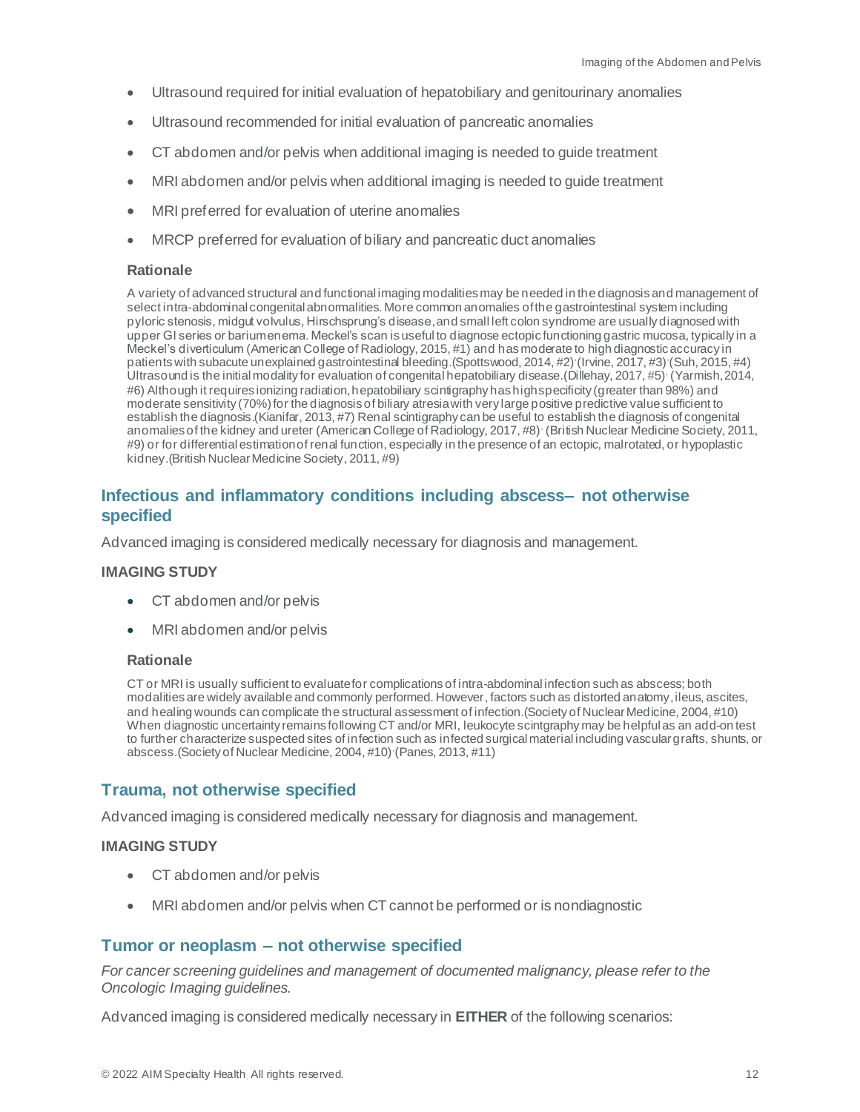- Ultrasound required for initial evaluation of hepatobiliary and genitourinary anomalies
- Ultrasound recommended for initial evaluation of pancreatic anomalies
- CT abdomen and/or pelvis when additional imaging is needed to guide treatment
- MRI abdomen and/or pelvis when additional imaging is needed to guide treatment
- MRI preferred for evaluation of uterine anomalies
- MRCP preferred for evaluation of biliary and pancreatic duct anomalies

A variety of advanced structural and functional imaging modalities may be needed in the diagnosis and management of select intra-abdominal congenital abnormalities. More common anomalies of the gastrointestinal system including pyloric stenosis, midgut volvulus, Hirschsprung's disease,and small left colon syndrome are usually diagnosed with upper GI series or barium enema. Meckel's scan is useful to diagnose ectopic functioning gastric mucosa, typically in a Meckel's diverticulum (American College of Radiology, 2015, #1) and has moderate to high diagnostic accuracy in patients with subacute unexplained gastrointestinal bleeding. (Spottswood, 2014, #2) (Irvine, 2017, #3) (Suh, 2015, #4) Ultrasound is the initial modality for evaluation of congenital hepatobiliary disease.(Dillehay, 2017, #5), (Yarmish, 2014, #6) Although it requires ionizing radiation, hepatobiliary scintigraphy has high specificity (greater than 98%) and moderate sensitivity (70%) for the diagnosis of biliary atresia with very large positive predictive value sufficient to establish the diagnosis.(Kianifar, 2013, #7) Renal scintigraphy can be useful to establish the diagnosis of congenital anomalies of the kidney and ureter (American College of Radiology, 2017, #8), (British Nuclear Medicine Society, 2011, #9) or for differential estimation of renal function, especially in the presence of an ectopic, malrotated, or hypoplastic kidney.(British Nuclear Medicine Society, 2011, #9)

# <span id="page-11-0"></span>**Infectious and inflammatory conditions including abscess– not otherwise specified**

Advanced imaging is considered medically necessary for diagnosis and management.

#### **IMAGING STUDY**

- CT abdomen and/or pelvis
- MRI abdomen and/or pelvis

#### **Rationale**

CT or MRI is usually sufficient to evaluate for complications of intra-abdominal infection such as abscess; both modalities are widely available and commonly performed. However, factors such as distorted anatomy, ileus, ascites, and healing wounds can complicate the structural assessment of infection.(Society of Nuclear Medicine, 2004, #10) When diagnostic uncertainty remains following CT and/or MRI, leukocyte scintgraphy may be helpful as an add-on test to further characterize suspected sites of infection such as infected surgical material including vascular grafts, shunts, or abscess.(Society of Nuclear Medicine, 2004, #10) (Panes, 2013, #11)

# <span id="page-11-1"></span>**Trauma, not otherwise specified**

Advanced imaging is considered medically necessary for diagnosis and management.

#### **IMAGING STUDY**

- CT abdomen and/or pelvis
- MRI abdomen and/or pelvis when CT cannot be performed or is nondiagnostic

#### <span id="page-11-2"></span>**Tumor or neoplasm – not otherwise specified**

*For cancer screening guidelines and management of documented malignancy, please refer to the Oncologic Imaging guidelines.*

Advanced imaging is considered medically necessary in **EITHER** of the following scenarios: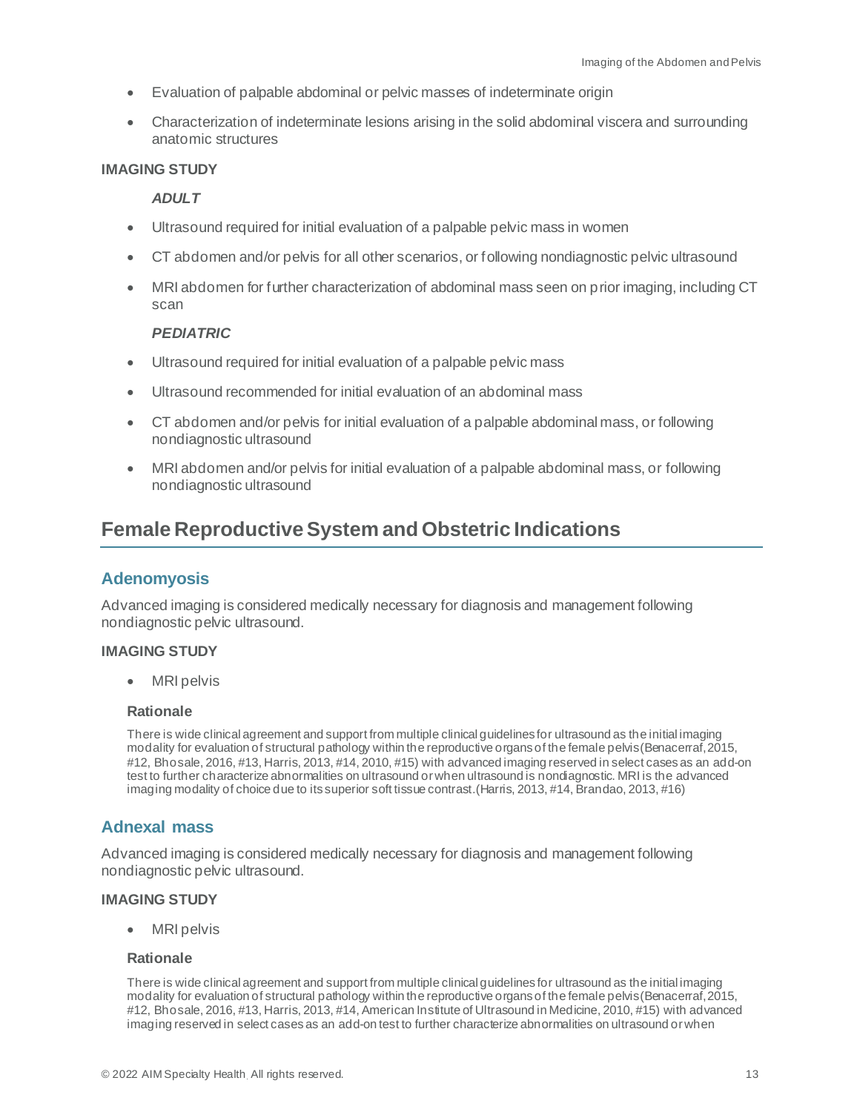- Evaluation of palpable abdominal or pelvic masses of indeterminate origin
- Characterization of indeterminate lesions arising in the solid abdominal viscera and surrounding anatomic structures

#### **IMAGING STUDY**

#### *ADULT*

- Ultrasound required for initial evaluation of a palpable pelvic mass in women
- CT abdomen and/or pelvis for all other scenarios, or following nondiagnostic pelvic ultrasound
- MRI abdomen for further characterization of abdominal mass seen on prior imaging, including CT scan

#### *PEDIATRIC*

- Ultrasound required for initial evaluation of a palpable pelvic mass
- Ultrasound recommended for initial evaluation of an abdominal mass
- CT abdomen and/or pelvis for initial evaluation of a palpable abdominal mass, or following nondiagnostic ultrasound
- MRI abdomen and/or pelvis for initial evaluation of a palpable abdominal mass, or following nondiagnostic ultrasound

# <span id="page-12-0"></span>**Female Reproductive System and Obstetric Indications**

#### <span id="page-12-1"></span>**Adenomyosis**

Advanced imaging is considered medically necessary for diagnosis and management following nondiagnostic pelvic ultrasound.

#### **IMAGING STUDY**

• MRI pelvis

#### **Rationale**

There is wide clinical agreement and support from multiple clinical guidelines for ultrasound as the initial imaging modality for evaluation of structural pathology within the reproductive organs of the female pelvis(Benacerraf, 2015, #12, Bhosale, 2016, #13, Harris, 2013, #14, 2010, #15) with advanced imaging reserved in select cases as an add-on test to further characterize abnormalities on ultrasound or when ultrasound is nondiagnostic. MRI is the advanced imaging modality of choice due to its superior soft tissue contrast.(Harris, 2013, #14, Brandao, 2013, #16)

# <span id="page-12-2"></span>**Adnexal mass**

Advanced imaging is considered medically necessary for diagnosis and management following nondiagnostic pelvic ultrasound.

#### **IMAGING STUDY**

• MRI pelvis

#### **Rationale**

There is wide clinical agreement and support from multiple clinical guidelines for ultrasound as the initial imaging modality for evaluation of structural pathology within the reproductive organs of the female pelvis(Benacerraf, 2015, #12, Bhosale, 2016, #13, Harris, 2013, #14, American Institute of Ultrasound in Medicine, 2010, #15) with advanced imaging reserved in select cases as an add-on test to further characterize abnormalities on ultrasound or when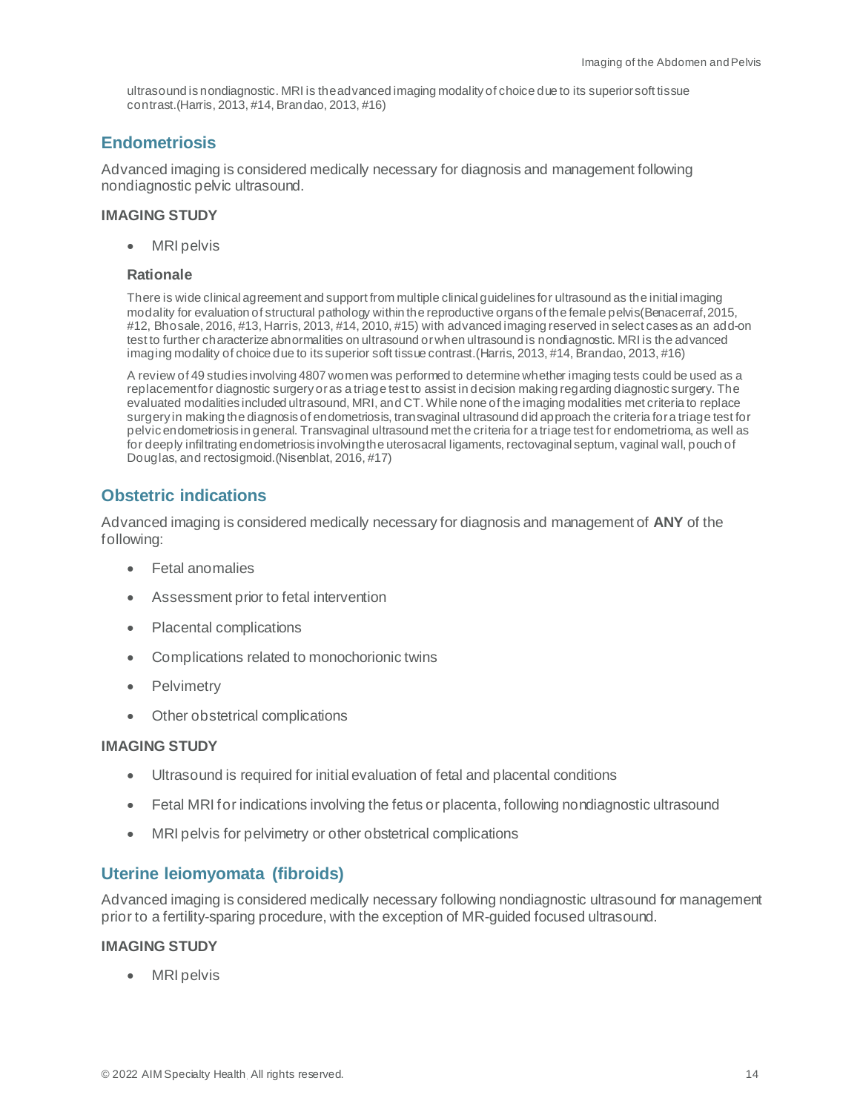ultrasound is nondiagnostic. MRI is the advanced imaging modality of choice due to its superior soft tissue contrast.(Harris, 2013, #14, Brandao, 2013, #16)

## <span id="page-13-0"></span>**Endometriosis**

Advanced imaging is considered medically necessary for diagnosis and management following nondiagnostic pelvic ultrasound.

#### **IMAGING STUDY**

• MRI pelvis

#### **Rationale**

There is wide clinical agreement and support from multiple clinical guidelines for ultrasound as the initial imaging modality for evaluation of structural pathology within the reproductive organs of the female pelvis(Benacerraf, 2015, #12, Bhosale, 2016, #13, Harris, 2013, #14, 2010, #15) with advanced imaging reserved in select cases as an add-on test to further characterize abnormalities on ultrasound or when ultrasound is nondiagnostic. MRI is the advanced imaging modality of choice due to its superior soft tissue contrast.(Harris, 2013, #14, Brandao, 2013, #16)

A review of 49 studies involving 4807 women was performed to determine whether imaging tests could be used as a replacement for diagnostic surgery or as a triage test to assist in decision making regarding diagnostic surgery. The evaluated modalities included ultrasound, MRI, and CT. While none of the imaging modalities met criteria to replace surgery in making the diagnosis of endometriosis, transvaginal ultrasound did approach the criteria for a triage test for pelvic endometriosis in general. Transvaginal ultrasound met the criteria for a triage test for endometrioma, as well as for deeply infiltrating endometriosis involving the uterosacral ligaments, rectovaginal septum, vaginal wall, pouch of Douglas, and rectosigmoid.(Nisenblat, 2016, #17)

# <span id="page-13-1"></span>**Obstetric indications**

Advanced imaging is considered medically necessary for diagnosis and management of **ANY** of the following:

- Fetal anomalies
- Assessment prior to fetal intervention
- Placental complications
- Complications related to monochorionic twins
- **Pelvimetry**
- Other obstetrical complications

#### **IMAGING STUDY**

- Ultrasound is required for initial evaluation of fetal and placental conditions
- Fetal MRI for indications involving the fetus or placenta, following nondiagnostic ultrasound
- MRI pelvis for pelvimetry or other obstetrical complications

#### <span id="page-13-2"></span>**Uterine leiomyomata (fibroids)**

Advanced imaging is considered medically necessary following nondiagnostic ultrasound for management prior to a fertility-sparing procedure, with the exception of MR-guided focused ultrasound.

#### **IMAGING STUDY**

• MRI pelvis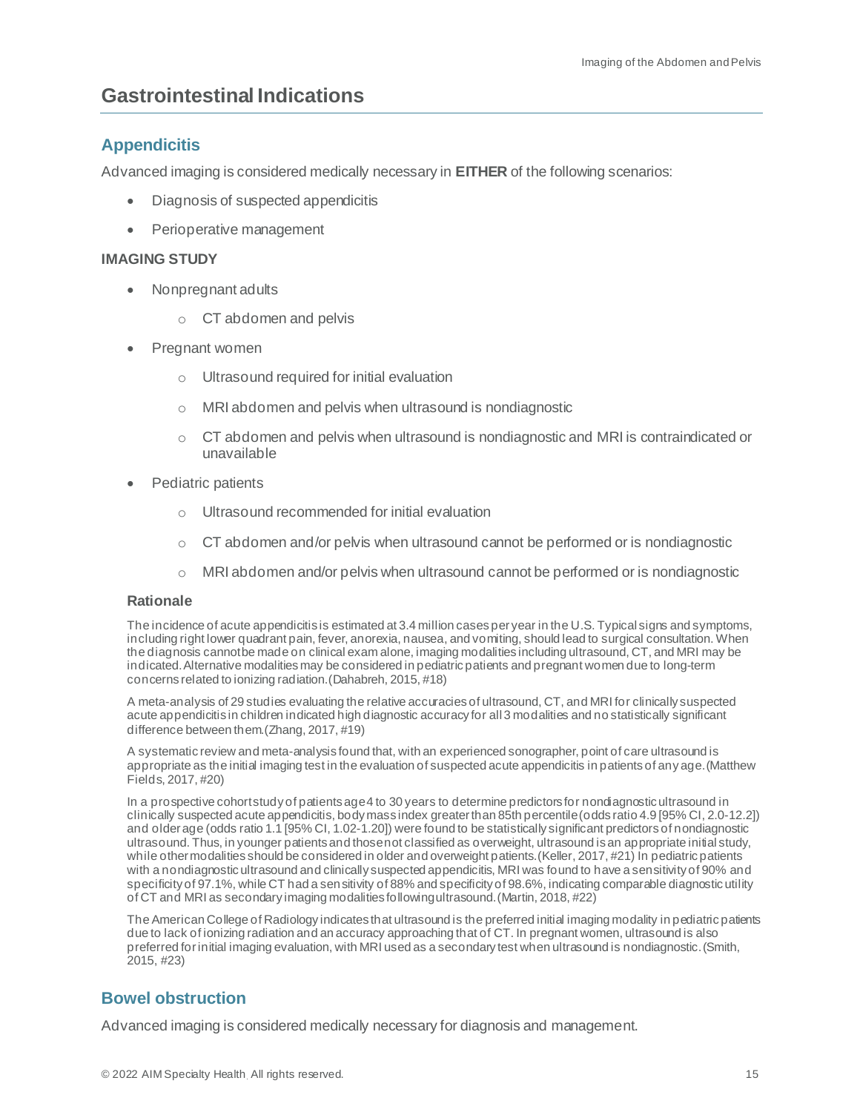# <span id="page-14-0"></span>**Gastrointestinal Indications**

# <span id="page-14-1"></span>**Appendicitis**

Advanced imaging is considered medically necessary in **EITHER** of the following scenarios:

- Diagnosis of suspected appendicitis
- Perioperative management

#### **IMAGING STUDY**

- Nonpregnant adults
	- o CT abdomen and pelvis
- Pregnant women
	- o Ultrasound required for initial evaluation
	- o MRI abdomen and pelvis when ultrasound is nondiagnostic
	- $\circ$  CT abdomen and pelvis when ultrasound is nondiagnostic and MRI is contraindicated or unavailable
- Pediatric patients
	- o Ultrasound recommended for initial evaluation
	- $\circ$  CT abdomen and/or pelvis when ultrasound cannot be performed or is nondiagnostic
	- o MRI abdomen and/or pelvis when ultrasound cannot be performed or is nondiagnostic

#### **Rationale**

The incidence of acute appendicitis is estimated at 3.4 million cases per year in the U.S. Typical signs and symptoms, including right lower quadrant pain, fever, anorexia, nausea, and vomiting, should lead to surgical consultation. When the diagnosis cannot be made on clinical exam alone, imaging modalities including ultrasound, CT, and MRI may be indicated. Alternative modalities may be considered in pediatric patients and pregnant women due to long-term concerns related to ionizing radiation.(Dahabreh, 2015, #18)

A meta-analysis of 29 studies evaluating the relative accuracies of ultrasound, CT, and MRI for clinically suspected acute appendicitis in children indicated high diagnostic accuracy for all 3 modalities and no statistically significant difference between them.(Zhang, 2017, #19)

A systematic review and meta-analysis found that, with an experienced sonographer, point of care ultrasound is appropriate as the initial imaging test in the evaluation of suspected acute appendicitis in patients of any age.(Matthew Fields, 2017, #20)

In a prospective cohort study of patients age 4 to 30 years to determine predictors for nondiagnostic ultrasound in clinically suspected acute appendicitis, body mass index greater than 85th percentile (odds ratio 4.9 [95% CI, 2.0-12.2]) and olderage (odds ratio 1.1 [95% CI, 1.02-1.20]) were found to be statistically significant predictors of nondiagnostic ultrasound. Thus, in younger patients and those not classified as overweight, ultrasound is an appropriate initial study, while other modalities should be considered in older and overweight patients. (Keller, 2017, #21) In pediatric patients with a nondiagnostic ultrasound and clinically suspected appendicitis, MRI was found to have a sensitivity of 90% and specificity of 97.1%, while CT had a sensitivity of 88% and specificity of 98.6%, indicating comparable diagnostic utility of CT and MRI as secondary imaging modalities following ultrasound.(Martin, 2018, #22)

The American College of Radiology indicates that ultrasound is the preferred initial imaging modality in pediatric patients due to lack of ionizing radiation and an accuracy approaching that of CT. In pregnant women, ultrasound is also preferred for initial imaging evaluation, with MRI used as a secondary test when ultrasound is nondiagnostic.(Smith, 2015, #23)

# <span id="page-14-2"></span>**Bowel obstruction**

Advanced imaging is considered medically necessary for diagnosis and management.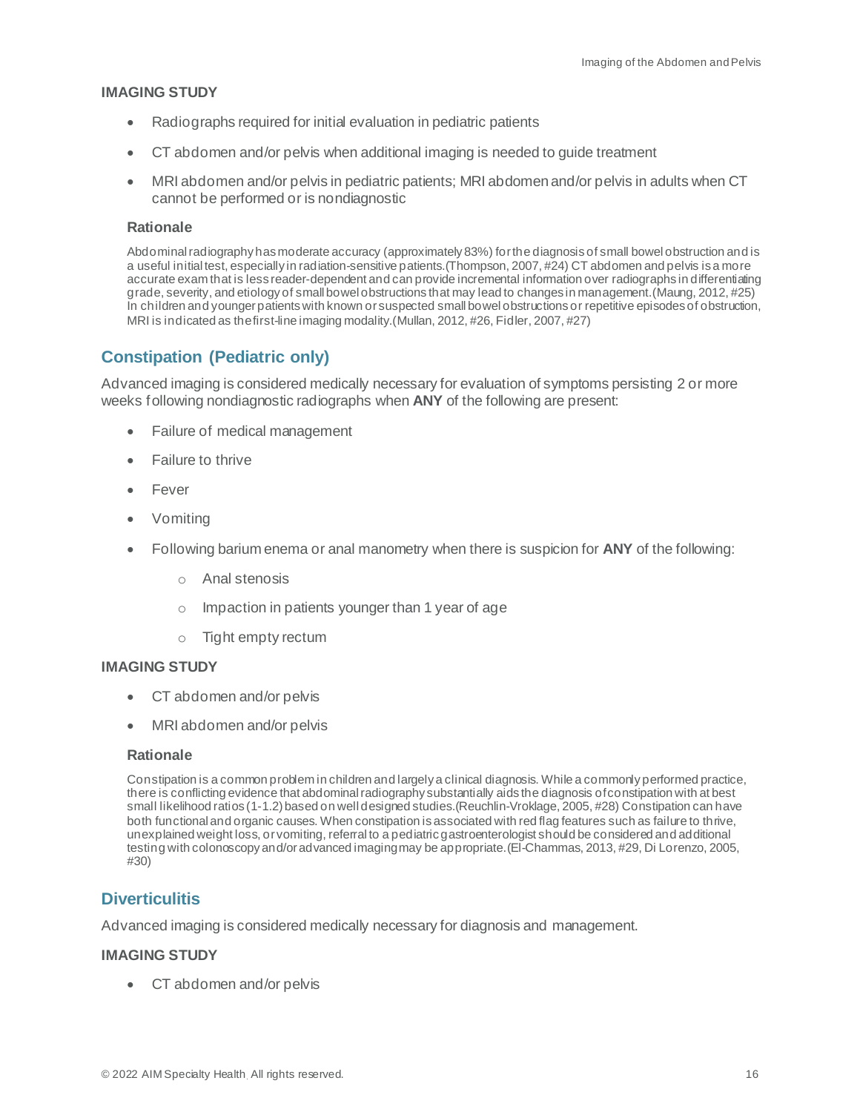#### **IMAGING STUDY**

- Radiographs required for initial evaluation in pediatric patients
- CT abdomen and/or pelvis when additional imaging is needed to guide treatment
- MRI abdomen and/or pelvis in pediatric patients; MRI abdomen and/or pelvis in adults when CT cannot be performed or is nondiagnostic

#### **Rationale**

Abdominal radiographyhasmoderate accuracy (approximately 83%) for the diagnosis of small bowel obstruction and is a useful initial test, especially in radiation-sensitive patients.(Thompson, 2007, #24) CT abdomen and pelvis is a more accurate exam that is less reader-dependent and can provide incremental information over radiographs in differentiating grade, severity, and etiology of small bowel obstructions that may lead to changes in management.(Maung, 2012, #25) In children and younger patients with known or suspected small bowel obstructions or repetitive episodes of obstruction, MRI is indicated as the first-line imaging modality.(Mullan, 2012, #26, Fidler, 2007, #27)

# <span id="page-15-0"></span>**Constipation (Pediatric only)**

Advanced imaging is considered medically necessary for evaluation of symptoms persisting 2 or more weeks following nondiagnostic radiographs when **ANY** of the following are present:

- Failure of medical management
- Failure to thrive
- Fever
- Vomiting
- Following barium enema or anal manometry when there is suspicion for **ANY** of the following:
	- o Anal stenosis
	- $\circ$  Impaction in patients younger than 1 year of age
	- o Tight empty rectum

#### **IMAGING STUDY**

- CT abdomen and/or pelvis
- MRI abdomen and/or pelvis

#### **Rationale**

Constipation is a common problem in children and largely a clinical diagnosis. While a commonly performed practice, there is conflicting evidence that abdominal radiography substantially aids the diagnosis of constipation with at best small likelihood ratios (1-1.2) based on well designed studies.(Reuchlin-Vroklage, 2005, #28) Constipation can have both functional and organic causes. When constipation is associated with red flag features such as failure to thrive, unexplained weight loss, or vomiting, referral to a pediatric gastroenterologist should be considered and additional testing with colonoscopy and/or advanced imaging may be appropriate.(El-Chammas, 2013, #29, Di Lorenzo, 2005, #30)

# <span id="page-15-1"></span>**Diverticulitis**

Advanced imaging is considered medically necessary for diagnosis and management.

#### **IMAGING STUDY**

• CT abdomen and/or pelvis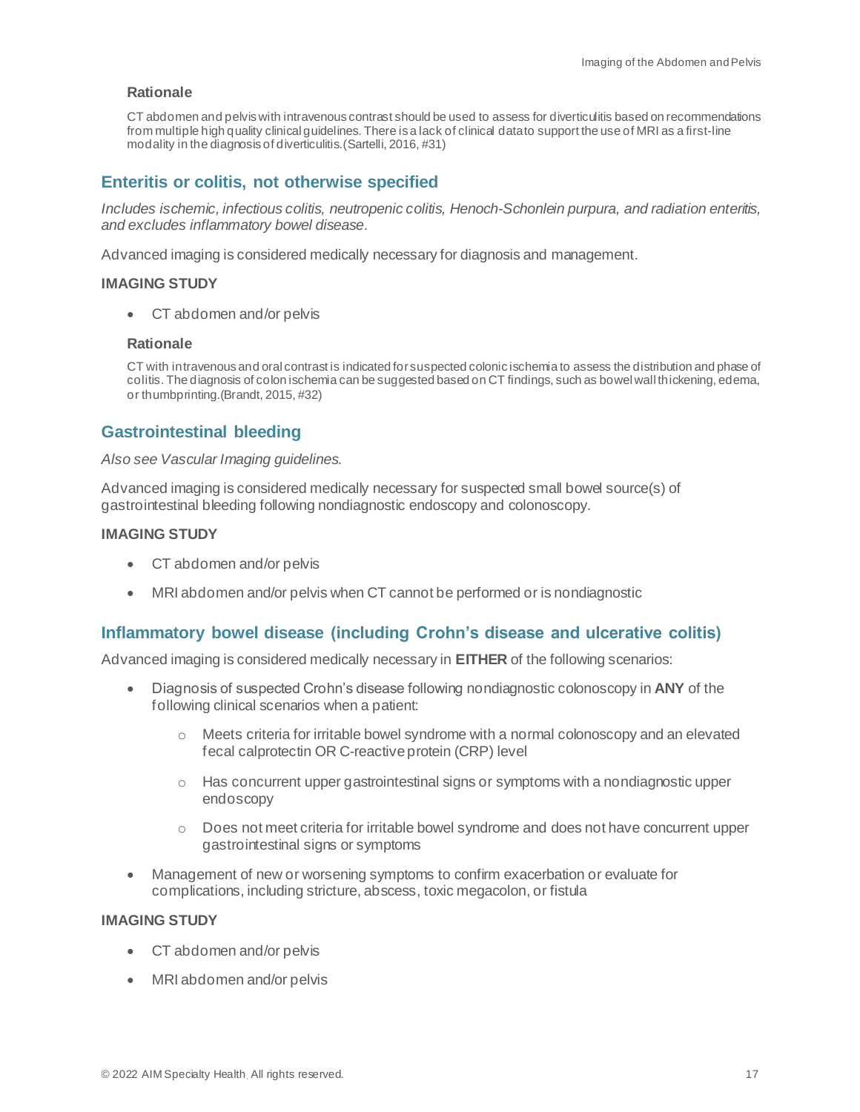CT abdomen and pelvis with intravenous contrast should be used to assess for diverticulitis based on recommendations from multiple high quality clinical guidelines. There is a lack of clinical data to support the use of MRI as a first-line modality in the diagnosis of diverticulitis.(Sartelli, 2016, #31)

# <span id="page-16-0"></span>**Enteritis or colitis, not otherwise specified**

*Includes ischemic, infectious colitis, neutropenic colitis, Henoch-Schonlein purpura, and radiation enteritis, and excludes inflammatory bowel disease.*

Advanced imaging is considered medically necessary for diagnosis and management.

#### **IMAGING STUDY**

• CT abdomen and/or pelvis

#### **Rationale**

CT with intravenous and oral contrast is indicated for suspected colonic ischemia to assess the distribution and phase of colitis. The diagnosis of colon ischemia can be suggested based on CT findings, such as bowel wall thickening, edema, or thumbprinting.(Brandt, 2015, #32)

# <span id="page-16-1"></span>**Gastrointestinal bleeding**

#### *Also see Vascular Imaging guidelines.*

Advanced imaging is considered medically necessary for suspected small bowel source(s) of gastrointestinal bleeding following nondiagnostic endoscopy and colonoscopy.

#### **IMAGING STUDY**

- CT abdomen and/or pelvis
- MRI abdomen and/or pelvis when CT cannot be performed or is nondiagnostic

# <span id="page-16-2"></span>**Inflammatory bowel disease (including Crohn's disease and ulcerative colitis)**

Advanced imaging is considered medically necessary in **EITHER** of the following scenarios:

- Diagnosis of suspected Crohn's disease following nondiagnostic colonoscopy in **ANY** of the following clinical scenarios when a patient:
	- $\circ$  Meets criteria for irritable bowel syndrome with a normal colonoscopy and an elevated fecal calprotectin OR C-reactive protein (CRP) level
	- $\circ$  Has concurrent upper gastrointestinal signs or symptoms with a nondiagnostic upper endoscopy
	- $\circ$  Does not meet criteria for irritable bowel syndrome and does not have concurrent upper gastrointestinal signs or symptoms
- Management of new or worsening symptoms to confirm exacerbation or evaluate for complications, including stricture, abscess, toxic megacolon, or fistula

#### **IMAGING STUDY**

- CT abdomen and/or pelvis
- MRI abdomen and/or pelvis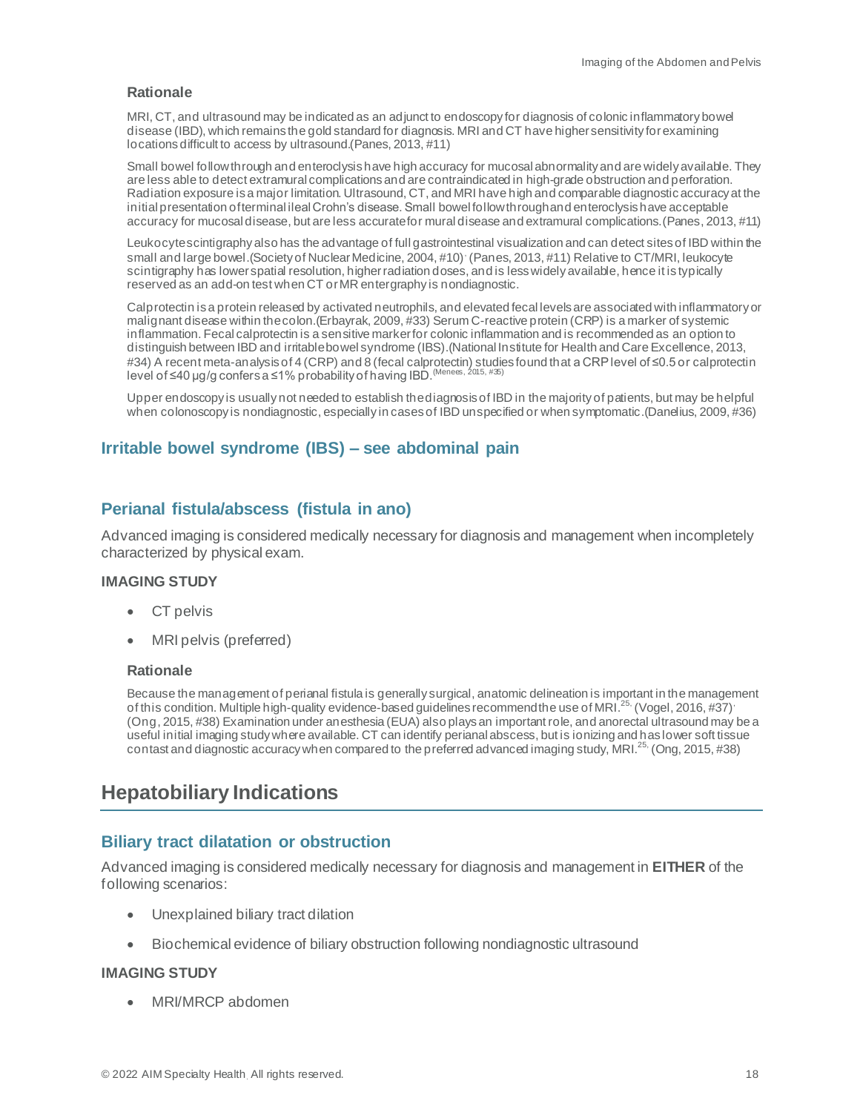MRI, CT, and ultrasound may be indicated as an adjunct to endoscopy for diagnosis of colonic inflammatory bowel disease (IBD), which remains the gold standard for diagnosis. MRI and CT have higher sensitivity for examining locations difficult to access by ultrasound.(Panes, 2013, #11)

Small bowel followthrough and enteroclysis have high accuracy for mucosal abnormality and are widely available. They are less able to detect extramural complications and are contraindicated in high-grade obstruction and perforation. Radiation exposure is a major limitation. Ultrasound, CT, and MRI have high and comparable diagnostic accuracy at the initial presentation of terminal ileal Crohn's disease. Small bowel followthrough and enteroclysis have acceptable accuracy for mucosal disease, but are less accurate for mural disease and extramural complications.(Panes, 2013, #11)

Leukocyte scintigraphy also has the advantage of full gastrointestinal visualization and can detect sites of IBD within the small and large bowel.(Society of Nuclear Medicine, 2004, #10), (Panes, 2013, #11) Relative to CT/MRI, leukocyte scintigraphy has lower spatial resolution, higher radiation doses, and is less widely available, hence it is typically reserved as an add-on test when CT or MR entergraphy is nondiagnostic.

Calprotectin is a protein released by activated neutrophils, and elevated fecal levels are associated with inflammatory or malignant disease within the colon.(Erbayrak, 2009, #33) Serum C-reactive protein (CRP) is a marker of systemic inflammation. Fecal calprotectin is a sensitive marker for colonic inflammation and is recommended as an option to distinguish between IBD and irritable bowel syndrome (IBS).(National Institute for Health and Care Excellence, 2013, #34) A recent meta-analysis of 4 (CRP) and 8 (fecal calprotectin) studies found that a CRP level of ≤0.5 or calprotectin level of ≤40 μg/g confers a ≤1% probability of having IBD. (Menees, 2015, #35)

Upper endoscopy is usually not needed to establish the diagnosis of IBD in the majority of patients, but may be helpful when colonoscopy is nondiagnostic, especially in cases of IBD unspecified or when symptomatic.(Danelius, 2009, #36)

## <span id="page-17-0"></span>**Irritable bowel syndrome (IBS) – see abdominal pain**

## <span id="page-17-1"></span>**Perianal fistula/abscess (fistula in ano)**

Advanced imaging is considered medically necessary for diagnosis and management when incompletely characterized by physical exam.

#### **IMAGING STUDY**

- CT pelvis
- MRI pelvis (preferred)

#### **Rationale**

Because the management of perianal fistula is generally surgical, anatomic delineation is important in the management of this condition. Multiple high-quality evidence-based guidelines recommend the use of MRI.<sup>25,</sup> (Vogel, 2016, #37)<sup>,</sup> (Ong, 2015, #38) Examination under anesthesia (EUA) also plays an important role, and anorectal ultrasound may be a useful initial imaging study where available. CT can identify perianal abscess, but is ionizing and has lower soft tissue contast and diagnostic accuracy when compared to the preferred advanced imaging study, MRI.<sup>25,</sup> (Ong, 2015, #38)

# <span id="page-17-2"></span>**Hepatobiliary Indications**

#### <span id="page-17-3"></span>**Biliary tract dilatation or obstruction**

Advanced imaging is considered medically necessary for diagnosis and management in **EITHER** of the following scenarios:

- Unexplained biliary tract dilation
- Biochemical evidence of biliary obstruction following nondiagnostic ultrasound

#### **IMAGING STUDY**

• MRI/MRCP abdomen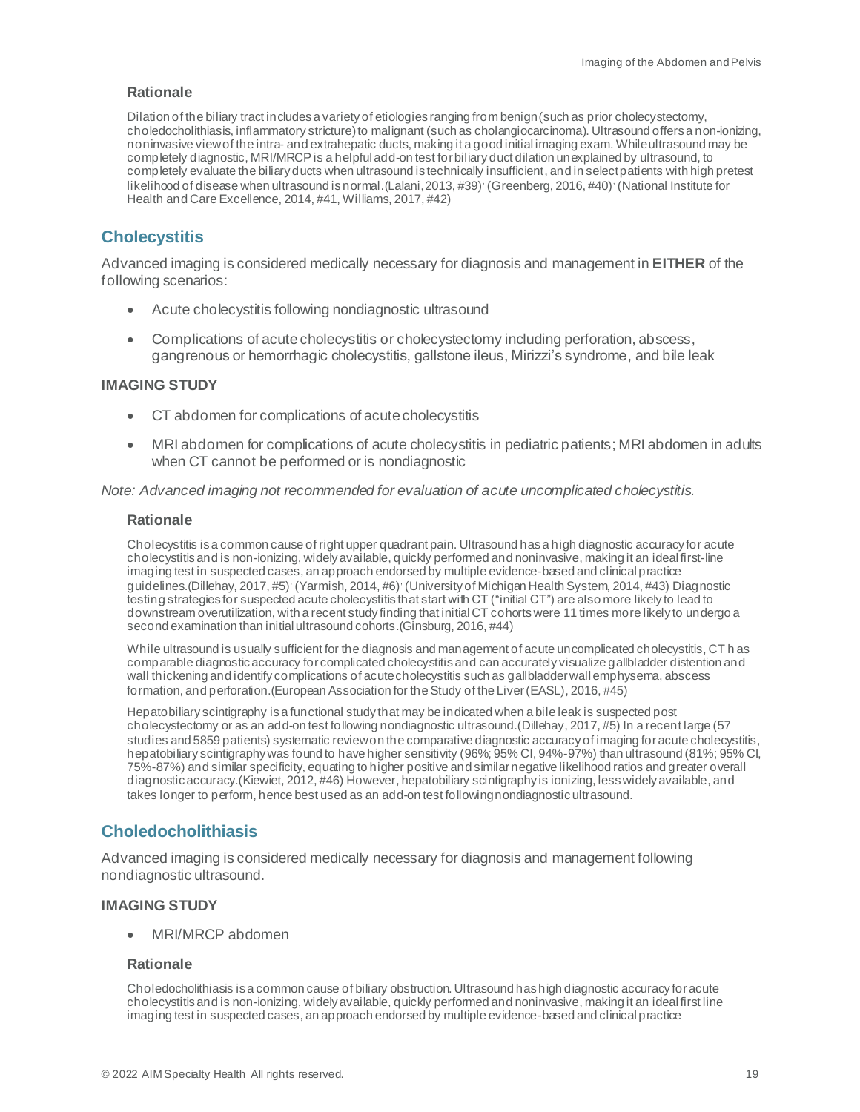Dilation of the biliary tract includes a variety of etiologies ranging from benign (such as prior cholecystectomy, choledocholithiasis, inflammatory stricture) to malignant (such as cholangiocarcinoma). Ultrasound offers a non-ionizing, noninvasive view of the intra- and extrahepatic ducts, making it a good initial imaging exam. While ultrasound may be completely diagnostic, MRI/MRCP is a helpful add-on test for biliary duct dilation unexplained by ultrasound, to completely evaluate the biliary ducts when ultrasound is technically insufficient, and in select patients with high pretest likelihood of disease when ultrasound is normal. (Lalani, 2013, #39) (Greenberg, 2016, #40) (National Institute for Health and Care Excellence, 2014, #41, Williams, 2017, #42)

# <span id="page-18-0"></span>**Cholecystitis**

Advanced imaging is considered medically necessary for diagnosis and management in **EITHER** of the following scenarios:

- Acute cholecystitis following nondiagnostic ultrasound
- Complications of acute cholecystitis or cholecystectomy including perforation, abscess, gangrenous or hemorrhagic cholecystitis, gallstone ileus, Mirizzi's syndrome, and bile leak

#### **IMAGING STUDY**

- CT abdomen for complications of acute cholecystitis
- MRI abdomen for complications of acute cholecystitis in pediatric patients; MRI abdomen in adults when CT cannot be performed or is nondiagnostic

*Note: Advanced imaging not recommended for evaluation of acute uncomplicated cholecystitis.*

#### **Rationale**

Cholecystitis is a common cause of right upper quadrant pain. Ultrasound has a high diagnostic accuracy for acute cholecystitis and is non-ionizing, widely available, quickly performed and noninvasive, making it an ideal first-line imaging test in suspected cases, an approach endorsed by multiple evidence-based and clinical practice guidelines. (Dillehay, 2017, #5)<sup>,</sup> (Yarmish, 2014, #6)<sup>,</sup> (University of Michigan Health System, 2014, #43) Diagnostic testing strategies for suspected acute cholecystitis that start with CT ("initial CT") are also more likely to lead to downstream overutilization, with a recent study finding that initial CT cohorts were 11 times more likely to undergo a second examination than initial ultrasound cohorts.(Ginsburg, 2016, #44)

While ultrasound is usually sufficient for the diagnosis and management of acute uncomplicated cholecystitis, CT h as comparable diagnostic accuracy for complicated cholecystitis and can accurately visualize gallbladder distention and wall thickening and identify complications of acute cholecystitis such as gallbladder wall emphysema, abscess formation, and perforation.(European Association for the Study of the Liver (EASL), 2016, #45)

Hepatobiliary scintigraphy is a functional study that may be indicated when a bile leak is suspected post cholecystectomy or as an add-on test following nondiagnostic ultrasound.(Dillehay, 2017, #5) In a recent large (57 studies and 5859 patients) systematic review on the comparative diagnostic accuracy of imaging for acute cholecystitis, hepatobiliary scintigraphy was found to have higher sensitivity (96%; 95% CI, 94%-97%) than ultrasound (81%; 95% CI, 75%-87%) and similar specificity, equating to higher positive and similar negative likelihood ratios and greater overall diagnostic accuracy.(Kiewiet, 2012, #46) However, hepatobiliary scintigraphy is ionizing, less widely available, and takes longer to perform, hence best used as an add-on test following nondiagnostic ultrasound.

#### <span id="page-18-1"></span>**Choledocholithiasis**

Advanced imaging is considered medically necessary for diagnosis and management following nondiagnostic ultrasound.

#### **IMAGING STUDY**

• MRI/MRCP abdomen

#### **Rationale**

Choledocholithiasis is a common cause of biliary obstruction. Ultrasound has high diagnostic accuracy for acute cholecystitis and is non-ionizing, widely available, quickly performed and noninvasive, making it an ideal first line imaging test in suspected cases, an approach endorsed by multiple evidence-based and clinical practice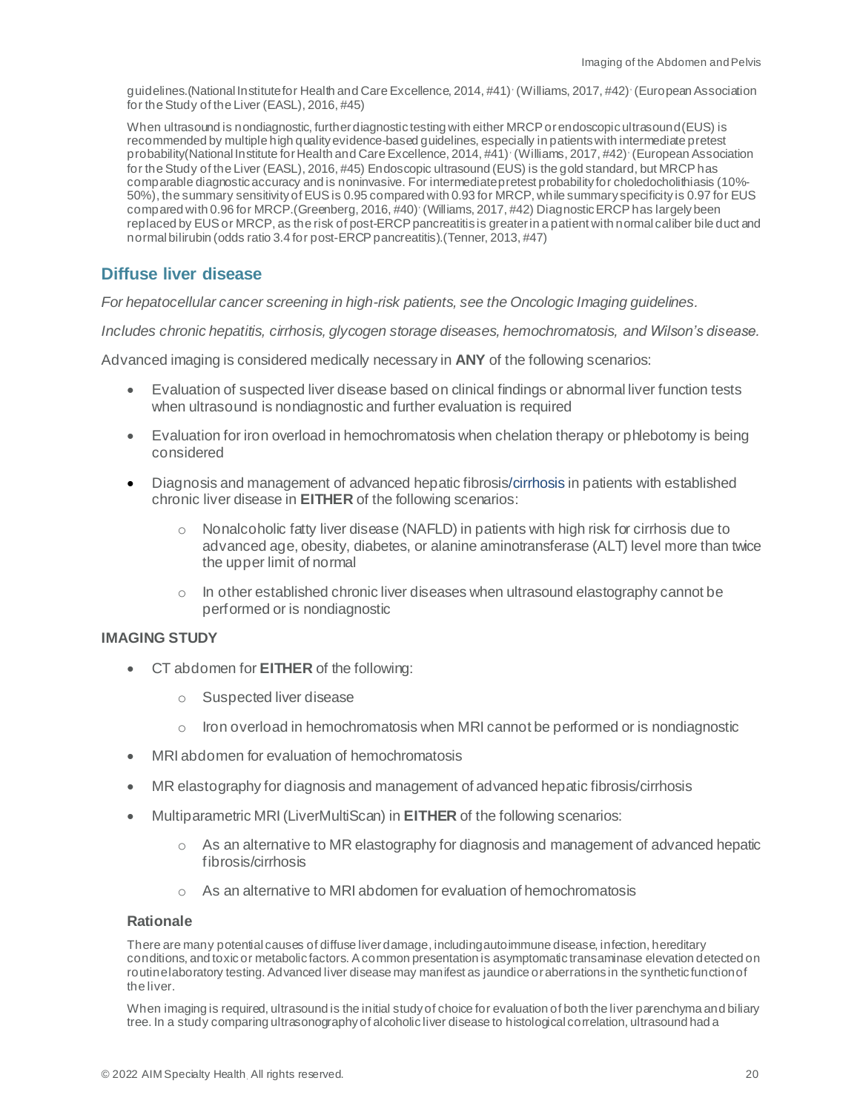guidelines. (National Institute for Health and Care Excellence, 2014, #41) (Williams, 2017, #42) (European Association for the Study of the Liver (EASL), 2016, #45)

When ultrasound is nondiagnostic, further diagnostic testing with either MRCP or endoscopic ultrasound (EUS) is recommended by multiple high quality evidence-based guidelines, especially in patients with intermediate pretest probability(National Institute for Health and Care Excellence, 2014, #41) (Williams, 2017, #42) (European Association for the Study of the Liver (EASL), 2016, #45) Endoscopic ultrasound (EUS) is the gold standard, but MRCP has comparable diagnostic accuracy and is noninvasive. For intermediate pretest probability for choledocholithiasis (10%- 50%), the summary sensitivity of EUS is 0.95 compared with 0.93 for MRCP, while summary specificity is 0.97 for EUS compared with 0.96 for MRCP.(Greenberg, 2016, #40) (Williams, 2017, #42) Diagnostic ERCP has largely been replaced by EUS or MRCP, as the risk of post-ERCP pancreatitis is greater in a patient with normal caliber bile duct and normal bilirubin (odds ratio 3.4 for post-ERCP pancreatitis).(Tenner, 2013, #47)

## <span id="page-19-0"></span>**Diffuse liver disease**

*For hepatocellular cancer screening in high-risk patients, see the Oncologic Imaging guidelines.*

*Includes chronic hepatitis, cirrhosis, glycogen storage diseases, hemochromatosis, and Wilson's disease.*

Advanced imaging is considered medically necessary in **ANY** of the following scenarios:

- Evaluation of suspected liver disease based on clinical findings or abnormal liver function tests when ultrasound is nondiagnostic and further evaluation is required
- Evaluation for iron overload in hemochromatosis when chelation therapy or phlebotomy is being considered
- Diagnosis and management of advanced hepatic fibrosis/cirrhosis in patients with established chronic liver disease in **EITHER** of the following scenarios:
	- Nonalcoholic fatty liver disease (NAFLD) in patients with high risk for cirrhosis due to advanced age, obesity, diabetes, or alanine aminotransferase (ALT) level more than twice the upper limit of normal
	- $\circ$  In other established chronic liver diseases when ultrasound elastography cannot be performed or is nondiagnostic

#### **IMAGING STUDY**

- CT abdomen for **EITHER** of the following:
	- o Suspected liver disease
	- $\circ$  Iron overload in hemochromatosis when MRI cannot be performed or is nondiagnostic
- MRI abdomen for evaluation of hemochromatosis
- MR elastography for diagnosis and management of advanced hepatic fibrosis/cirrhosis
- Multiparametric MRI (LiverMultiScan) in **EITHER** of the following scenarios:
	- $\circ$  As an alternative to MR elastography for diagnosis and management of advanced hepatic fibrosis/cirrhosis
	- o As an alternative to MRI abdomen for evaluation of hemochromatosis

#### **Rationale**

There are many potential causes of diffuse liver damage, including autoimmune disease, infection, hereditary conditions, and toxic or metabolic factors. A common presentation is asymptomatic transaminase elevation detected on routine laboratory testing. Advanced liver disease may manifest as jaundice or aberrations in the synthetic function of the liver.

When imaging is required, ultrasound is the initial study of choice for evaluation of both the liver parenchyma and biliary tree. In a study comparing ultrasonography of alcoholic liver disease to histological correlation, ultrasound had a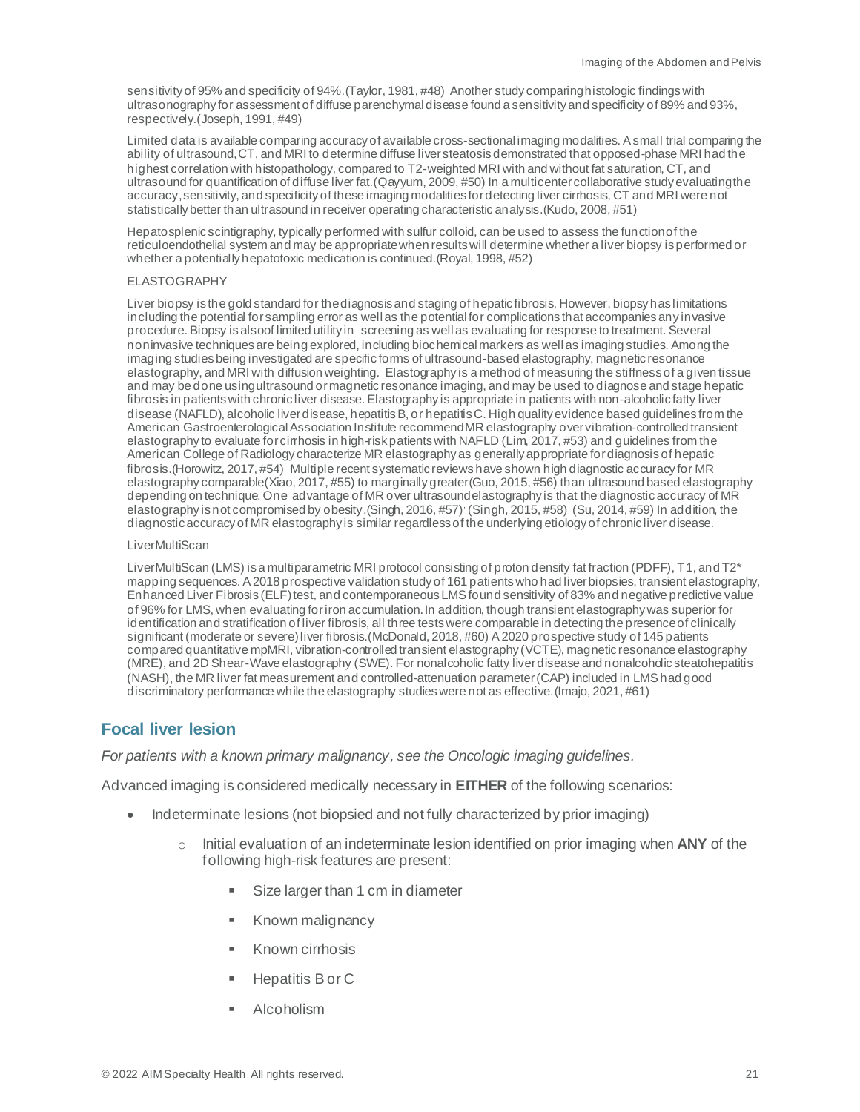sensitivity of 95% and specificity of 94%. (Taylor, 1981, #48) Another study comparing histologic findings with ultrasonography for assessment of diffuse parenchymal disease found a sensitivity and specificity of 89% and 93%, respectively.(Joseph, 1991, #49)

Limited data is available comparing accuracy of available cross-sectional imaging modalities. A small trial comparing the ability of ultrasound, CT, and MRI to determine diffuse liver steatosis demonstrated that opposed-phase MRI had the highest correlation with histopathology, compared to T2-weighted MRI with and without fat saturation, CT, and ultrasound for quantification of diffuse liver fat.(Qayyum, 2009, #50) In a multicenter collaborative study evaluating the accuracy, sensitivity, and specificity of these imaging modalities for detecting liver cirrhosis, CT and MRI were not statistically better than ultrasound in receiver operating characteristic analysis.(Kudo, 2008, #51)

Hepatosplenic scintigraphy, typically performed with sulfur colloid, can be used to assess the function of the reticuloendothelial system and may be appropriate when results will determine whether a liver biopsy is performed or whether a potentially hepatotoxic medication is continued.(Royal, 1998, #52)

#### ELASTOGRAPHY

Liver biopsy is the gold standard for the diagnosis and staging of hepatic fibrosis. However, biopsy has limitations including the potential for sampling error as well as the potential for complications that accompanies any invasive procedure. Biopsy is alsoof limited utility in screening as well as evaluating for response to treatment. Several noninvasive techniques are being explored, including biochemical markers as well as imaging studies. Among the imaging studies being investigated are specific forms of ultrasound-based elastography, magnetic resonance elastography, and MRI with diffusion weighting. Elastography is a method of measuring the stiffness of a given tissue and may be done using ultrasound or magnetic resonance imaging, and may be used to diagnose and stage hepatic fibrosis in patients with chronic liver disease. Elastography is appropriate in patients with non-alcoholic fatty liver disease (NAFLD), alcoholic liver disease, hepatitis B, or hepatitis C. High quality evidence based guidelines from the American Gastroenterological Association Institute recommend MR elastography over vibration-controlled transient elastography to evaluate for cirrhosis in high-risk patients with NAFLD (Lim, 2017, #53) and guidelines from the American College of Radiology characterize MR elastography as generally appropriate for diagnosis of hepatic fibrosis.(Horowitz, 2017, #54) Multiple recent systematic reviews have shown high diagnostic accuracy for MR elastography comparable(Xiao, 2017, #55) to marginally greater(Guo, 2015, #56) than ultrasound based elastography depending on technique. One advantage of MR over ultrasound elastography is that the diagnostic accuracy of MR elastography is not compromised by obesity. (Singh, 2016, #57) (Singh, 2015, #58) (Su, 2014, #59) In addition, the diagnostic accuracy of MR elastography is similar regardless of the underlying etiology of chronic liver disease.

#### **LiverMultiScan**

LiverMultiScan (LMS) is a multiparametric MRI protocol consisting of proton density fat fraction (PDFF), T1, and T2\* mapping sequences. A 2018 prospective validation study of 161 patients who had liver biopsies, transient elastography, Enhanced Liver Fibrosis (ELF) test, and contemporaneous LMS found sensitivity of 83% and negative predictive value of 96% for LMS, when evaluating for iron accumulation. In addition, though transient elastography was superior for identification and stratification of liver fibrosis, all three tests were comparable in detecting the presence of clinically significant (moderate or severe) liver fibrosis.(McDonald, 2018, #60) A 2020 prospective study of 145 patients compared quantitative mpMRI, vibration-controlled transient elastography (VCTE), magnetic resonance elastography (MRE), and 2D Shear-Wave elastography (SWE). For nonalcoholic fatty liver disease and nonalcoholic steatohepatitis (NASH), the MR liver fat measurement and controlled-attenuation parameter (CAP) included in LMS had good discriminatory performance while the elastography studies were not as effective.(Imajo, 2021, #61)

# <span id="page-20-0"></span>**Focal liver lesion**

*For patients with a known primary malignancy, see the Oncologic imaging guidelines.*

Advanced imaging is considered medically necessary in **EITHER** of the following scenarios:

- Indeterminate lesions (not biopsied and not fully characterized by prior imaging)
	- o Initial evaluation of an indeterminate lesion identified on prior imaging when **ANY** of the following high-risk features are present:
		- Size larger than 1 cm in diameter
		- Known malignancy
		- Known cirrhosis
		- Hepatitis B or C
		- **Alcoholism**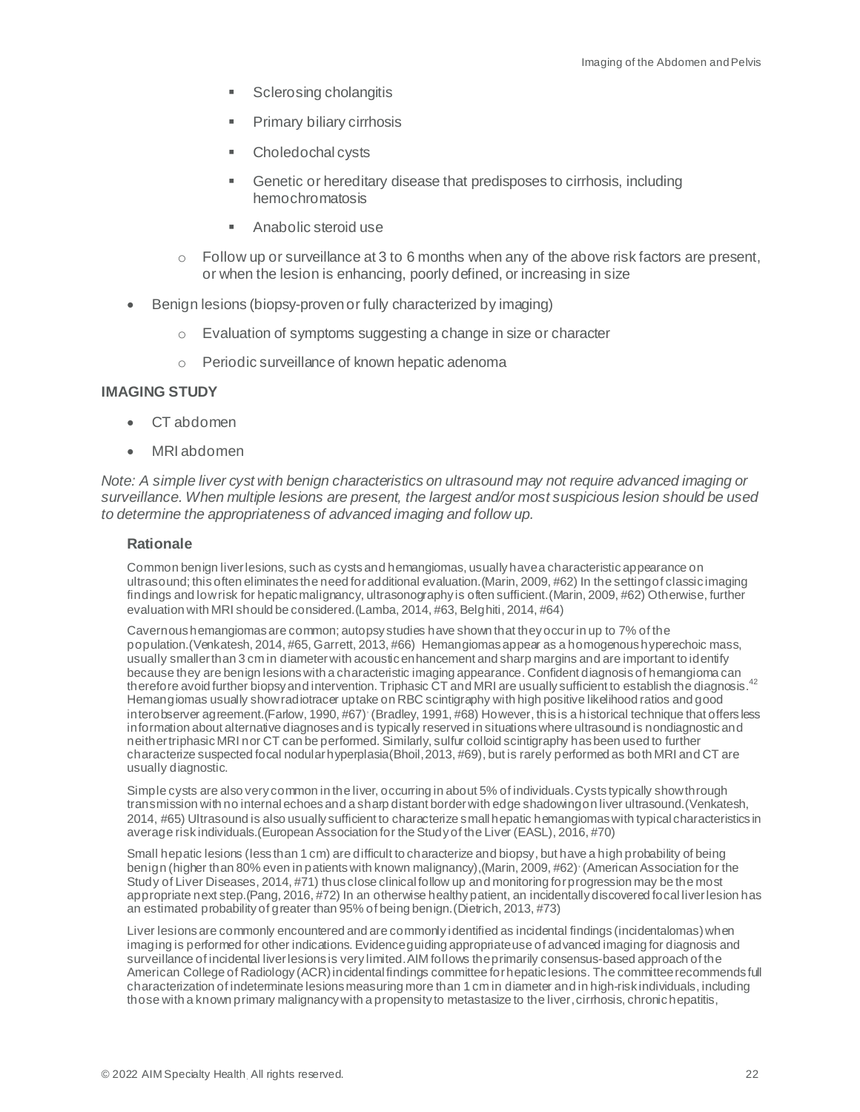- Sclerosing cholangitis
- Primary biliary cirrhosis
- Choledochal cysts
- Genetic or hereditary disease that predisposes to cirrhosis, including hemochromatosis
- Anabolic steroid use
- $\circ$  Follow up or surveillance at 3 to 6 months when any of the above risk factors are present, or when the lesion is enhancing, poorly defined, or increasing in size
- Benign lesions (biopsy-proven or fully characterized by imaging)
	- o Evaluation of symptoms suggesting a change in size or character
	- o Periodic surveillance of known hepatic adenoma

#### **IMAGING STUDY**

- CT abdomen
- MRI abdomen

*Note: A simple liver cyst with benign characteristics on ultrasound may not require advanced imaging or surveillance. When multiple lesions are present, the largest and/or most suspicious lesion should be used to determine the appropriateness of advanced imaging and follow up.*

#### **Rationale**

Common benign liver lesions, such as cysts and hemangiomas, usually have a characteristic appearance on ultrasound; this often eliminates the need for additional evaluation.(Marin, 2009, #62) In the setting of classic imaging findings and low risk for hepatic malignancy, ultrasonography is often sufficient.(Marin, 2009, #62) Otherwise, further evaluation with MRI should be considered.(Lamba, 2014, #63, Belghiti, 2014, #64)

Cavernous hemangiomas are common; autopsy studies have shown that they occur in up to 7% of the population.(Venkatesh, 2014, #65, Garrett, 2013, #66) Hemangiomas appear as a homogenous hyperechoic mass, usually smaller than 3 cm in diameter with acoustic enhancement and sharp margins and are important to identify because they are benign lesions with a characteristic imaging appearance. Confident diagnosis of hemangioma can therefore avoid further biopsy and intervention. Triphasic  $\rm \tilde{C}T$  and MRI are usually sufficient to establish the diagnosis.<sup>42</sup> Hemangiomas usually show radiotracer uptake on RBC scintigraphy with high positive likelihood ratios and good interobserver agreement. (Farlow, 1990, #67) (Bradley, 1991, #68) However, this is a historical technique that offers less information about alternative diagnoses and is typically reserved in situations where ultrasound is nondiagnostic and neither triphasic MRI nor CT can be performed. Similarly, sulfur colloid scintigraphy has been used to further characterize suspected focal nodular hyperplasia(Bhoil, 2013, #69), but is rarely performed as both MRI and CT are usually diagnostic.

Simple cysts are also very common in the liver, occurring in about 5% of individuals. Cysts typically show through transmission with no internal echoes and a sharp distant border with edge shadowing on liver ultrasound.(Venkatesh, 2014, #65) Ultrasound is also usually sufficient to characterize small hepatic hemangiomas with typical characteristics in average risk individuals.(European Association for the Study of the Liver (EASL), 2016, #70)

Small hepatic lesions (less than 1 cm) are difficult to characterize and biopsy, but have a high probability of being benign (higher than 80% even in patients with known malignancy), (Marin, 2009, #62)<sup>,</sup> (American Association for the Study of Liver Diseases, 2014, #71) thus close clinical follow up and monitoring for progression may be the most appropriate next step.(Pang, 2016, #72) In an otherwise healthy patient, an incidentally discovered focal liver lesion has an estimated probability of greater than 95% of being benign.(Dietrich, 2013, #73)

Liver lesions are commonly encountered and are commonly identified as incidental findings (incidentalomas) when imaging is performed for other indications. Evidence guiding appropriate use of advanced imaging for diagnosis and surveillance of incidental liver lesions is very limited.AIM follows the primarily consensus-based approach of the American College of Radiology (ACR) incidental findings committee for hepatic lesions. The committeerecommends full characterization of indeterminate lesions measuring more than 1 cm in diameter and in high-risk individuals, including those with a known primary malignancy with a propensity to metastasize to the liver,cirrhosis, chronic hepatitis,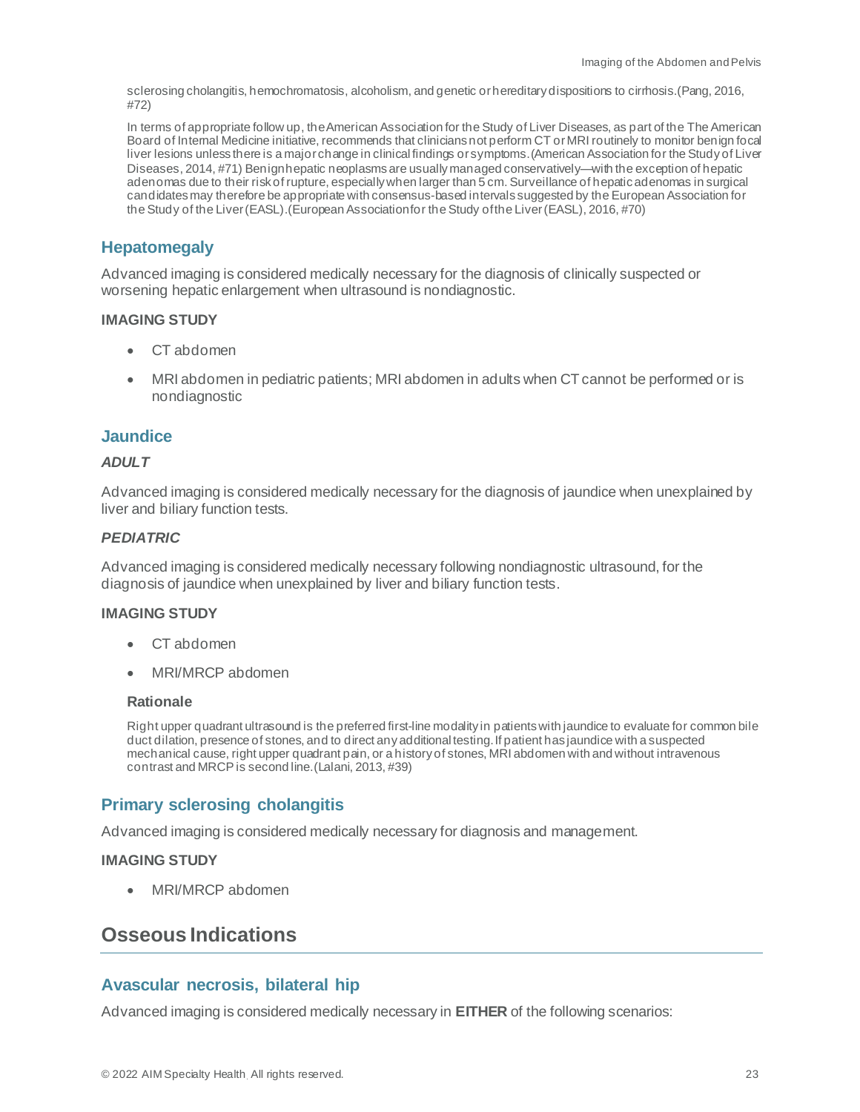sclerosing cholangitis, hemochromatosis, alcoholism, and genetic or hereditary dispositions to cirrhosis.(Pang, 2016, #72)

In terms of appropriate follow up, the American Association for the Study of Liver Diseases, as part of the The American Board of Internal Medicine initiative, recommends that clinicians not perform CT or MRI routinely to monitor benign focal liver lesions unless there is a major change in clinical findings or symptoms.(American Association for the Study of Liver Diseases, 2014, #71) Benign hepatic neoplasms are usually managed conservatively—with the exception of hepatic adenomas due to their risk of rupture, especially when larger than 5 cm. Surveillance of hepatic adenomas in surgical candidates may therefore be appropriate with consensus-based intervals suggested by the European Association for the Study of the Liver (EASL).(European Association for the Study of the Liver (EASL), 2016, #70)

# <span id="page-22-0"></span>**Hepatomegaly**

Advanced imaging is considered medically necessary for the diagnosis of clinically suspected or worsening hepatic enlargement when ultrasound is nondiagnostic.

#### **IMAGING STUDY**

- CT abdomen
- MRI abdomen in pediatric patients; MRI abdomen in adults when CT cannot be performed or is nondiagnostic

#### <span id="page-22-1"></span>**Jaundice**

#### *ADULT*

Advanced imaging is considered medically necessary for the diagnosis of jaundice when unexplained by liver and biliary function tests.

#### *PEDIATRIC*

Advanced imaging is considered medically necessary following nondiagnostic ultrasound, for the diagnosis of jaundice when unexplained by liver and biliary function tests.

#### **IMAGING STUDY**

- CT abdomen
- MRI/MRCP abdomen

#### **Rationale**

Right upper quadrant ultrasound is the preferred first-line modality in patients with jaundice to evaluate for common bile duct dilation, presence of stones, and to direct any additional testing. If patient has jaundice with a suspected mechanical cause, right upper quadrant pain, or a history of stones, MRI abdomen with and without intravenous contrast and MRCP is second line.(Lalani, 2013, #39)

# <span id="page-22-2"></span>**Primary sclerosing cholangitis**

Advanced imaging is considered medically necessary for diagnosis and management.

#### **IMAGING STUDY**

• MRI/MRCP abdomen

# <span id="page-22-3"></span>**Osseous Indications**

#### <span id="page-22-4"></span>**Avascular necrosis, bilateral hip**

Advanced imaging is considered medically necessary in **EITHER** of the following scenarios: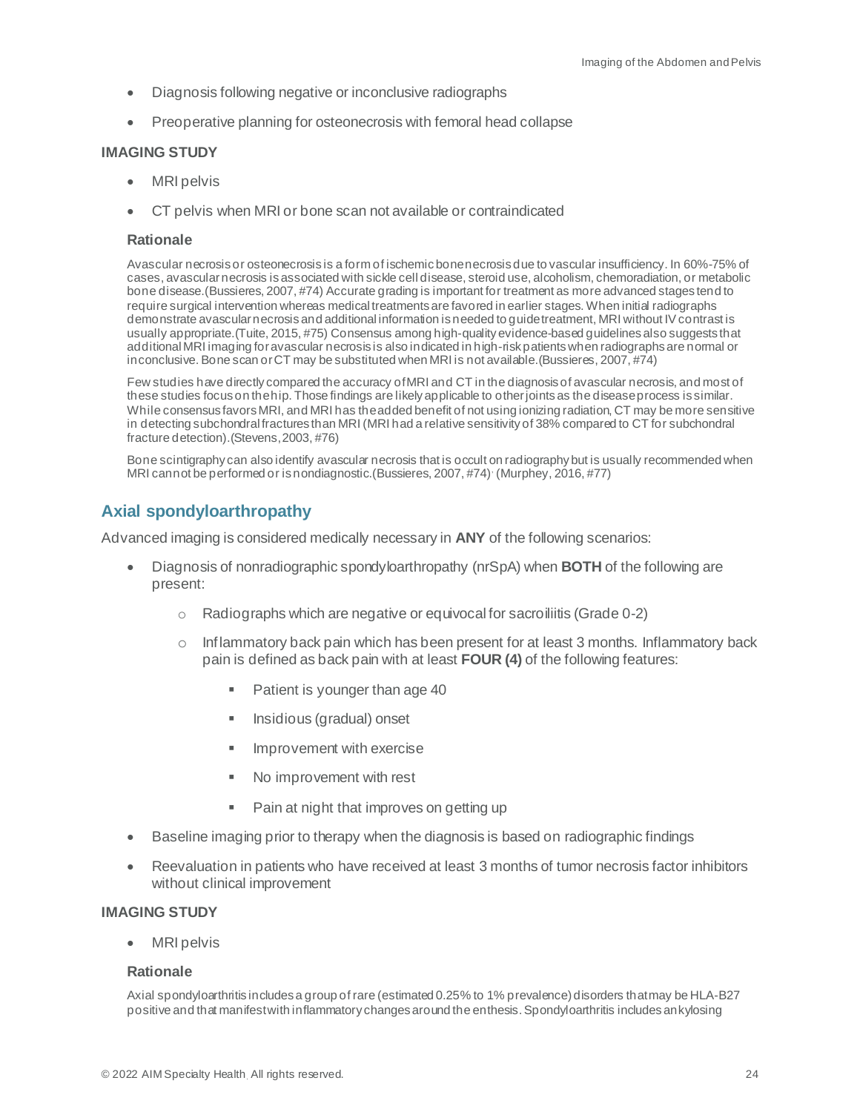- Diagnosis following negative or inconclusive radiographs
- Preoperative planning for osteonecrosis with femoral head collapse

#### **IMAGING STUDY**

- **MRI** pelvis
- CT pelvis when MRI or bone scan not available or contraindicated

#### **Rationale**

Avascular necrosis or osteonecrosis is a form of ischemic bone necrosis due to vascular insufficiency. In 60%-75% of cases, avascular necrosis is associated with sickle cell disease, steroid use, alcoholism, chemoradiation, or metabolic bone disease.(Bussieres, 2007, #74) Accurate grading is important for treatment as more advanced stages tend to require surgical intervention whereas medical treatments are favored in earlier stages. When initial radiographs demonstrate avascular necrosis and additional information is needed to guide treatment, MRI without IV contrast is usually appropriate.(Tuite, 2015, #75) Consensus among high-quality evidence-based guidelines also suggests that additional MRI imaging for avascular necrosis is also indicated in high-risk patients when radiographs are normal or inconclusive. Bone scan or CT may be substituted when MRI is not available. (Bussieres, 2007, #74)

Few studies have directly compared the accuracy of MRI and CT in the diagnosis of avascular necrosis, and most of these studies focus on the hip. Those findings are likely applicable to other joints as the disease process is similar. While consensus favors MRI, and MRI has the added benefit of not using ionizing radiation, CT may be more sensitive in detecting subchondral fractures than MRI (MRI had a relative sensitivity of 38% compared to CT for subchondral fracture detection).(Stevens, 2003, #76)

Bone scintigraphy can also identify avascular necrosis that is occult on radiography but is usually recommended when MRI cannot be performed or is nondiagnostic.(Bussieres, 2007, #74)<sup>,</sup> (Murphey, 2016, #77)

## <span id="page-23-0"></span>**Axial spondyloarthropathy**

Advanced imaging is considered medically necessary in **ANY** of the following scenarios:

- Diagnosis of nonradiographic spondyloarthropathy (nrSpA) when **BOTH** of the following are present:
	- o Radiographs which are negative or equivocal for sacroiliitis (Grade 0-2)
	- $\circ$  Inflammatory back pain which has been present for at least 3 months. Inflammatory back pain is defined as back pain with at least **FOUR (4)** of the following features:
		- Patient is younger than age 40
		- Insidious (gradual) onset
		- **■** Improvement with exercise
		- No improvement with rest
		- Pain at night that improves on getting up
- Baseline imaging prior to therapy when the diagnosis is based on radiographic findings
- Reevaluation in patients who have received at least 3 months of tumor necrosis factor inhibitors without clinical improvement

#### **IMAGING STUDY**

• MRI pelvis

#### **Rationale**

Axial spondyloarthritis includes a group of rare (estimated 0.25% to 1% prevalence) disorders that may be HLA-B27 positive and that manifest with inflammatory changes around the enthesis. Spondyloarthritis includes ankylosing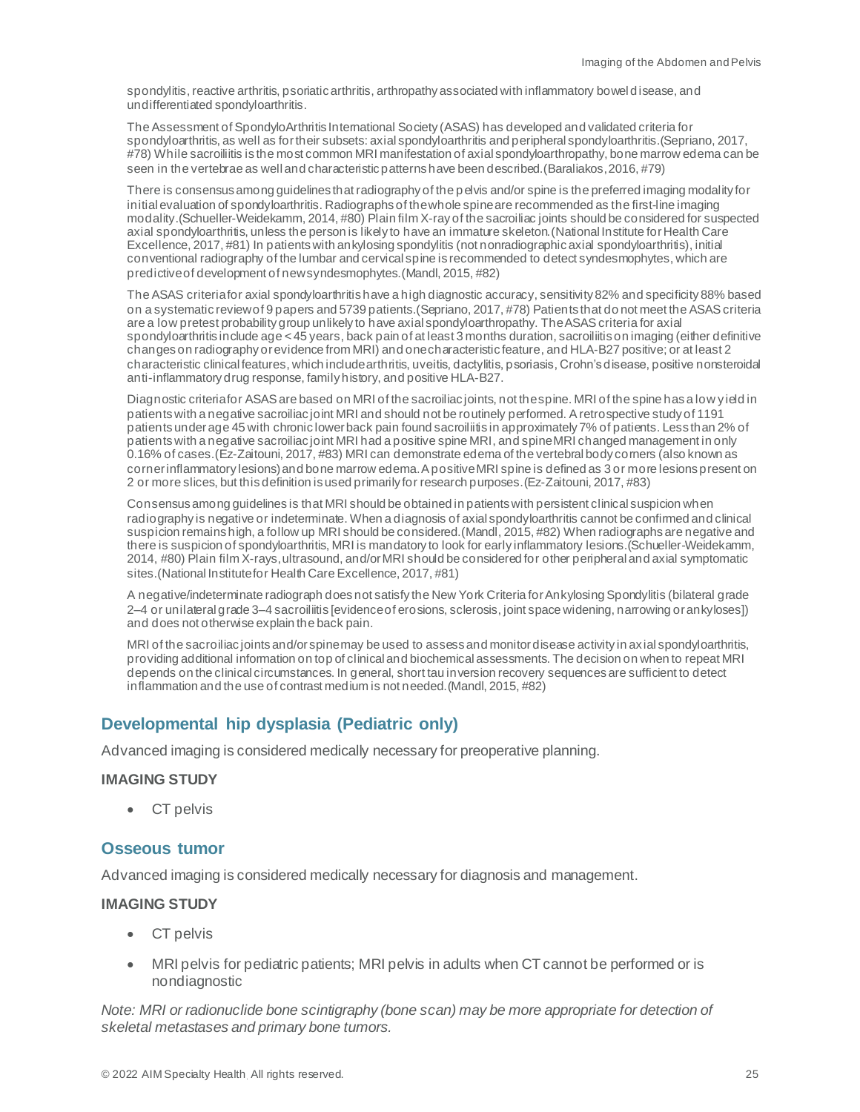spondylitis, reactive arthritis, psoriatic arthritis, arthropathy associated with inflammatory bowel disease, and undifferentiated spondyloarthritis.

The Assessment of SpondyloArthritis International Society (ASAS) has developed and validated criteria for spondyloarthritis, as well as for their subsets: axial spondyloarthritis and peripheral spondyloarthritis.(Sepriano, 2017, #78) While sacroiliitis is the most common MRI manifestation of axial spondyloarthropathy, bone marrow edema can be seen in the vertebrae as well and characteristic patterns have been described.(Baraliakos, 2016, #79)

There is consensus among guidelines that radiography of the pelvis and/or spine is the preferred imaging modality for initial evaluation of spondyloarthritis. Radiographs of the whole spine are recommended as the first-line imaging modality.(Schueller-Weidekamm, 2014, #80) Plain film X-ray of the sacroiliac joints should be considered for suspected axial spondyloarthritis, unless the person is likely to have an immature skeleton.(National Institute for Health Care Excellence, 2017, #81) In patients with ankylosing spondylitis (not nonradiographic axial spondyloarthritis), initial conventional radiography of the lumbar and cervical spine is recommended to detect syndesmophytes, which are predictive of development of new syndesmophytes.(Mandl, 2015, #82)

The ASAS criteria for axial spondyloarthritis have a high diagnostic accuracy, sensitivity 82% and specificity 88% based on a systematic review of 9 papers and 5739 patients.(Sepriano, 2017, #78) Patients that do not meet the ASAS criteria are a low pretest probability group unlikely to have axial spondyloarthropathy. TheASAS criteria for axial spondyloarthritis include age < 45 years, back pain of at least 3 months duration, sacroiliitis on imaging (either definitive changes on radiography or evidence from MRI) and one characteristic feature, and HLA-B27 positive; or at least 2 characteristic clinical features, which include arthritis, uveitis, dactylitis, psoriasis, Crohn's disease, positive nonsteroidal anti-inflammatory drug response, family history, and positive HLA-B27.

Diagnostic criteria for ASASare based on MRI of the sacroiliac joints, not the spine. MRI of the spine has a low yield in patients with a negative sacroiliac joint MRI and should not be routinely performed. A retrospective study of 1191 patients under age 45 with chronic lower back pain found sacroiliitis in approximately 7% of patients. Less than 2% of patients with a negative sacroiliac joint MRI had a positive spine MRI, and spine MRI changed management in only 0.16% of cases.(Ez-Zaitouni, 2017, #83) MRI can demonstrate edema of the vertebral body corners (also known as corner inflammatory lesions) and bone marrow edema. A positive MRI spine is defined as 3 or more lesions present on 2 or more slices, but this definition is used primarily for research purposes.(Ez-Zaitouni, 2017, #83)

Consensus among guidelines is that MRI should be obtained in patients with persistent clinical suspicion when radiography is negative or indeterminate. When a diagnosis of axial spondyloarthritis cannot be confirmed and clinical suspicion remains high, a follow up MRI should be considered.(Mandl, 2015, #82) When radiographs are negative and there is suspicion of spondyloarthritis, MRI is mandatory to look for early inflammatory lesions.(Schueller-Weidekamm, 2014, #80) Plain film X-rays, ultrasound, and/or MRI should be considered for other peripheral and axial symptomatic sites.(National Institute for Health Care Excellence, 2017, #81)

A negative/indeterminate radiograph does not satisfy the New York Criteria for Ankylosing Spondylitis (bilateral grade 2–4 or unilateral grade 3–4 sacroiliitis [evidence of erosions, sclerosis, joint space widening, narrowing or ankyloses]) and does not otherwise explain the back pain.

MRI of the sacroiliac joints and/or spine may be used to assess and monitor disease activity in axial spondyloarthritis, providing additional information on top of clinical and biochemical assessments. The decision on when to repeat MRI depends on the clinical circumstances. In general, short tau inversion recovery sequences are sufficient to detect inflammation and the use of contrast medium is not needed. (Mandl, 2015, #82)

# <span id="page-24-0"></span>**Developmental hip dysplasia (Pediatric only)**

Advanced imaging is considered medically necessary for preoperative planning.

#### **IMAGING STUDY**

• CT pelvis

# <span id="page-24-1"></span>**Osseous tumor**

Advanced imaging is considered medically necessary for diagnosis and management.

#### **IMAGING STUDY**

- CT pelvis
- MRI pelvis for pediatric patients; MRI pelvis in adults when CT cannot be performed or is nondiagnostic

*Note: MRI or radionuclide bone scintigraphy (bone scan) may be more appropriate for detection of skeletal metastases and primary bone tumors.*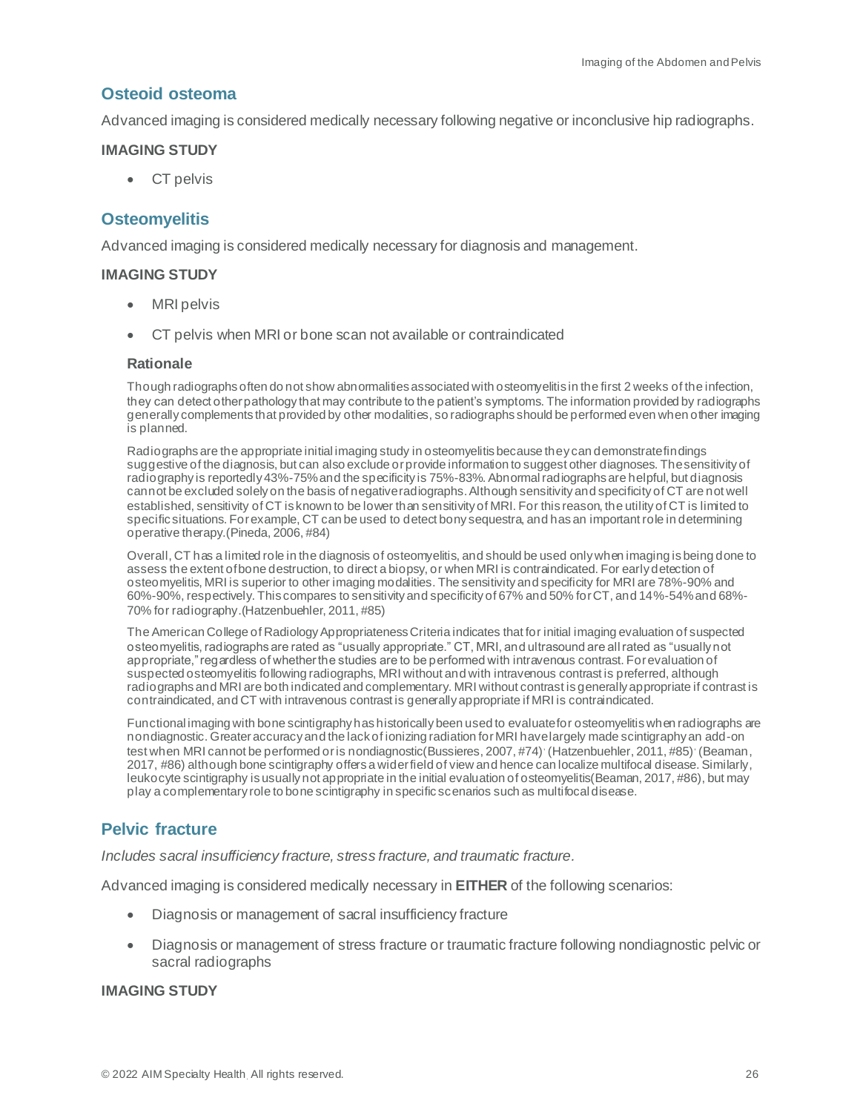# <span id="page-25-0"></span>**Osteoid osteoma**

Advanced imaging is considered medically necessary following negative or inconclusive hip radiographs.

#### **IMAGING STUDY**

• CT pelvis

# <span id="page-25-1"></span>**Osteomyelitis**

Advanced imaging is considered medically necessary for diagnosis and management.

#### **IMAGING STUDY**

- MRI pelvis
- CT pelvis when MRI or bone scan not available or contraindicated

#### **Rationale**

Though radiographs often do not show abnormalities associated with osteomyelitis in the first 2 weeks of the infection, they can detect other pathology that may contribute to the patient's symptoms. The information provided by radiographs generally complements that provided by other modalities, so radiographs should be performed even when other imaging is planned.

Radiographs are the appropriate initial imaging study in osteomyelitis because they can demonstrate findings suggestive of the diagnosis, but can also exclude or provide information to suggest other diagnoses. The sensitivity of radiography is reportedly 43%-75% and the specificity is 75%-83%. Abnormal radiographs are helpful, but diagnosis cannot be excluded solely on the basis of negative radiographs. Although sensitivity and specificity of CT are not well established, sensitivity of CT is known to be lower than sensitivity of MRI. For this reason, the utility of CT is limited to specific situations. For example, CT can be used to detect bony sequestra, and has an important role in determining operative therapy.(Pineda, 2006, #84)

Overall, CT has a limited role in the diagnosis of osteomyelitis, and should be used only when imaging is being done to assess the extent of bone destruction, to direct a biopsy, or when MRI is contraindicated. For early detection of osteomyelitis, MRI is superior to other imaging modalities. The sensitivity and specificity for MRI are 78%-90% and 60%-90%, respectively. This compares to sensitivity and specificity of 67% and 50% for CT, and 14%-54% and 68%- 70% for radiography.(Hatzenbuehler, 2011, #85)

The American College of Radiology Appropriateness Criteria indicates that for initial imaging evaluation of suspected osteomyelitis, radiographs are rated as "usually appropriate." CT, MRI, and ultrasound are all rated as "usually not appropriate," regardless of whether the studies are to be performed with intravenous contrast. For evaluation of suspected osteomyelitis following radiographs, MRI without and with intravenous contrast is preferred, although radiographs and MRI are both indicated and complementary. MRI without contrast is generally appropriate if contrast is contraindicated, and CT with intravenous contrast is generally appropriate if MRI is contraindicated.

Functional imaging with bone scintigraphy has historically been used to evaluate for osteomyelitis when radiographs are nondiagnostic. Greater accuracy and the lack of ionizing radiation for MRI have largely made scintigraphy an add-on test when MRI cannot be performed or is nondiagnostic (Bussieres, 2007, #74)<sup>,</sup> (Hatzenbuehler, 2011, #85)<sup>,</sup> (Beaman, 2017, #86) although bone scintigraphy offers a wider field of view and hence can localize multifocal disease. Similarly, leukocyte scintigraphy is usually not appropriate in the initial evaluation of osteomyelitis(Beaman, 2017, #86), but may play a complementary role to bone scintigraphy in specific scenarios such as multifocal disease.

# <span id="page-25-2"></span>**Pelvic fracture**

*Includes sacral insufficiency fracture, stress fracture, and traumatic fracture.*

Advanced imaging is considered medically necessary in **EITHER** of the following scenarios:

- Diagnosis or management of sacral insufficiency fracture
- Diagnosis or management of stress fracture or traumatic fracture following nondiagnostic pelvic or sacral radiographs

#### **IMAGING STUDY**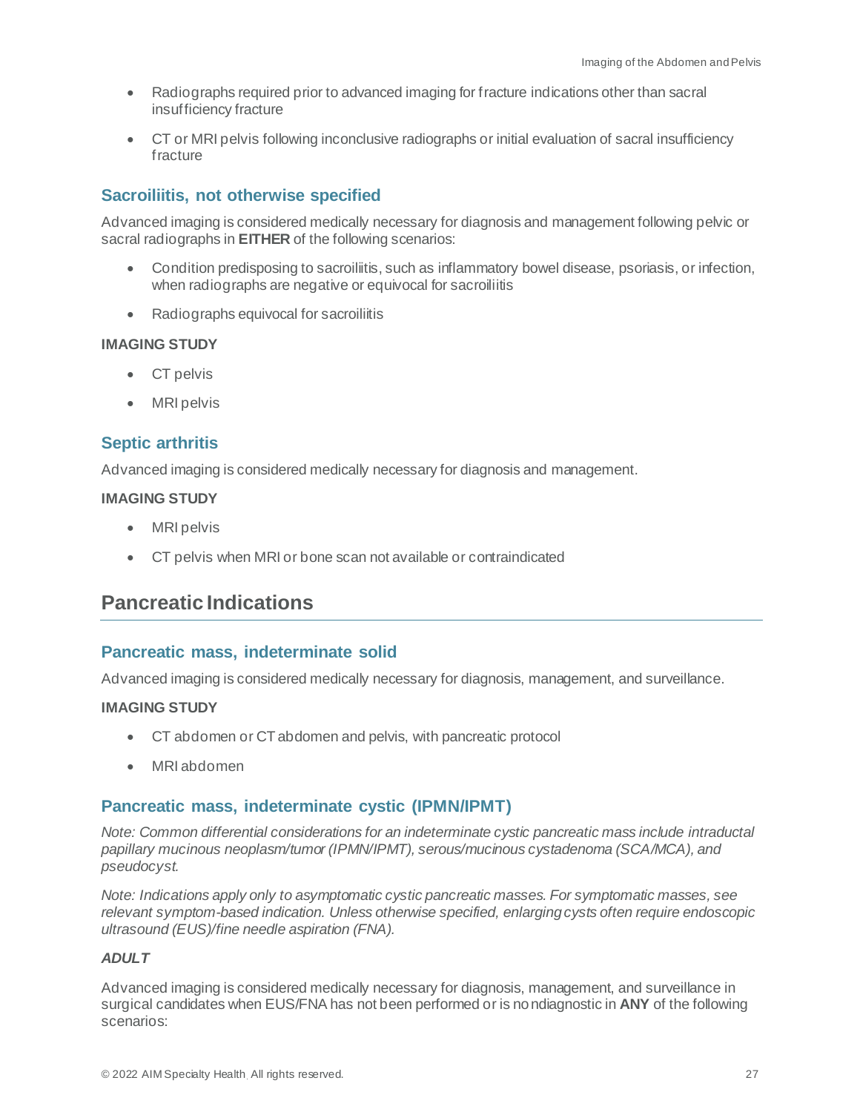- Radiographs required prior to advanced imaging for fracture indications other than sacral insufficiency fracture
- CT or MRI pelvis following inconclusive radiographs or initial evaluation of sacral insufficiency fracture

# <span id="page-26-0"></span>**Sacroiliitis, not otherwise specified**

Advanced imaging is considered medically necessary for diagnosis and management following pelvic or sacral radiographs in **EITHER** of the following scenarios:

- Condition predisposing to sacroiliitis, such as inflammatory bowel disease, psoriasis, or infection, when radiographs are negative or equivocal for sacroiliitis
- Radiographs equivocal for sacroiliitis

#### **IMAGING STUDY**

- CT pelvis
- MRI pelvis

## <span id="page-26-1"></span>**Septic arthritis**

Advanced imaging is considered medically necessary for diagnosis and management.

#### **IMAGING STUDY**

- MRI pelvis
- CT pelvis when MRI or bone scan not available or contraindicated

# <span id="page-26-2"></span>**Pancreatic Indications**

#### <span id="page-26-3"></span>**Pancreatic mass, indeterminate solid**

Advanced imaging is considered medically necessary for diagnosis, management, and surveillance.

#### **IMAGING STUDY**

- CT abdomen or CT abdomen and pelvis, with pancreatic protocol
- MRI abdomen

#### <span id="page-26-4"></span>**Pancreatic mass, indeterminate cystic (IPMN/IPMT)**

*Note: Common differential considerations for an indeterminate cystic pancreatic mass include intraductal papillary mucinous neoplasm/tumor (IPMN/IPMT), serous/mucinous cystadenoma (SCA/MCA), and pseudocyst.*

*Note: Indications apply only to asymptomatic cystic pancreatic masses. For symptomatic masses, see relevant symptom-based indication. Unless otherwise specified, enlarging cysts often require endoscopic ultrasound (EUS)/fine needle aspiration (FNA).*

### *ADULT*

Advanced imaging is considered medically necessary for diagnosis, management, and surveillance in surgical candidates when EUS/FNA has not been performed or is nondiagnostic in **ANY** of the following scenarios: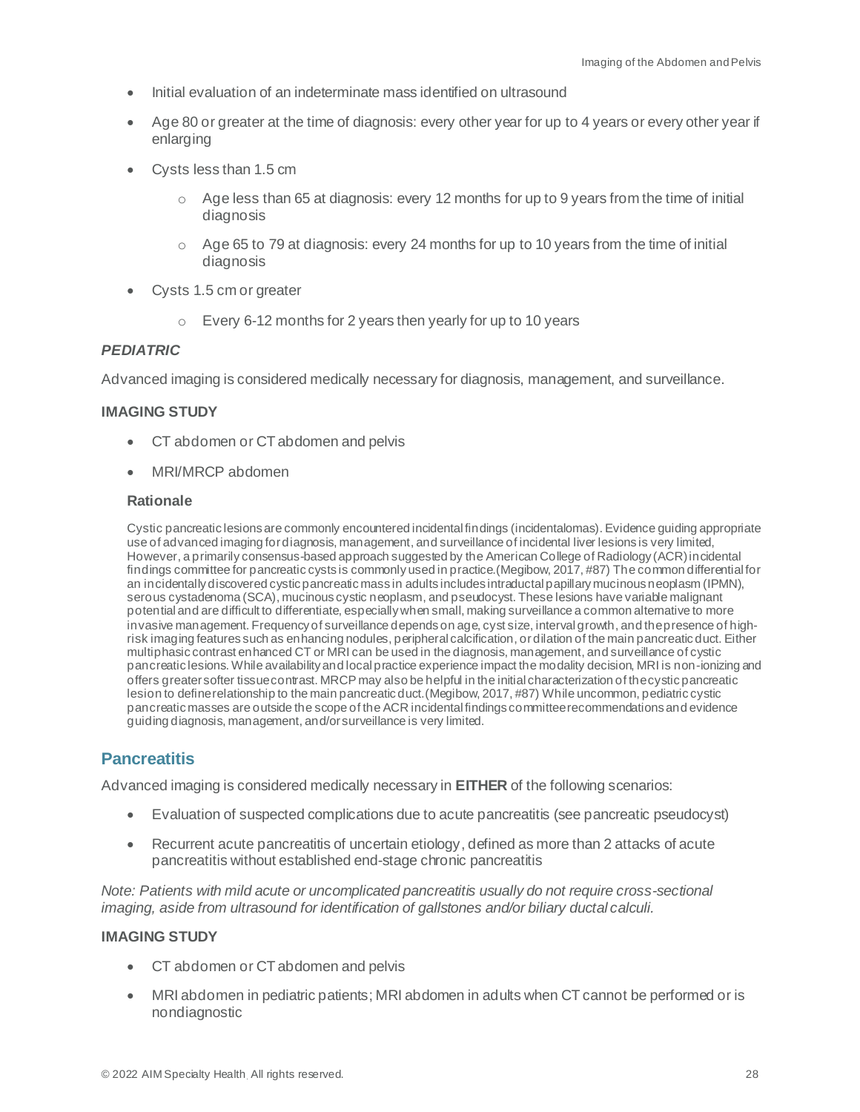- Initial evaluation of an indeterminate mass identified on ultrasound
- Age 80 or greater at the time of diagnosis: every other year for up to 4 years or every other year if enlarging
- Cysts less than 1.5 cm
	- $\circ$  Age less than 65 at diagnosis: every 12 months for up to 9 years from the time of initial diagnosis
	- $\circ$  Age 65 to 79 at diagnosis: every 24 months for up to 10 years from the time of initial diagnosis
- Cysts 1.5 cm or greater
	- o Every 6-12 months for 2 years then yearly for up to 10 years

#### *PEDIATRIC*

Advanced imaging is considered medically necessary for diagnosis, management, and surveillance.

#### **IMAGING STUDY**

- CT abdomen or CT abdomen and pelvis
- MRI/MRCP abdomen

#### **Rationale**

Cystic pancreatic lesions are commonly encountered incidental findings (incidentalomas). Evidence guiding appropriate use of advanced imaging for diagnosis, management, and surveillance of incidental liver lesions is very limited, However, a primarily consensus-based approach suggested by the American College of Radiology (ACR) incidental findings committee for pancreatic cysts is commonly used in practice.(Megibow, 2017, #87) The common differential for an incidentally discovered cystic pancreatic mass in adults includes intraductal papillary mucinous neoplasm (IPMN), serous cystadenoma (SCA), mucinous cystic neoplasm, and pseudocyst. These lesions have variable malignant potential and are difficult to differentiate, especially when small, making surveillance a common alternative to more invasive management. Frequency of surveillance depends on age, cyst size, interval growth, and the presence of highrisk imaging features such as enhancing nodules, peripheral calcification, or dilation of the main pancreatic duct. Either multiphasic contrast enhanced CT or MRI can be used in the diagnosis, management, and surveillance of cystic pancreatic lesions. While availability and local practice experience impact the modality decision, MRI is non-ionizing and offers greater softer tissue contrast. MRCP may also be helpful in the initial characterization of the cystic pancreatic lesion to define relationship to the main pancreatic duct.(Megibow, 2017, #87) While uncommon, pediatric cystic pancreatic masses are outside the scope of the ACR incidental findings committee recommendations and evidence guiding diagnosis, management, and/or surveillance is very limited.

# <span id="page-27-0"></span>**Pancreatitis**

Advanced imaging is considered medically necessary in **EITHER** of the following scenarios:

- Evaluation of suspected complications due to acute pancreatitis (see pancreatic pseudocyst)
- Recurrent acute pancreatitis of uncertain etiology, defined as more than 2 attacks of acute pancreatitis without established end-stage chronic pancreatitis

*Note: Patients with mild acute or uncomplicated pancreatitis usually do not require cross-sectional imaging, aside from ultrasound for identification of gallstones and/or biliary ductal calculi.*

#### **IMAGING STUDY**

- CT abdomen or CT abdomen and pelvis
- MRI abdomen in pediatric patients; MRI abdomen in adults when CT cannot be performed or is nondiagnostic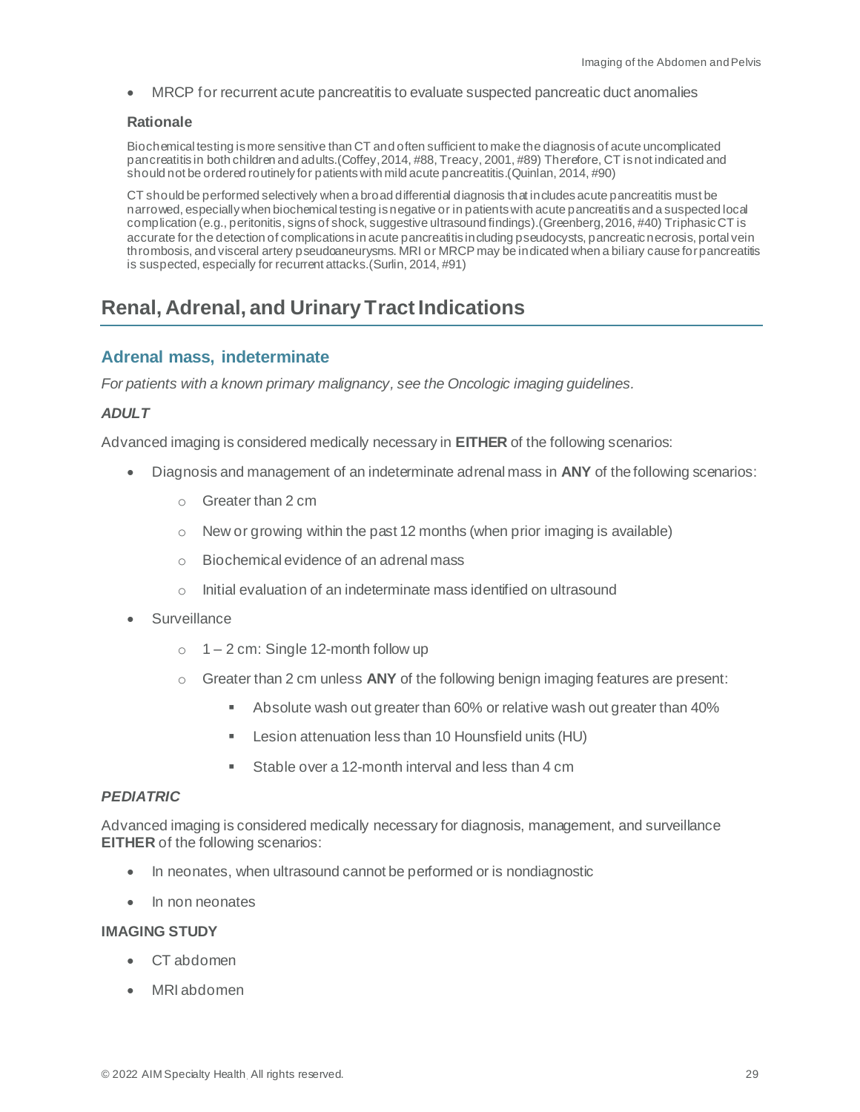• MRCP for recurrent acute pancreatitis to evaluate suspected pancreatic duct anomalies

#### **Rationale**

Biochemical testing is more sensitive than CT and often sufficient to make the diagnosis of acute uncomplicated pancreatitis in both children and adults.(Coffey, 2014, #88, Treacy, 2001, #89) Therefore, CT is not indicated and should not be ordered routinely for patients with mild acute pancreatitis.(Quinlan, 2014, #90)

CT should be performed selectively when a broad differential diagnosis that includes acute pancreatitis must be narrowed, especially when biochemical testing is negative or in patients with acute pancreatitis and a suspected local complication (e.g., peritonitis, signs of shock, suggestive ultrasound findings).(Greenberg, 2016, #40) Triphasic CT is accurate for the detection of complications in acute pancreatitis including pseudocysts, pancreatic necrosis, portal vein thrombosis, and visceral artery pseudoaneurysms. MRI or MRCP may be indicated when a biliary cause for pancreatitis is suspected, especially for recurrent attacks.(Surlin, 2014, #91)

# <span id="page-28-0"></span>**Renal, Adrenal, and Urinary Tract Indications**

# <span id="page-28-1"></span>**Adrenal mass, indeterminate**

*For patients with a known primary malignancy, see the Oncologic imaging guidelines.*

#### *ADULT*

Advanced imaging is considered medically necessary in **EITHER** of the following scenarios:

- Diagnosis and management of an indeterminate adrenal mass in **ANY** of the following scenarios:
	- o Greater than 2 cm
	- $\circ$  New or growing within the past 12 months (when prior imaging is available)
	- o Biochemical evidence of an adrenal mass
	- o Initial evaluation of an indeterminate mass identified on ultrasound
- **Surveillance** 
	- $\circ$  1 2 cm: Single 12-month follow up
	- o Greater than 2 cm unless **ANY** of the following benign imaging features are present:
		- Absolute wash out greater than 60% or relative wash out greater than 40%
		- Lesion attenuation less than 10 Hounsfield units (HU)
		- Stable over a 12-month interval and less than 4 cm

#### *PEDIATRIC*

Advanced imaging is considered medically necessary for diagnosis, management, and surveillance **EITHER** of the following scenarios:

- In neonates, when ultrasound cannot be performed or is nondiagnostic
- In non neonates

#### **IMAGING STUDY**

- CT abdomen
- MRI abdomen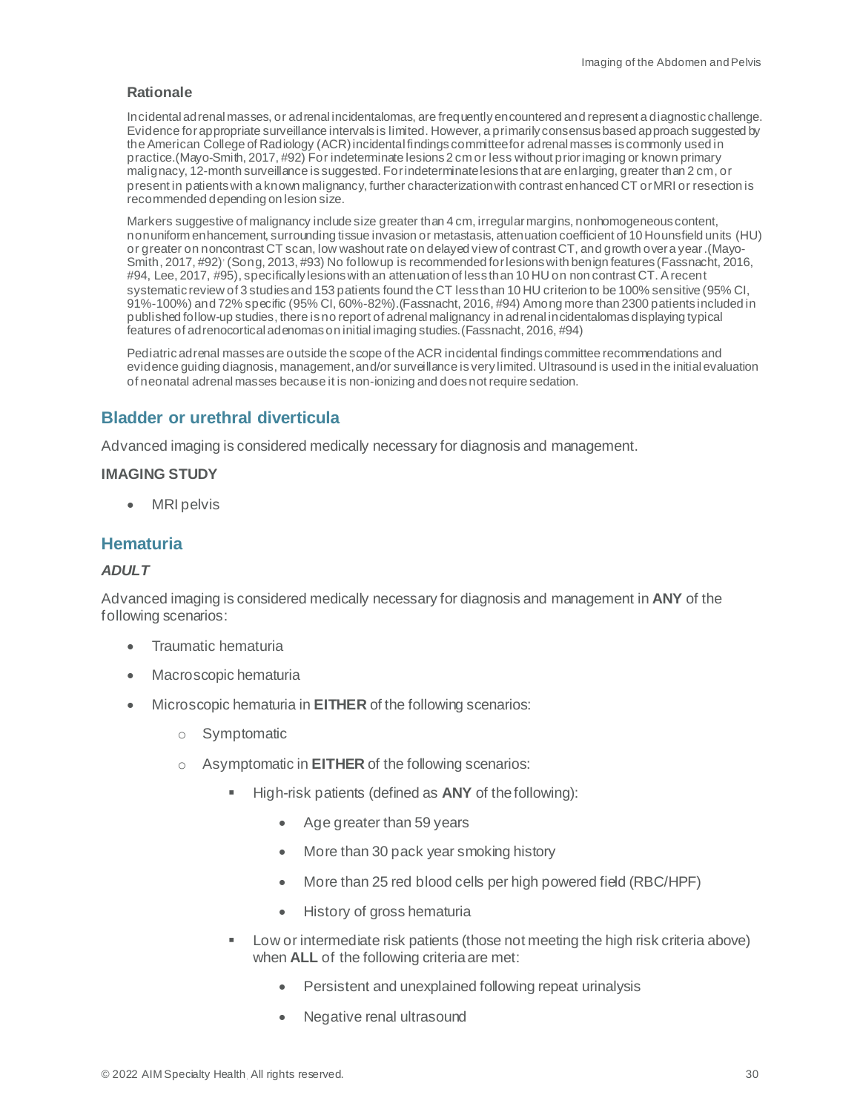Incidental adrenal masses, or adrenal incidentalomas, are frequently encountered and represent a diagnostic challenge. Evidence for appropriate surveillance intervals is limited. However, a primarily consensus based approach suggested by the American College of Radiology (ACR) incidental findings committee for adrenal masses is commonly used in practice.(Mayo-Smith, 2017, #92) For indeterminate lesions 2 cm or less without prior imaging or known primary malignacy, 12-month surveillance is suggested. For indeterminate lesions that are enlarging, greater than 2 cm, or present in patients with a known malignancy, further characterization with contrast enhanced CT or MRI or resection is recommended depending on lesion size.

Markers suggestive of malignancy include size greater than 4 cm, irregular margins, nonhomogeneous content, nonuniform enhancement, surrounding tissue invasion or metastasis, attenuation coefficient of 10 Hounsfield units (HU) or greater on noncontrast CT scan, low washout rate on delayed view of contrast CT, and growth over a year.(Mayo-Smith, 2017, #92) (Song, 2013, #93) No follow up is recommended for lesions with benign features (Fassnacht, 2016, #94, Lee, 2017, #95), specifically lesions with an attenuation of less than 10 HU on non contrast CT. A recent systematic review of 3 studies and 153 patients found the CT less than 10 HU criterion to be 100% sensitive (95% CI, 91%-100%) and 72% specific (95% CI, 60%-82%).(Fassnacht, 2016, #94) Among more than 2300 patients included in published follow-up studies, there is no report of adrenal malignancy in adrenal incidentalomas displaying typical features of adrenocortical adenomas on initial imaging studies.(Fassnacht, 2016, #94)

Pediatric adrenal masses are outside the scope of the ACR incidental findings committee recommendations and evidence guiding diagnosis, management,and/or surveillance is very limited. Ultrasound is used in the initial evaluation of neonatal adrenal masses because it is non-ionizing and does not require sedation.

### <span id="page-29-0"></span>**Bladder or urethral diverticula**

Advanced imaging is considered medically necessary for diagnosis and management.

#### **IMAGING STUDY**

• MRI pelvis

## <span id="page-29-1"></span>**Hematuria**

#### *ADULT*

Advanced imaging is considered medically necessary for diagnosis and management in **ANY** of the following scenarios:

- Traumatic hematuria
- Macroscopic hematuria
- Microscopic hematuria in **EITHER** of the following scenarios:
	- o Symptomatic
	- o Asymptomatic in **EITHER** of the following scenarios:
		- High-risk patients (defined as **ANY** of the following):
			- Age greater than 59 years
			- More than 30 pack year smoking history
			- More than 25 red blood cells per high powered field (RBC/HPF)
			- History of gross hematuria
		- Low or intermediate risk patients (those not meeting the high risk criteria above) when **ALL** of the following criteria are met:
			- Persistent and unexplained following repeat urinalysis
			- Negative renal ultrasound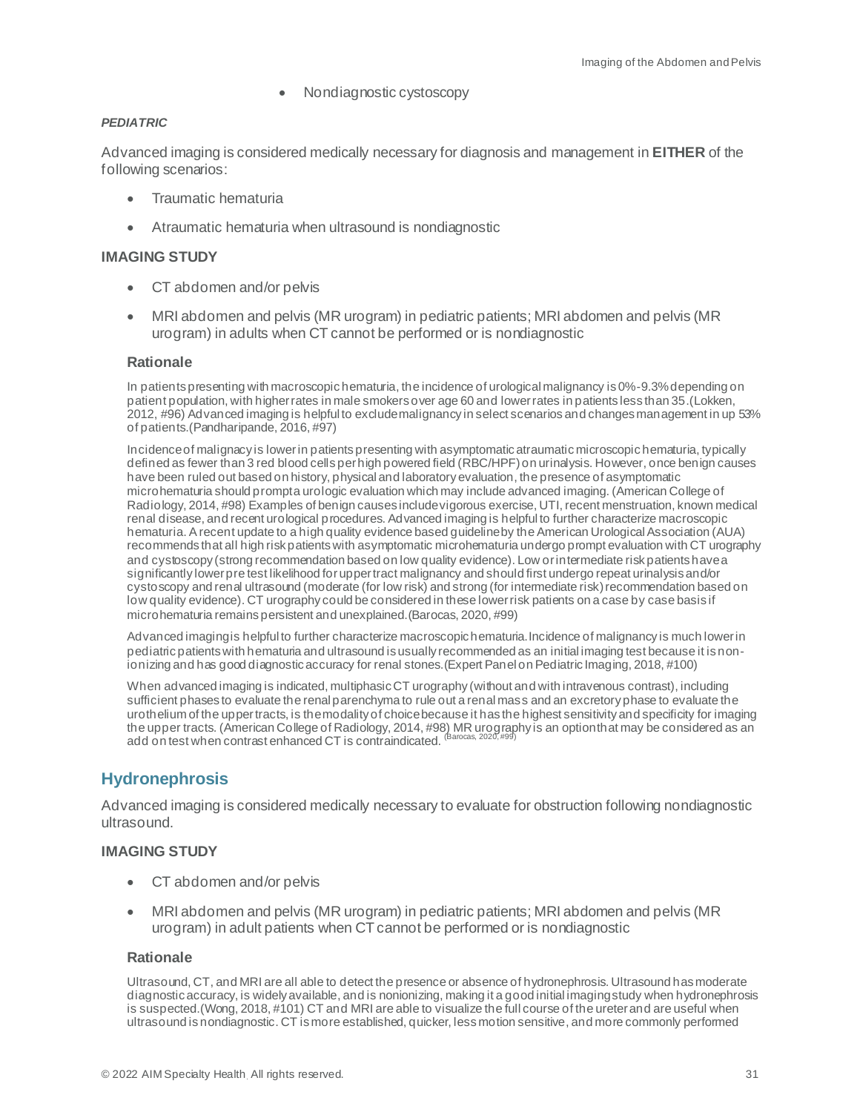• Nondiagnostic cystoscopy

#### *PEDIATRIC*

Advanced imaging is considered medically necessary for diagnosis and management in **EITHER** of the following scenarios:

- Traumatic hematuria
- Atraumatic hematuria when ultrasound is nondiagnostic

#### **IMAGING STUDY**

- CT abdomen and/or pelvis
- MRI abdomen and pelvis (MR urogram) in pediatric patients; MRI abdomen and pelvis (MR urogram) in adults when CT cannot be performed or is nondiagnostic

#### **Rationale**

In patientspresenting with macroscopic hematuria, the incidence of urological malignancy is 0%-9.3% depending on patient population, with higher rates in male smokers over age 60 and lower rates in patients less than 35.(Lokken, 2012, #96) Advanced imaging is helpful to exclude malignancy in select scenarios and changes management in up 53% of patients.(Pandharipande, 2016, #97)

Incidence of malignacy is lower in patients presenting with asymptomatic atraumatic microscopic hematuria, typically defined as fewer than 3 red blood cells per high powered field (RBC/HPF) on urinalysis. However, once benign causes have been ruled out based on history, physical and laboratory evaluation, the presence of asymptomatic microhematuria should prompta urologic evaluation which may include advanced imaging. (American College of Radiology, 2014, #98) Examples of benign causes include vigorous exercise, UTI, recent menstruation, known medical renal disease, and recent urological procedures. Advanced imaging is helpful to further characterize macroscopic hematuria. A recent update to a high quality evidence based guideline by the American Urological Association (AUA) recommends that all high risk patients with asymptomatic microhematuria undergo prompt evaluation with CT urography and cystoscopy (strong recommendation based on low quality evidence). Low or intermediate risk patients have a significantly lower pre test likelihood for upper tract malignancy and should first undergo repeat urinalysis and/or cystoscopy and renal ultrasound (moderate (for low risk) and strong (for intermediate risk) recommendation based on low quality evidence). CT urography could be considered in these lower risk patients on a case by case basis if microhematuria remains persistent and unexplained.(Barocas, 2020, #99)

Advanced imaging is helpful to further characterize macroscopic hematuria.Incidence of malignancy is much lower in pediatric patients with hematuria and ultrasound is usually recommended as an initial imaging test because it is nonionizing and has good diagnostic accuracy for renal stones. (Expert Panel on Pediatric Imaging, 2018, #100)

When advanced imaging is indicated, multiphasic CT urography (without and with intravenous contrast), including sufficient phases to evaluate the renal parenchyma to rule out a renal mass and an excretory phase to evaluate the urothelium of the upper tracts, is the modality of choice because it has the highest sensitivity and specificity for imaging the upper tracts. (American College of Radiology, 2014, #98) MR urography is an option that may be considered as an add on test when contrast enhanced CT is contraindicated. <sup>(Barocas, 2020, #99)</sup>

# <span id="page-30-0"></span>**Hydronephrosis**

Advanced imaging is considered medically necessary to evaluate for obstruction following nondiagnostic ultrasound.

#### **IMAGING STUDY**

- CT abdomen and/or pelvis
- MRI abdomen and pelvis (MR urogram) in pediatric patients; MRI abdomen and pelvis (MR urogram) in adult patients when CT cannot be performed or is nondiagnostic

#### **Rationale**

Ultrasound, CT, and MRI are all able to detect the presence or absence of hydronephrosis. Ultrasound has moderate diagnostic accuracy, is widely available, and is nonionizing, making it a good initial imaging study when hydronephrosis is suspected.(Wong, 2018, #101) CT and MRI are able to visualize the full course of the ureter and are useful when ultrasound is nondiagnostic. CT is more established, quicker, less motion sensitive, and more commonly performed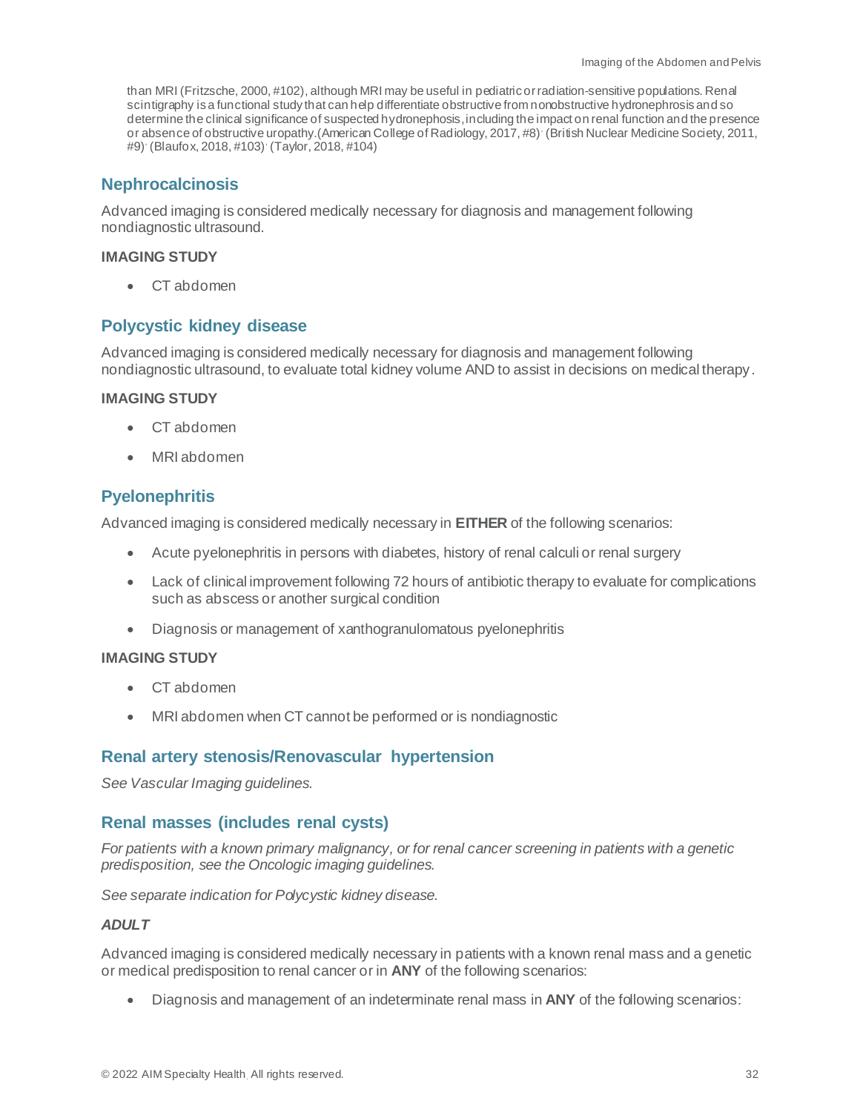than MRI (Fritzsche, 2000, #102), although MRI may be useful in pediatric or radiation-sensitive populations. Renal scintigraphy is a functional study that can help differentiate obstructive from nonobstructive hydronephrosis and so determine the clinical significance of suspected hydronephosis,including the impact on renal function and the presence or absence of obstructive uropathy.(American College of Radiology, 2017, #8), (British Nuclear Medicine Society, 2011, #9), (Blaufox, 2018, #103), (Taylor, 2018, #104)

## <span id="page-31-0"></span>**Nephrocalcinosis**

Advanced imaging is considered medically necessary for diagnosis and management following nondiagnostic ultrasound.

#### **IMAGING STUDY**

• CT abdomen

## <span id="page-31-1"></span>**Polycystic kidney disease**

Advanced imaging is considered medically necessary for diagnosis and management following nondiagnostic ultrasound, to evaluate total kidney volume AND to assist in decisions on medical therapy.

#### **IMAGING STUDY**

- CT abdomen
- MRI abdomen

# <span id="page-31-2"></span>**Pyelonephritis**

Advanced imaging is considered medically necessary in **EITHER** of the following scenarios:

- Acute pyelonephritis in persons with diabetes, history of renal calculi or renal surgery
- Lack of clinical improvement following 72 hours of antibiotic therapy to evaluate for complications such as abscess or another surgical condition
- Diagnosis or management of xanthogranulomatous pyelonephritis

#### **IMAGING STUDY**

- CT abdomen
- MRI abdomen when CT cannot be performed or is nondiagnostic

# <span id="page-31-3"></span>**Renal artery stenosis/Renovascular hypertension**

*See Vascular Imaging guidelines.*

# <span id="page-31-4"></span>**Renal masses (includes renal cysts)**

*For patients with a known primary malignancy, or for renal cancer screening in patients with a genetic predisposition, see the Oncologic imaging guidelines.*

*See separate indication for Polycystic kidney disease.*

#### *ADULT*

Advanced imaging is considered medically necessary in patients with a known renal mass and a genetic or medical predisposition to renal cancer or in **ANY** of the following scenarios:

• Diagnosis and management of an indeterminate renal mass in **ANY** of the following scenarios: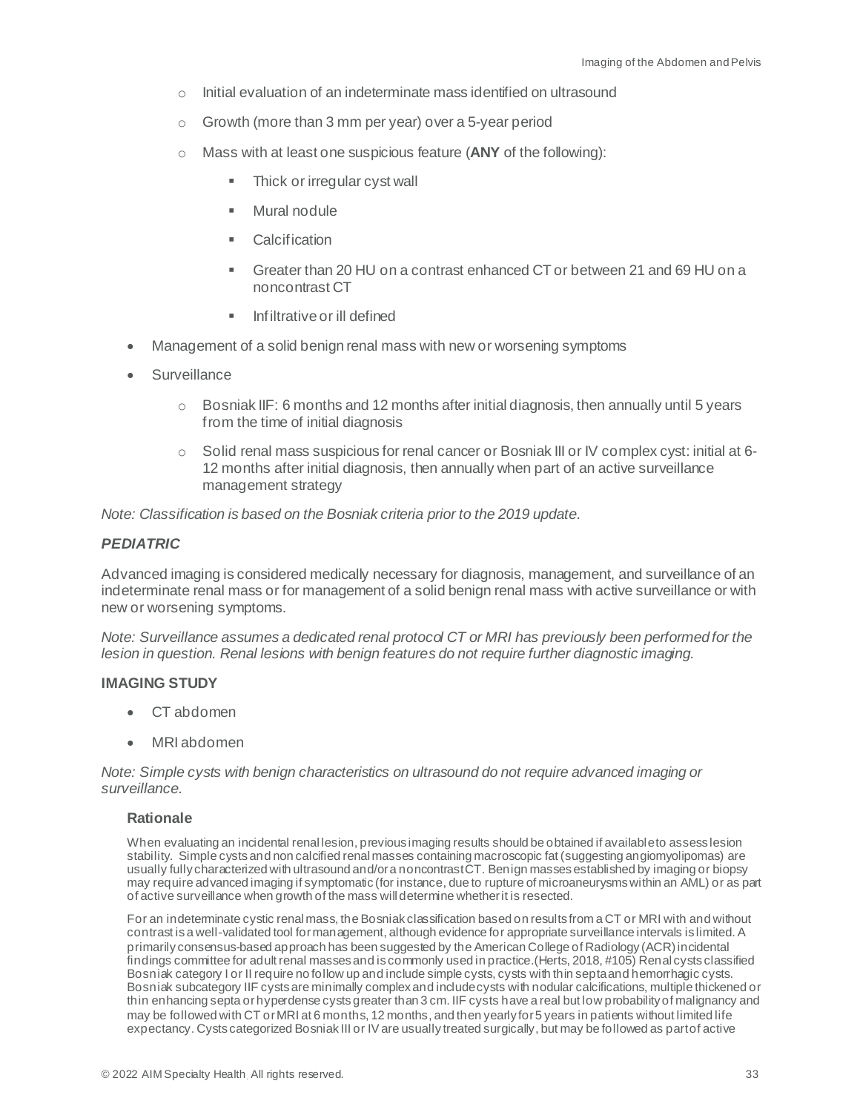- o Initial evaluation of an indeterminate mass identified on ultrasound
- o Growth (more than 3 mm per year) over a 5-year period
- o Mass with at least one suspicious feature (**ANY** of the following):
	- **E** Thick or irregular cyst wall
	- Mural nodule
	- Calcification
	- Greater than 20 HU on a contrast enhanced CT or between 21 and 69 HU on a noncontrast CT
	- Infiltrative or ill defined
- Management of a solid benign renal mass with new or worsening symptoms
- Surveillance
	- $\circ$  Bosniak IIF: 6 months and 12 months after initial diagnosis, then annually until 5 years from the time of initial diagnosis
	- $\circ$  Solid renal mass suspicious for renal cancer or Bosniak III or IV complex cyst: initial at 6-12 months after initial diagnosis, then annually when part of an active surveillance management strategy

*Note: Classification is based on the Bosniak criteria prior to the 2019 update.*

#### *PEDIATRIC*

Advanced imaging is considered medically necessary for diagnosis, management, and surveillance of an indeterminate renal mass or for management of a solid benign renal mass with active surveillance or with new or worsening symptoms.

*Note: Surveillance assumes a dedicated renal protocol CT or MRI has previously been performed for the lesion in question. Renal lesions with benign features do not require further diagnostic imaging.* 

#### **IMAGING STUDY**

- CT abdomen
- MRI abdomen

*Note: Simple cysts with benign characteristics on ultrasound do not require advanced imaging or surveillance.*

#### **Rationale**

When evaluating an incidental renal lesion, previous imaging results should be obtained if available to assess lesion stability. Simple cysts and non calcified renal masses containing macroscopic fat (suggesting angiomyolipomas) are usually fully characterized with ultrasound and/or a noncontrast CT. Benign masses established by imaging or biopsy may require advanced imaging if symptomatic (for instance, due to rupture of microaneurysms within an AML) or as part of active surveillance when growth of the mass will determine whether it is resected.

For an indeterminate cystic renal mass, the Bosniak classification based on results from a CT or MRI with and without contrast is a well-validated tool for management, although evidence for appropriate surveillance intervals is limited. A primarily consensus-based approach has been suggested by the American College of Radiology (ACR) incidental findings committee for adult renal masses and is commonly used in practice.(Herts, 2018, #105) Renal cysts classified Bosniak category I or II require no follow up and include simple cysts, cysts with thin septa and hemorrhagic cysts. Bosniak subcategory IIF cysts are minimally complex and include cysts with nodular calcifications, multiple thickened or thin enhancing septa orhyperdense cysts greater than 3 cm. IIF cysts have a real but low probability of malignancy and may be followed with CT or MRI at 6 months, 12 months, and then yearly for 5 years in patients without limited life expectancy. Cysts categorized Bosniak III or IV are usually treated surgically, but may be followed as part of active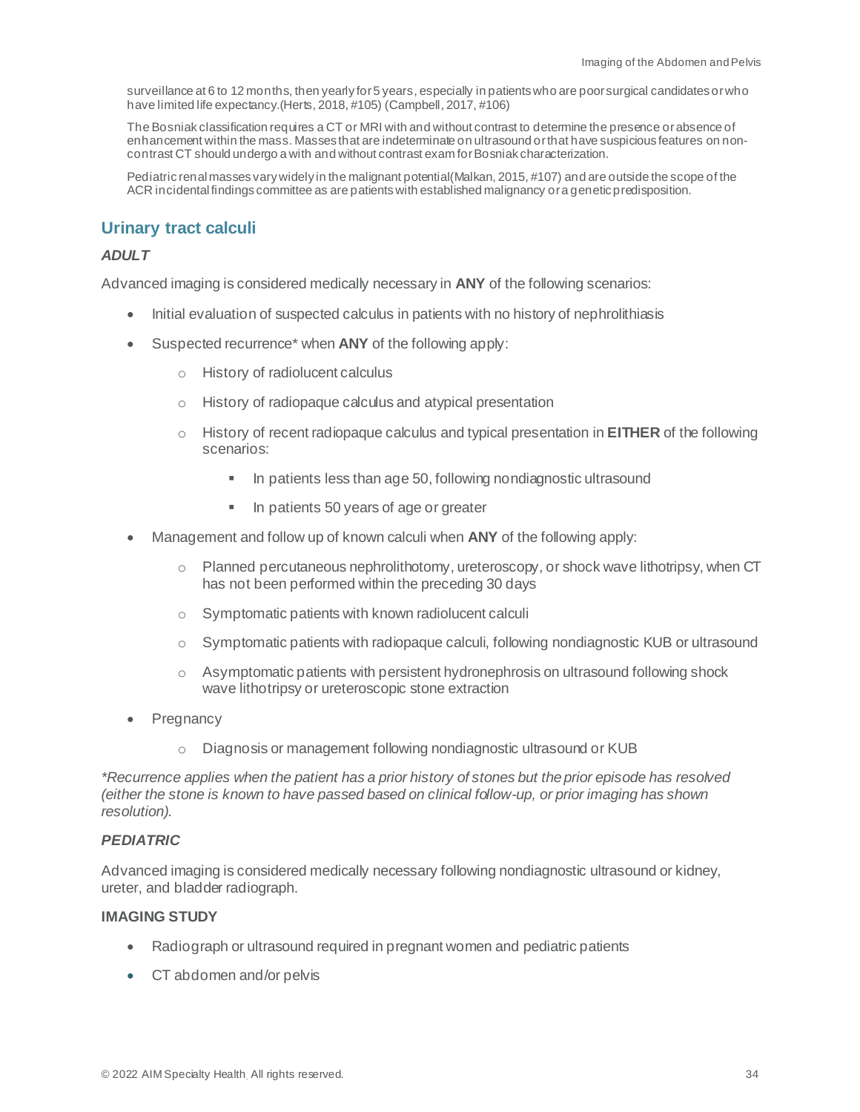surveillance at 6 to 12 months, then yearly for 5 years, especially in patients who are poor surgical candidates or who have limited life expectancy.(Herts, 2018, #105) (Campbell, 2017, #106)

The Bosniak classification requires a CT or MRI with and without contrast to determine the presence orabsence of enhancement within the mass. Masses that are indeterminate on ultrasound or that have suspicious features on noncontrast CT should undergo a with and without contrast exam for Bosniak characterization.

Pediatric renal masses vary widely in the malignant potential(Malkan, 2015, #107) and are outside the scope of the ACR incidental findings committee as are patients with established malignancy or a genetic predisposition.

## <span id="page-33-0"></span>**Urinary tract calculi**

#### *ADULT*

Advanced imaging is considered medically necessary in **ANY** of the following scenarios:

- Initial evaluation of suspected calculus in patients with no history of nephrolithiasis
- Suspected recurrence\* when **ANY** of the following apply:
	- o History of radiolucent calculus
	- o History of radiopaque calculus and atypical presentation
	- o History of recent radiopaque calculus and typical presentation in **EITHER** of the following scenarios:
		- In patients less than age 50, following nondiagnostic ultrasound
		- In patients 50 years of age or greater
- Management and follow up of known calculi when **ANY** of the following apply:
	- o Planned percutaneous nephrolithotomy, ureteroscopy, or shock wave lithotripsy, when CT has not been performed within the preceding 30 days
	- o Symptomatic patients with known radiolucent calculi
	- o Symptomatic patients with radiopaque calculi, following nondiagnostic KUB or ultrasound
	- $\circ$  Asymptomatic patients with persistent hydronephrosis on ultrasound following shock wave lithotripsy or ureteroscopic stone extraction
- Pregnancy
	- o Diagnosis or management following nondiagnostic ultrasound or KUB

*\*Recurrence applies when the patient has a prior history of stones but the prior episode has resolved (either the stone is known to have passed based on clinical follow-up, or prior imaging has shown resolution).*

#### *PEDIATRIC*

Advanced imaging is considered medically necessary following nondiagnostic ultrasound or kidney, ureter, and bladder radiograph.

#### **IMAGING STUDY**

- Radiograph or ultrasound required in pregnant women and pediatric patients
- CT abdomen and/or pelvis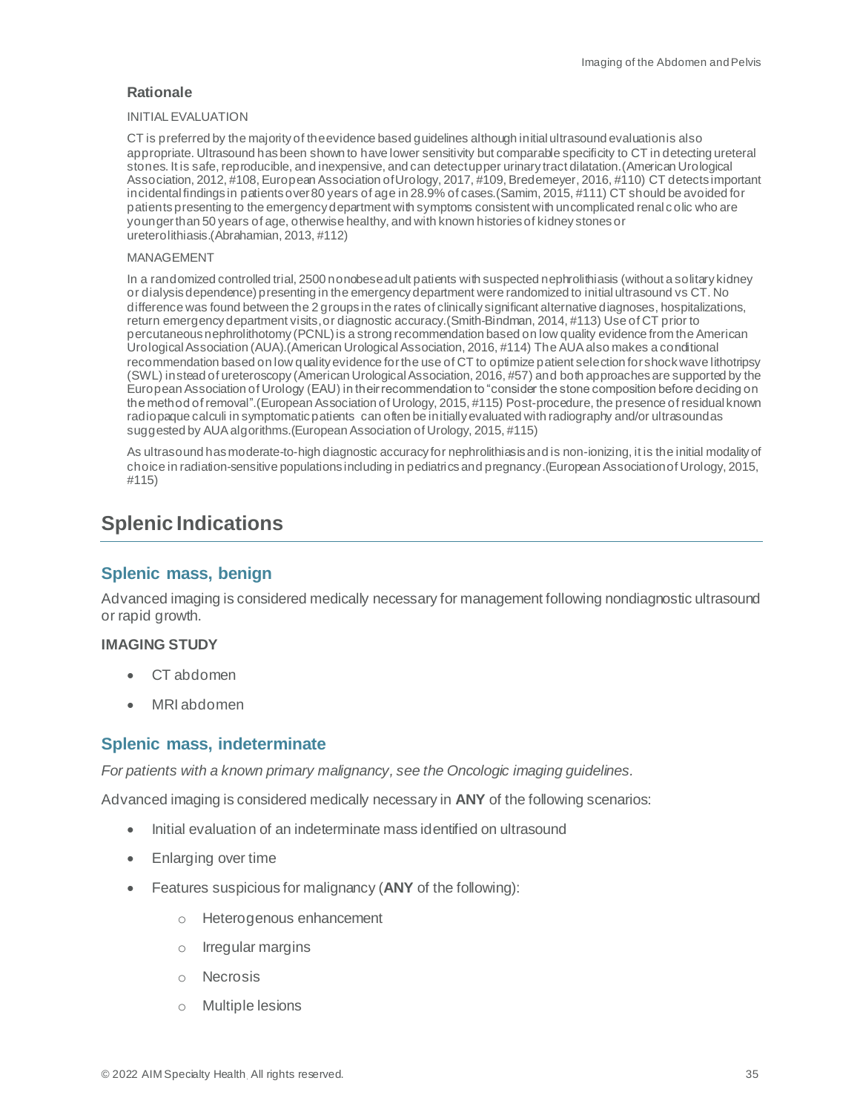#### INITIAL EVALUATION

CT is preferred by the majority of the evidence based guidelines although initial ultrasound evaluation is also appropriate. Ultrasound has been shown to have lower sensitivity but comparable specificity to CT in detecting ureteral stones. It is safe, reproducible, and inexpensive, and can detect upper urinary tract dilatation.(American Urological Association, 2012, #108, European Association of Urology, 2017, #109, Bredemeyer, 2016, #110) CT detects important incidental findings in patients over 80 years of age in 28.9% of cases.(Samim, 2015, #111) CT should be avoided for patients presenting to the emergency department with symptoms consistent with uncomplicated renal colic who are younger than 50 years of age, otherwise healthy, and with known histories of kidney stones or ureterolithiasis.(Abrahamian, 2013, #112)

#### MANAGEMENT

In a randomized controlled trial, 2500 nonobese adult patients with suspected nephrolithiasis (without a solitary kidney or dialysis dependence) presenting in the emergency department were randomized to initial ultrasound vs CT. No difference was found between the 2 groups in the rates of clinically significant alternative diagnoses, hospitalizations, return emergency department visits, or diagnostic accuracy. (Smith-Bindman, 2014, #113) Use of CT prior to percutaneous nephrolithotomy (PCNL) is a strong recommendation based on low quality evidence from the American Urological Association (AUA).(American Urological Association, 2016, #114) The AUA also makes a conditional recommendation based on low quality evidence for the use of CT to optimize patient selection for shock wave lithotripsy (SWL) instead of ureteroscopy (American Urological Association, 2016, #57) and both approaches are supported by the European Association of Urology (EAU) in their recommendation to "consider the stone composition before deciding on the method of removal".(European Association of Urology, 2015, #115) Post-procedure, the presence of residual known radiopaque calculi in symptomatic patients can often be initially evaluated with radiography and/or ultrasound as suggested by AUA algorithms.(European Association of Urology, 2015, #115)

As ultrasound has moderate-to-high diagnostic accuracy for nephrolithiasis and is non-ionizing, it is the initial modality of choice in radiation-sensitive populations including in pediatrics and pregnancy.(European Association of Urology, 2015, #115)

# <span id="page-34-0"></span>**Splenic Indications**

# <span id="page-34-1"></span>**Splenic mass, benign**

Advanced imaging is considered medically necessary for management following nondiagnostic ultrasound or rapid growth.

#### **IMAGING STUDY**

- CT abdomen
- MRI abdomen

#### <span id="page-34-2"></span>**Splenic mass, indeterminate**

*For patients with a known primary malignancy, see the Oncologic imaging guidelines.*

Advanced imaging is considered medically necessary in **ANY** of the following scenarios:

- Initial evaluation of an indeterminate mass identified on ultrasound
- Enlarging over time
- Features suspicious for malignancy (**ANY** of the following):
	- o Heterogenous enhancement
	- o Irregular margins
	- o Necrosis
	- o Multiple lesions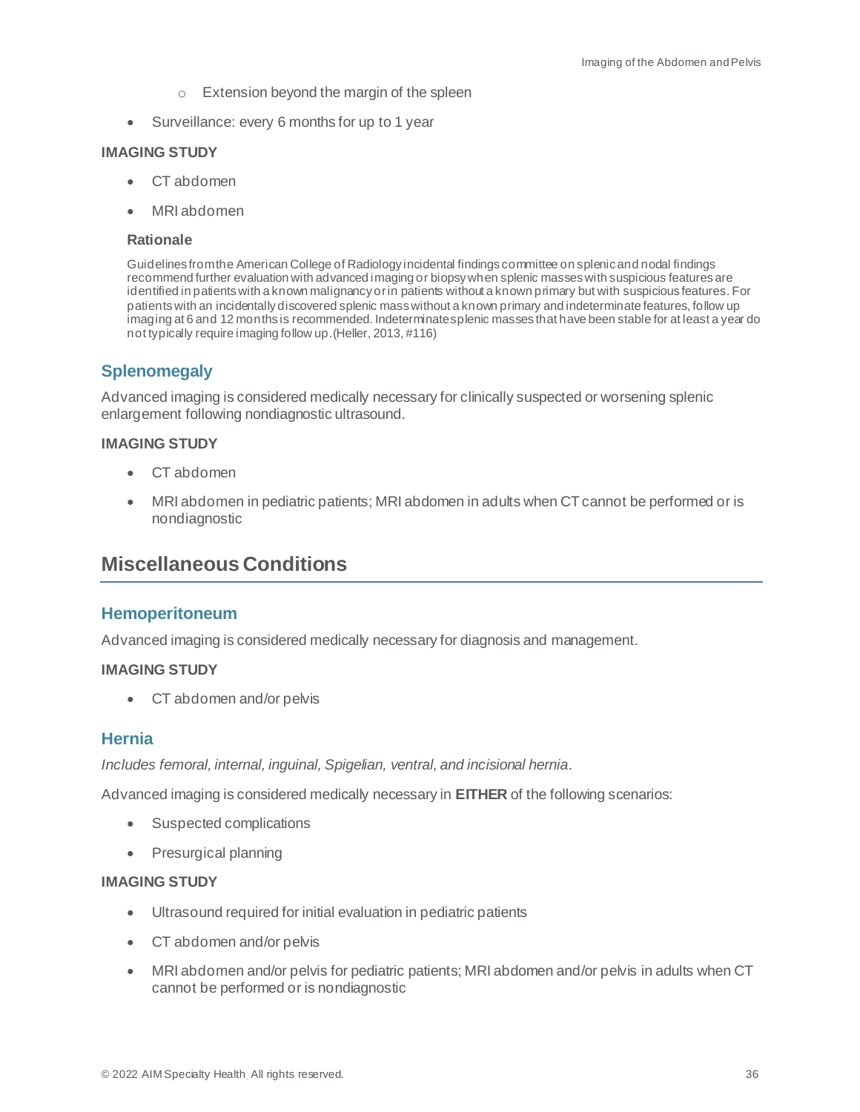- o Extension beyond the margin of the spleen
- Surveillance: every 6 months for up to 1 year

#### **IMAGING STUDY**

- CT abdomen
- MRI abdomen

#### **Rationale**

Guidelines from the American College of Radiology incidental findings committee on splenic and nodal findings recommend further evaluation with advanced imaging or biopsy when splenic masses with suspicious features are identified in patients with a known malignancy or in patients without a known primary but with suspicious features. For patients with an incidentally discovered splenic mass without a known primary and indeterminate features, follow up imaging at 6 and 12 months is recommended. Indeterminate splenic masses that have been stable for at least a year do not typically require imaging follow up.(Heller, 2013, #116)

## <span id="page-35-0"></span>**Splenomegaly**

Advanced imaging is considered medically necessary for clinically suspected or worsening splenic enlargement following nondiagnostic ultrasound.

#### **IMAGING STUDY**

- CT abdomen
- MRI abdomen in pediatric patients; MRI abdomen in adults when CT cannot be performed or is nondiagnostic

# <span id="page-35-1"></span>**Miscellaneous Conditions**

#### <span id="page-35-2"></span>**Hemoperitoneum**

Advanced imaging is considered medically necessary for diagnosis and management.

#### **IMAGING STUDY**

• CT abdomen and/or pelvis

#### <span id="page-35-3"></span>**Hernia**

*Includes femoral, internal, inguinal, Spigelian, ventral, and incisional hernia.*

Advanced imaging is considered medically necessary in **EITHER** of the following scenarios:

- Suspected complications
- Presurgical planning

#### **IMAGING STUDY**

- Ultrasound required for initial evaluation in pediatric patients
- CT abdomen and/or pelvis
- MRI abdomen and/or pelvis for pediatric patients; MRI abdomen and/or pelvis in adults when CT cannot be performed or is nondiagnostic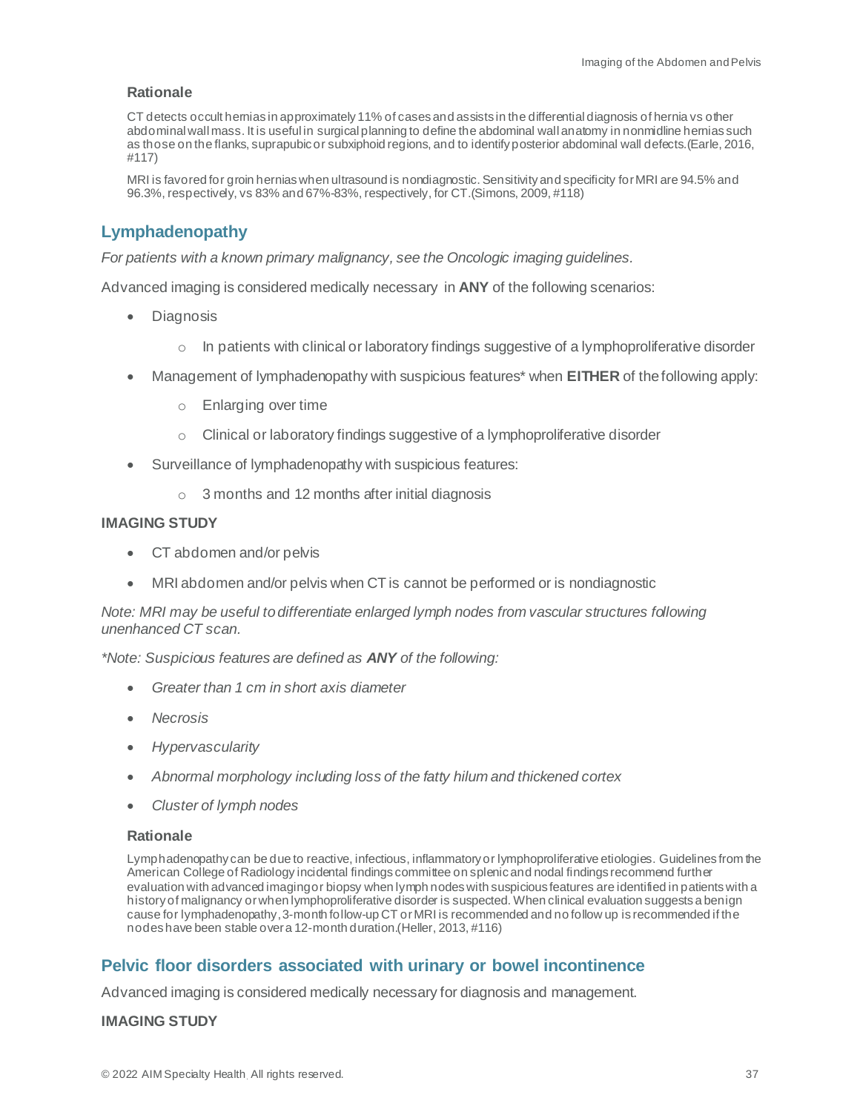CT detects occult hernias in approximately 11% of cases and assists in the differential diagnosis of hernia vs other abdominal wall mass. It is useful in surgical planning to define the abdominal wall anatomy in nonmidline hernias such as those on the flanks, suprapubic or subxiphoid regions, and to identify posterior abdominal wall defects.(Earle, 2016, #117)

MRI is favored for groin hernias when ultrasound is nondiagnostic. Sensitivity and specificity for MRI are 94.5% and 96.3%, respectively, vs 83% and 67%-83%, respectively, for CT.(Simons, 2009, #118)

# <span id="page-36-0"></span>**Lymphadenopathy**

*For patients with a known primary malignancy, see the Oncologic imaging guidelines.*

Advanced imaging is considered medically necessary in **ANY** of the following scenarios:

- Diagnosis
	- $\circ$  In patients with clinical or laboratory findings suggestive of a lymphoproliferative disorder
- Management of lymphadenopathy with suspicious features\* when **EITHER** of the following apply:
	- o Enlarging over time
	- o Clinical or laboratory findings suggestive of a lymphoproliferative disorder
- Surveillance of lymphadenopathy with suspicious features:
	- o 3 months and 12 months after initial diagnosis

#### **IMAGING STUDY**

- CT abdomen and/or pelvis
- MRI abdomen and/or pelvis when CT is cannot be performed or is nondiagnostic

*Note: MRI may be useful to differentiate enlarged lymph nodes from vascular structures following unenhanced CT scan.* 

*\*Note: Suspicious features are defined as ANY of the following:* 

- *Greater than 1 cm in short axis diameter*
- *Necrosis*
- *Hypervascularity*
- *Abnormal morphology including loss of the fatty hilum and thickened cortex*
- *Cluster of lymph nodes*

#### **Rationale**

Lymphadenopathy can be due to reactive, infectious, inflammatory or lymphoproliferative etiologies. Guidelines from the American College of Radiology incidental findings committee on splenic and nodal findings recommend further evaluation with advanced imaging or biopsy when lymph nodes with suspicious features are identified in patients with a history of malignancy or when lymphoproliferative disorder is suspected. When clinical evaluation suggests a benign cause for lymphadenopathy,3-month follow-up CT or MRI is recommended and no follow up is recommended if the nodes have been stable over a 12-month duration.(Heller, 2013, #116)

# <span id="page-36-1"></span>**Pelvic floor disorders associated with urinary or bowel incontinence**

Advanced imaging is considered medically necessary for diagnosis and management.

#### **IMAGING STUDY**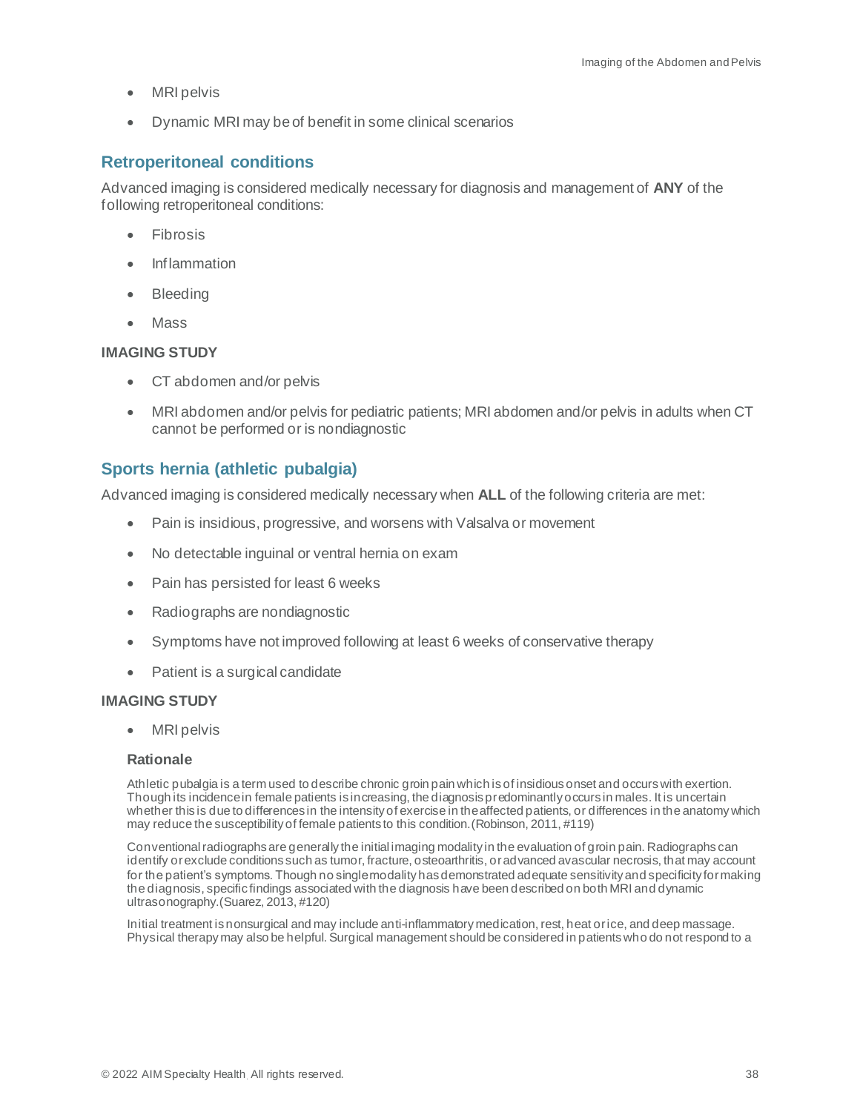- **MRI** pelvis
- Dynamic MRI may be of benefit in some clinical scenarios

# <span id="page-37-0"></span>**Retroperitoneal conditions**

Advanced imaging is considered medically necessary for diagnosis and management of **ANY** of the following retroperitoneal conditions:

- Fibrosis
- Inflammation
- Bleeding
- Mass

#### **IMAGING STUDY**

- CT abdomen and/or pelvis
- MRI abdomen and/or pelvis for pediatric patients; MRI abdomen and/or pelvis in adults when CT cannot be performed or is nondiagnostic

# <span id="page-37-1"></span>**Sports hernia (athletic pubalgia)**

Advanced imaging is considered medically necessary when **ALL** of the following criteria are met:

- Pain is insidious, progressive, and worsens with Valsalva or movement
- No detectable inguinal or ventral hernia on exam
- Pain has persisted for least 6 weeks
- Radiographs are nondiagnostic
- Symptoms have not improved following at least 6 weeks of conservative therapy
- Patient is a surgical candidate

#### **IMAGING STUDY**

• MRI pelvis

#### **Rationale**

Athletic pubalgia is a term used to describe chronic groin pain which is of insidious onset and occurs with exertion. Though its incidence in female patients is increasing, the diagnosis predominantly occurs in males. It is uncertain whether this is due to differences in the intensity of exercise in the affected patients, or differences in the anatomy which may reduce the susceptibility of female patients to this condition.(Robinson, 2011, #119)

Conventional radiographs are generally the initial imaging modality in the evaluation of groin pain. Radiographs can identify or exclude conditions such as tumor, fracture, osteoarthritis, or advanced avascular necrosis, that may account for the patient's symptoms. Though no single modality has demonstrated adequate sensitivity and specificity for making the diagnosis, specific findings associated with the diagnosis have been described on both MRI and dynamic ultrasonography.(Suarez, 2013, #120)

Initial treatment is nonsurgical and may include anti-inflammatory medication, rest, heat or ice, and deep massage. Physical therapy may also be helpful. Surgical management should be considered in patients who do not respond to a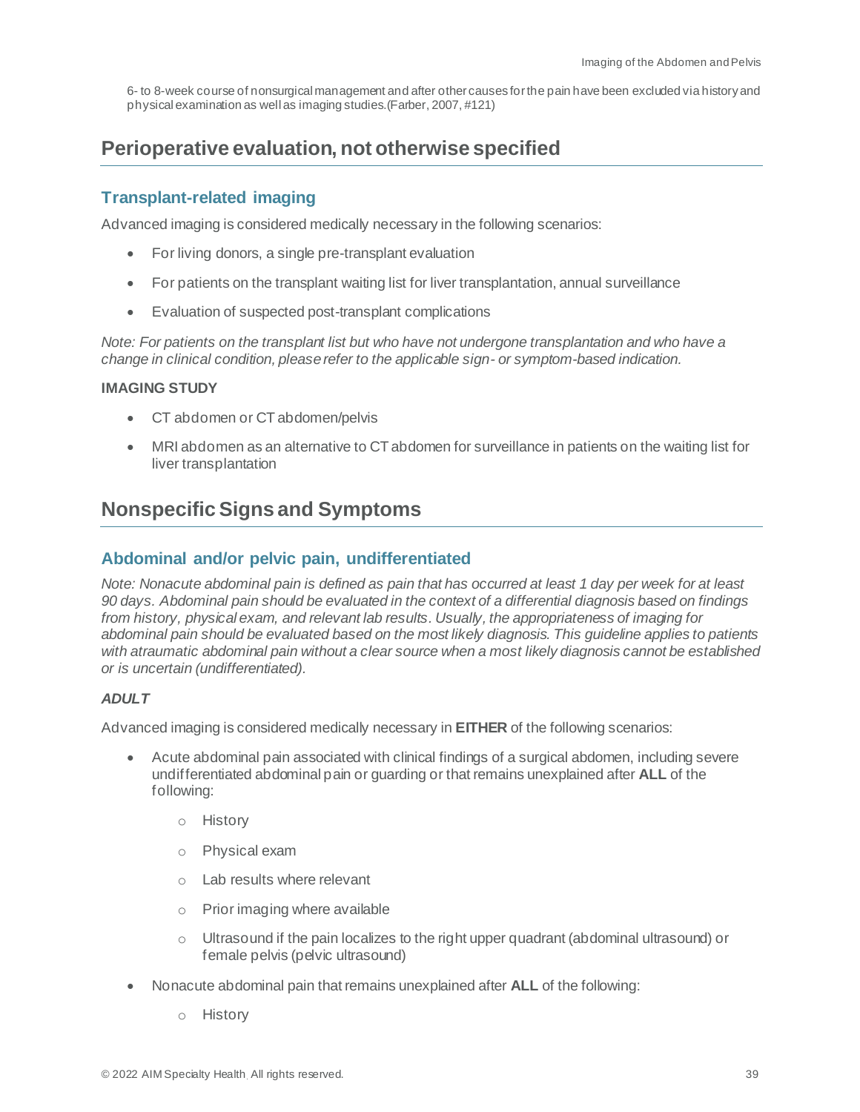6- to 8-week course of nonsurgical management and after other causes for the pain have been excluded via history and physical examination as well as imaging studies.(Farber, 2007, #121)

# <span id="page-38-0"></span>**Perioperative evaluation, not otherwise specified**

# <span id="page-38-1"></span>**Transplant-related imaging**

Advanced imaging is considered medically necessary in the following scenarios:

- For living donors, a single pre-transplant evaluation
- For patients on the transplant waiting list for liver transplantation, annual surveillance
- Evaluation of suspected post-transplant complications

*Note: For patients on the transplant list but who have not undergone transplantation and who have a change in clinical condition, please refer to the applicable sign- or symptom-based indication.*

#### **IMAGING STUDY**

- CT abdomen or CT abdomen/pelvis
- MRI abdomen as an alternative to CT abdomen for surveillance in patients on the waiting list for liver transplantation

# <span id="page-38-2"></span>**Nonspecific Signs and Symptoms**

# <span id="page-38-3"></span>**Abdominal and/or pelvic pain, undifferentiated**

*Note: Nonacute abdominal pain is defined as pain that has occurred at least 1 day per week for at least 90 days. Abdominal pain should be evaluated in the context of a differential diagnosis based on findings from history, physical exam, and relevant lab results. Usually, the appropriateness of imaging for abdominal pain should be evaluated based on the most likely diagnosis. This guideline applies to patients with atraumatic abdominal pain without a clear source when a most likely diagnosis cannot be established or is uncertain (undifferentiated).*

#### *ADULT*

Advanced imaging is considered medically necessary in **EITHER** of the following scenarios:

- Acute abdominal pain associated with clinical findings of a surgical abdomen, including severe undifferentiated abdominal pain or guarding or that remains unexplained after **ALL** of the following:
	- o History
	- o Physical exam
	- o Lab results where relevant
	- o Prior imaging where available
	- $\circ$  Ultrasound if the pain localizes to the right upper quadrant (abdominal ultrasound) or female pelvis (pelvic ultrasound)
- Nonacute abdominal pain that remains unexplained after **ALL** of the following:
	- o History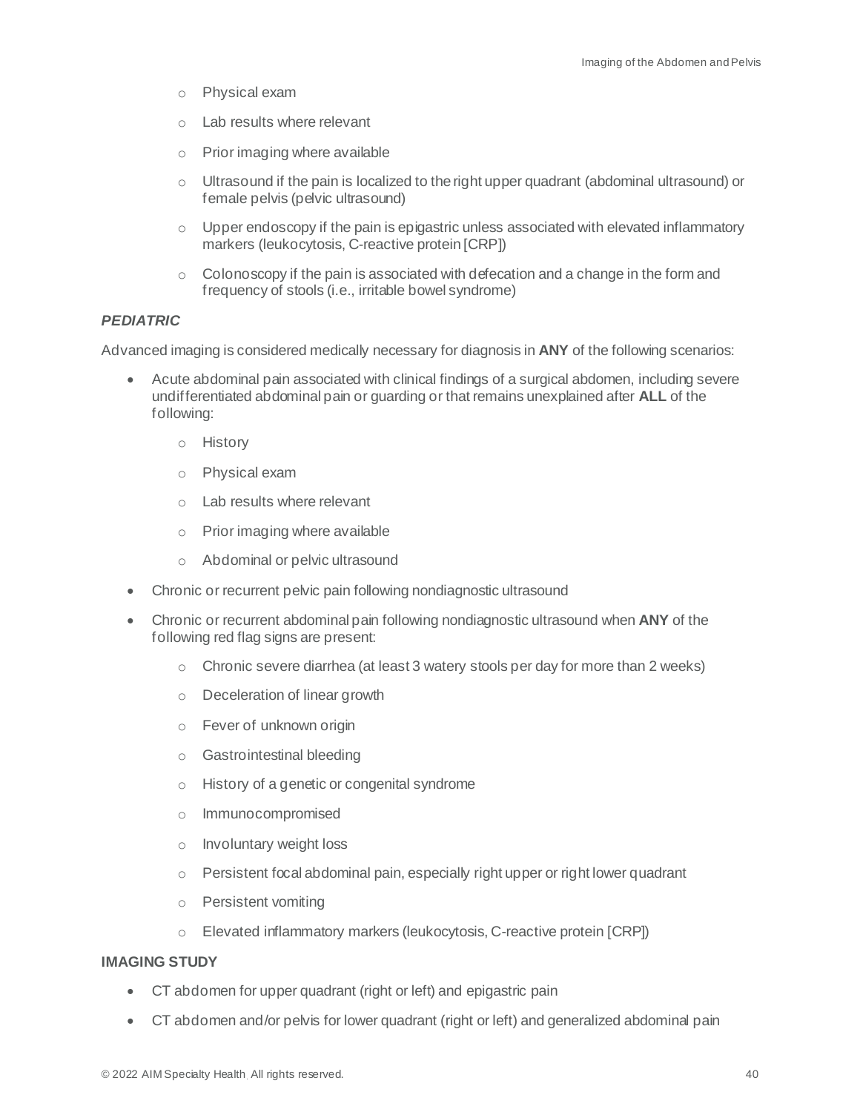- o Physical exam
- o Lab results where relevant
- o Prior imaging where available
- $\circ$  Ultrasound if the pain is localized to the right upper quadrant (abdominal ultrasound) or female pelvis (pelvic ultrasound)
- $\circ$  Upper endoscopy if the pain is epigastric unless associated with elevated inflammatory markers (leukocytosis, C-reactive protein [CRP])
- $\circ$  Colonoscopy if the pain is associated with defecation and a change in the form and frequency of stools (i.e., irritable bowel syndrome)

## *PEDIATRIC*

Advanced imaging is considered medically necessary for diagnosis in **ANY** of the following scenarios:

- Acute abdominal pain associated with clinical findings of a surgical abdomen, including severe undifferentiated abdominal pain or guarding or that remains unexplained after **ALL** of the following:
	- o History
	- o Physical exam
	- o Lab results where relevant
	- o Prior imaging where available
	- o Abdominal or pelvic ultrasound
- Chronic or recurrent pelvic pain following nondiagnostic ultrasound
- Chronic or recurrent abdominal pain following nondiagnostic ultrasound when **ANY** of the following red flag signs are present:
	- $\circ$  Chronic severe diarrhea (at least 3 watery stools per day for more than 2 weeks)
	- o Deceleration of linear growth
	- o Fever of unknown origin
	- o Gastrointestinal bleeding
	- o History of a genetic or congenital syndrome
	- o Immunocompromised
	- o Involuntary weight loss
	- o Persistent focal abdominal pain, especially right upper or right lower quadrant
	- o Persistent vomiting
	- o Elevated inflammatory markers (leukocytosis, C-reactive protein [CRP])

#### **IMAGING STUDY**

- CT abdomen for upper quadrant (right or left) and epigastric pain
- CT abdomen and/or pelvis for lower quadrant (right or left) and generalized abdominal pain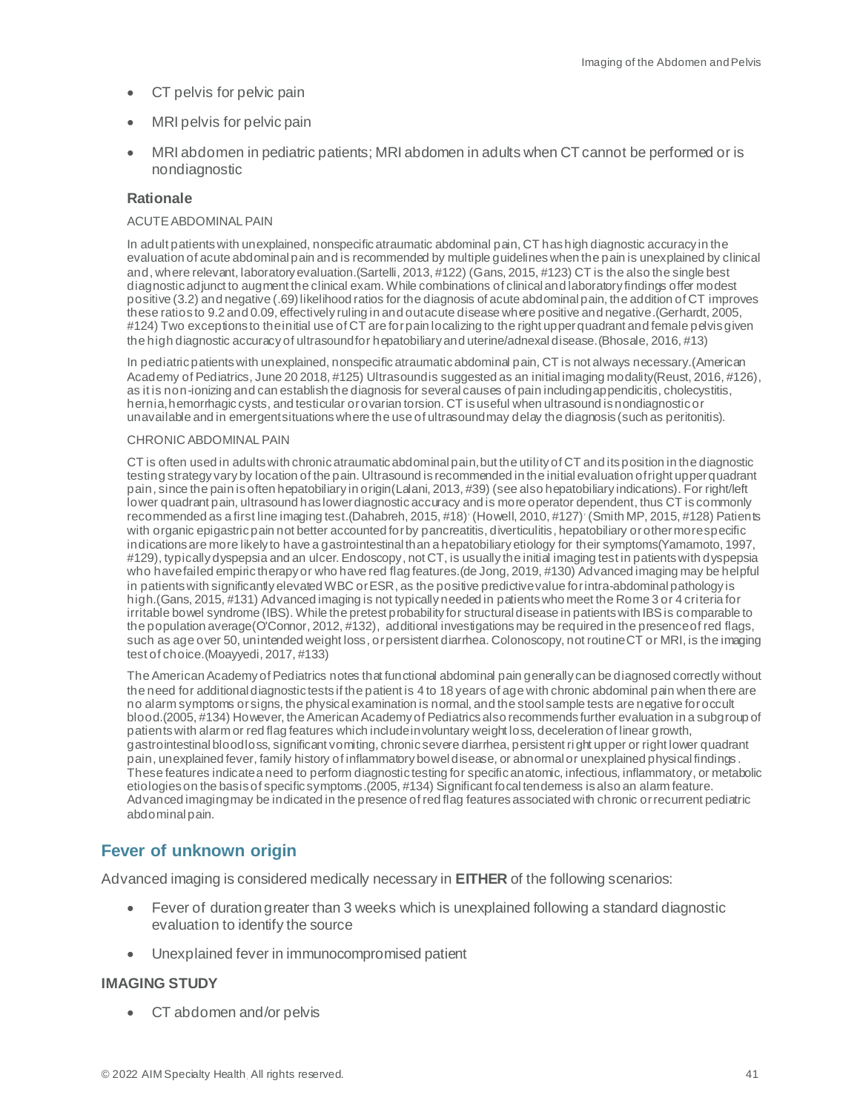- CT pelvis for pelvic pain
- MRI pelvis for pelvic pain
- MRI abdomen in pediatric patients; MRI abdomen in adults when CT cannot be performed or is nondiagnostic

#### ACUTE ABDOMINAL PAIN

In adult patients with unexplained, nonspecific atraumatic abdominal pain, CT has high diagnostic accuracy in the evaluation of acute abdominal pain and is recommended by multiple guidelines when the pain is unexplained by clinical and, where relevant, laboratory evaluation.(Sartelli, 2013, #122) (Gans, 2015, #123) CT is the also the single best diagnostic adjunct to augment the clinical exam. While combinations of clinical and laboratory findings offer modest positive (3.2) and negative (.69) likelihood ratios for the diagnosis of acute abdominal pain, the addition of CT improves these ratios to 9.2 and 0.09, effectively ruling in and out acute disease where positive and negative.(Gerhardt, 2005, #124) Two exceptions to the initial use of CT are for pain localizing to the right upper quadrant and female pelvis given the high diagnostic accuracy of ultrasound for hepatobiliary and uterine/adnexal disease.(Bhosale, 2016, #13)

In pediatric patients with unexplained, nonspecific atraumatic abdominal pain, CT is not always necessary.(American Academy of Pediatrics, June 20 2018, #125) Ultrasoundis suggested as an initial imaging modality(Reust, 2016, #126), as it is non-ionizing and can establish the diagnosis for several causes of pain including appendicitis, cholecystitis, hernia, hemorrhagic cysts, and testicular orovarian torsion. CT is useful when ultrasound is nondiagnostic or unavailable and in emergent situations where the use of ultrasound may delay the diagnosis (such as peritonitis).

#### CHRONIC ABDOMINAL PAIN

CT is often used in adults with chronic atraumatic abdominal pain, but the utility of CT and its position in the diagnostic testing strategy vary by location of the pain. Ultrasound is recommended in the initial evaluation of right upper quadrant pain, since the pain is often hepatobiliary in origin(Lalani, 2013, #39) (see also hepatobiliary indications). For right/left lower quadrant pain, ultrasound has lower diagnostic accuracy and is more operator dependent, thus CT is commonly recommended as a first line imaging test. (Dahabreh, 2015, #18) (Howell, 2010, #127) (Smith MP, 2015, #128) Patients with organic epigastric pain not better accounted for by pancreatitis, diverticulitis, hepatobiliary or other more specific indications are more likely to have a gastrointestinal than a hepatobiliary etiology for their symptoms(Yamamoto, 1997, #129), typically dyspepsia and an ulcer. Endoscopy, not CT, is usually the initial imaging test in patients with dyspepsia who have failed empiric therapy or who have red flag features.(de Jong, 2019, #130) Advanced imaging may be helpful in patients with significantly elevated WBC or ESR, as the positive predictive value for intra-abdominal pathology is high.(Gans, 2015, #131) Advanced imaging is not typically needed in patients who meet the Rome 3 or 4 criteria for irritable bowel syndrome (IBS). While the pretest probability for structural disease in patients with IBS is comparable to the population average(O'Connor, 2012, #132), additional investigations may be required in the presence of red flags, such as age over 50, unintended weight loss, or persistent diarrhea. Colonoscopy, not routine CT or MRI, is the imaging test of choice.(Moayyedi, 2017, #133)

The American Academy of Pediatrics notes that functional abdominal pain generally can be diagnosed correctly without the need for additional diagnostic tests if the patient is 4 to 18 years of age with chronic abdominal pain when there are no alarm symptoms or signs, the physical examination is normal, and the stool sample tests are negative for occult blood.(2005, #134) However, the American Academy of Pediatricsalso recommends further evaluation in a subgroup of patients with alarm or red flag features which include involuntary weight loss, deceleration of linear growth, gastrointestinal blood loss, significant vomiting, chronic severe diarrhea, persistent right upper or right lower quadrant pain, unexplained fever, family history of inflammatory bowel disease, or abnormal or unexplained physical findings . These features indicate a need to perform diagnostic testing for specific anatomic, infectious, inflammatory, or metabolic etiologies on the basis of specific symptoms.(2005, #134) Significant focal tenderness is also an alarm feature. Advanced imaging may be indicated in the presence of red flag features associated with chronic or recurrent pediatric abdominal pain.

# <span id="page-40-0"></span>**Fever of unknown origin**

Advanced imaging is considered medically necessary in **EITHER** of the following scenarios:

- Fever of duration greater than 3 weeks which is unexplained following a standard diagnostic evaluation to identify the source
- Unexplained fever in immunocompromised patient

#### **IMAGING STUDY**

• CT abdomen and/or pelvis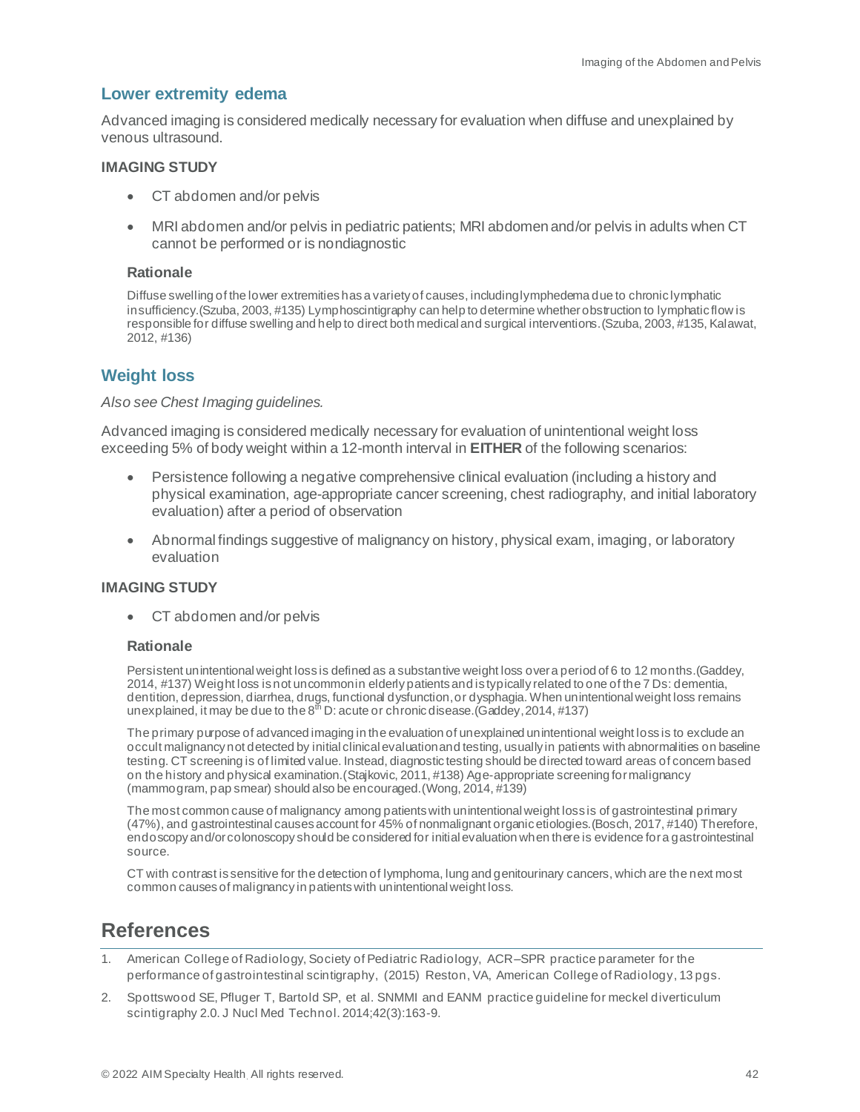#### <span id="page-41-0"></span>**Lower extremity edema**

Advanced imaging is considered medically necessary for evaluation when diffuse and unexplained by venous ultrasound.

#### **IMAGING STUDY**

- CT abdomen and/or pelvis
- MRI abdomen and/or pelvis in pediatric patients; MRI abdomen and/or pelvis in adults when CT cannot be performed or is nondiagnostic

#### **Rationale**

Diffuse swelling of the lower extremities has a variety of causes, including lymphedema due to chronic lymphatic insufficiency.(Szuba, 2003, #135) Lymphoscintigraphy can help to determine whether obstruction to lymphatic flow is responsible for diffuse swelling and help to direct both medical and surgical interventions.(Szuba, 2003, #135, Kalawat, 2012, #136)

# <span id="page-41-1"></span>**Weight loss**

#### *Also see Chest Imaging guidelines.*

Advanced imaging is considered medically necessary for evaluation of unintentional weight loss exceeding 5% of body weight within a 12-month interval in **EITHER** of the following scenarios:

- Persistence following a negative comprehensive clinical evaluation (including a history and physical examination, age-appropriate cancer screening, chest radiography, and initial laboratory evaluation) after a period of observation
- Abnormal findings suggestive of malignancy on history, physical exam, imaging, or laboratory evaluation

#### **IMAGING STUDY**

• CT abdomen and/or pelvis

#### **Rationale**

Persistent unintentional weight loss is defined as a substantive weight loss over a period of 6 to 12 months.(Gaddey, 2014, #137) Weight loss is not uncommonin elderly patients and is typically related to one of the 7 Ds: dementia, dentition, depression, diarrhea, drugs, functional dysfunction,or dysphagia. When unintentional weight loss remains unexplained, it may be due to the  $8<sup>th</sup>$  D: acute or chronic disease. (Gaddey, 2014, #137)

The primary purpose of advanced imaging in the evaluation of unexplained unintentional weight loss is to exclude an occult malignancy not detected by initial clinical evaluation and testing, usually in patients with abnormalities on baseline testing. CT screening is of limited value. Instead, diagnostic testing should be directed toward areas of concern based on the history and physical examination.(Stajkovic, 2011, #138) Age-appropriate screening for malignancy (mammogram, pap smear) should also be encouraged.(Wong, 2014, #139)

The most common cause of malignancy among patients with unintentional weight loss is of gastrointestinal primary (47%), and gastrointestinal causes account for 45% of nonmalignant organic etiologies.(Bosch, 2017, #140) Therefore, endoscopy and/or colonoscopy should be considered for initial evaluation when there is evidence for a gastrointestinal source.

CT with contrast is sensitive for the detection of lymphoma, lung and genitourinary cancers, which are the next most common causes of malignancy in patients with unintentional weight loss.

# <span id="page-41-2"></span>**References**

- 1. American College of Radiology, Society of Pediatric Radiology, ACR–SPR practice parameter for the performance of gastrointestinal scintigraphy, (2015) Reston, VA, American College of Radiology, 13 pgs.
- 2. Spottswood SE, Pfluger T, Bartold SP, et al. SNMMI and EANM practice guideline for meckel diverticulum scintigraphy 2.0. J Nucl Med Technol. 2014;42(3):163-9.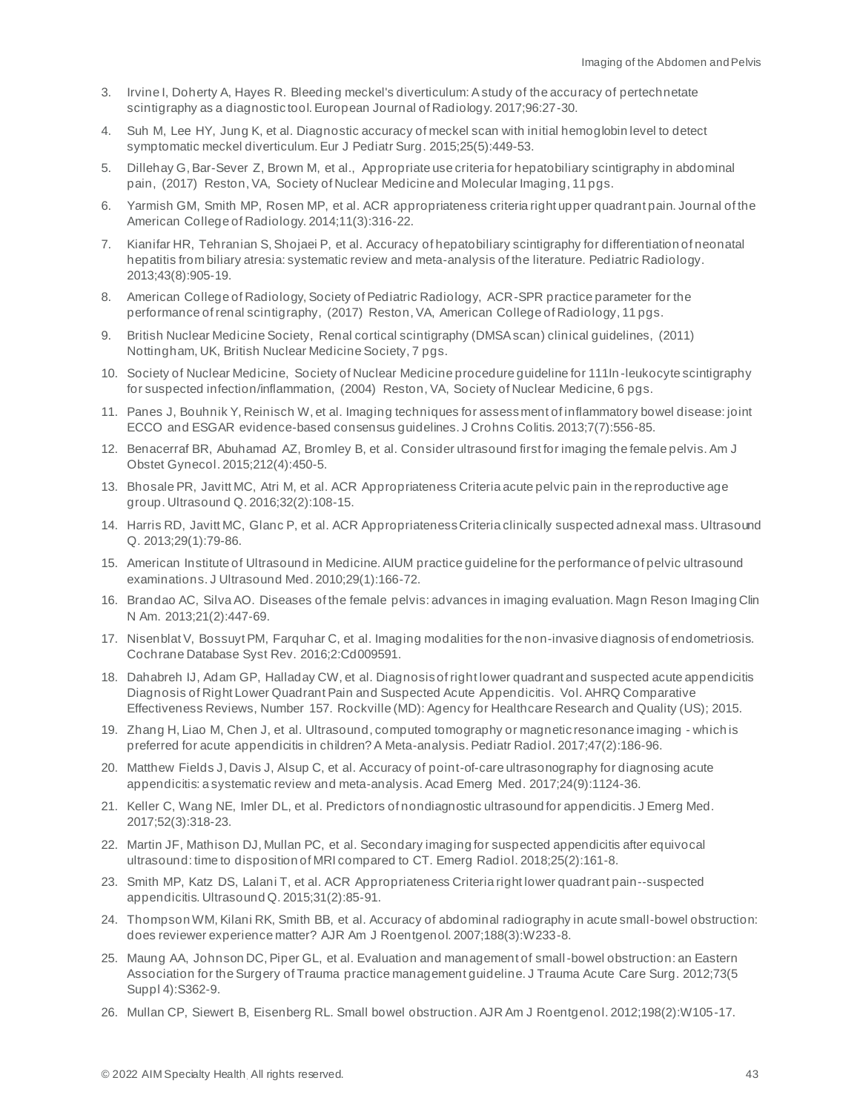- 3. Irvine I, Doherty A, Hayes R. Bleeding meckel's diverticulum: A study of the accuracy of pertechnetate scintigraphy as a diagnostic tool. European Journal of Radiology. 2017;96:27-30.
- 4. Suh M, Lee HY, Jung K, et al. Diagnostic accuracy of meckel scan with initial hemoglobin level to detect symptomatic meckel diverticulum. Eur J Pediatr Surg. 2015;25(5):449-53.
- 5. Dillehay G, Bar-Sever Z, Brown M, et al., Appropriate use criteria for hepatobiliary scintigraphy in abdominal pain, (2017) Reston, VA, Society of Nuclear Medicine and Molecular Imaging, 11 pgs.
- 6. Yarmish GM, Smith MP, Rosen MP, et al. ACR appropriateness criteria right upper quadrant pain. Journal of the American College of Radiology. 2014;11(3):316-22.
- 7. Kianifar HR, Tehranian S, Shojaei P, et al. Accuracy of hepatobiliary scintigraphy for differentiation of neonatal hepatitis from biliary atresia: systematic review and meta-analysis of the literature. Pediatric Radiology. 2013;43(8):905-19.
- 8. American College of Radiology, Society of Pediatric Radiology, ACR-SPR practice parameter for the performance of renal scintigraphy, (2017) Reston, VA, American College of Radiology, 11 pgs.
- 9. British Nuclear Medicine Society, Renal cortical scintigraphy (DMSA scan) clinical guidelines, (2011) Nottingham, UK, British Nuclear Medicine Society, 7 pgs.
- 10. Society of Nuclear Medicine, Society of Nuclear Medicine procedure guideline for 111In -leukocyte scintigraphy for suspected infection/inflammation, (2004) Reston, VA, Society of Nuclear Medicine, 6 pgs.
- 11. Panes J, Bouhnik Y, Reinisch W, et al. Imaging techniques for assessment of inflammatory bowel disease: joint ECCO and ESGAR evidence-based consensus guidelines. J Crohns Colitis. 2013;7(7):556-85.
- 12. Benacerraf BR, Abuhamad AZ, Bromley B, et al. Consider ultrasound first for imaging the female pelvis. Am J Obstet Gynecol. 2015;212(4):450-5.
- 13. Bhosale PR, Javitt MC, Atri M, et al. ACR Appropriateness Criteria acute pelvic pain in the reproductive age group. Ultrasound Q. 2016;32(2):108-15.
- 14. Harris RD, Javitt MC, Glanc P, et al. ACR Appropriateness Criteria clinically suspected adnexal mass. Ultrasound Q. 2013;29(1):79-86.
- 15. American Institute of Ultrasound in Medicine. AIUM practice guideline for the performance of pelvic ultrasound examinations. J Ultrasound Med. 2010;29(1):166-72.
- 16. Brandao AC, Silva AO. Diseases of the female pelvis: advances in imaging evaluation. Magn Reson Imaging Clin N Am. 2013;21(2):447-69.
- 17. Nisenblat V, Bossuyt PM, Farquhar C, et al. Imaging modalities for the non-invasive diagnosis of endometriosis. Cochrane Database Syst Rev. 2016;2:Cd009591.
- 18. Dahabreh IJ, Adam GP, Halladay CW, et al. Diagnosis of right lower quadrant and suspected acute appendicitis Diagnosis of Right Lower Quadrant Pain and Suspected Acute Appendicitis. Vol. AHRQ Comparative Effectiveness Reviews, Number 157. Rockville (MD): Agency for Healthcare Research and Quality (US); 2015.
- 19. Zhang H, Liao M, Chen J, et al. Ultrasound, computed tomography or magnetic resonance imaging which is preferred for acute appendicitis in children? A Meta-analysis. Pediatr Radiol. 2017;47(2):186-96.
- 20. Matthew Fields J, Davis J, Alsup C, et al. Accuracy of point-of-care ultrasonography for diagnosing acute appendicitis: a systematic review and meta-analysis. Acad Emerg Med. 2017;24(9):1124-36.
- 21. Keller C, Wang NE, Imler DL, et al. Predictors of nondiagnostic ultrasound for appendicitis. J Emerg Med. 2017;52(3):318-23.
- 22. Martin JF, Mathison DJ, Mullan PC, et al. Secondary imaging for suspected appendicitis after equivocal ultrasound: time to disposition of MRI compared to CT. Emerg Radiol. 2018;25(2):161-8.
- 23. Smith MP, Katz DS, Lalani T, et al. ACR Appropriateness Criteria right lower quadrant pain--suspected appendicitis. Ultrasound Q. 2015;31(2):85-91.
- 24. Thompson WM, Kilani RK, Smith BB, et al. Accuracy of abdominal radiography in acute small-bowel obstruction: does reviewer experience matter? AJR Am J Roentgenol. 2007;188(3):W233-8.
- 25. Maung AA, Johnson DC, Piper GL, et al. Evaluation and management of small-bowel obstruction: an Eastern Association for the Surgery of Trauma practice management guideline. J Trauma Acute Care Surg. 2012;73(5 Suppl 4):S362-9.
- 26. Mullan CP, Siewert B, Eisenberg RL. Small bowel obstruction. AJR Am J Roentgenol. 2012;198(2):W105-17.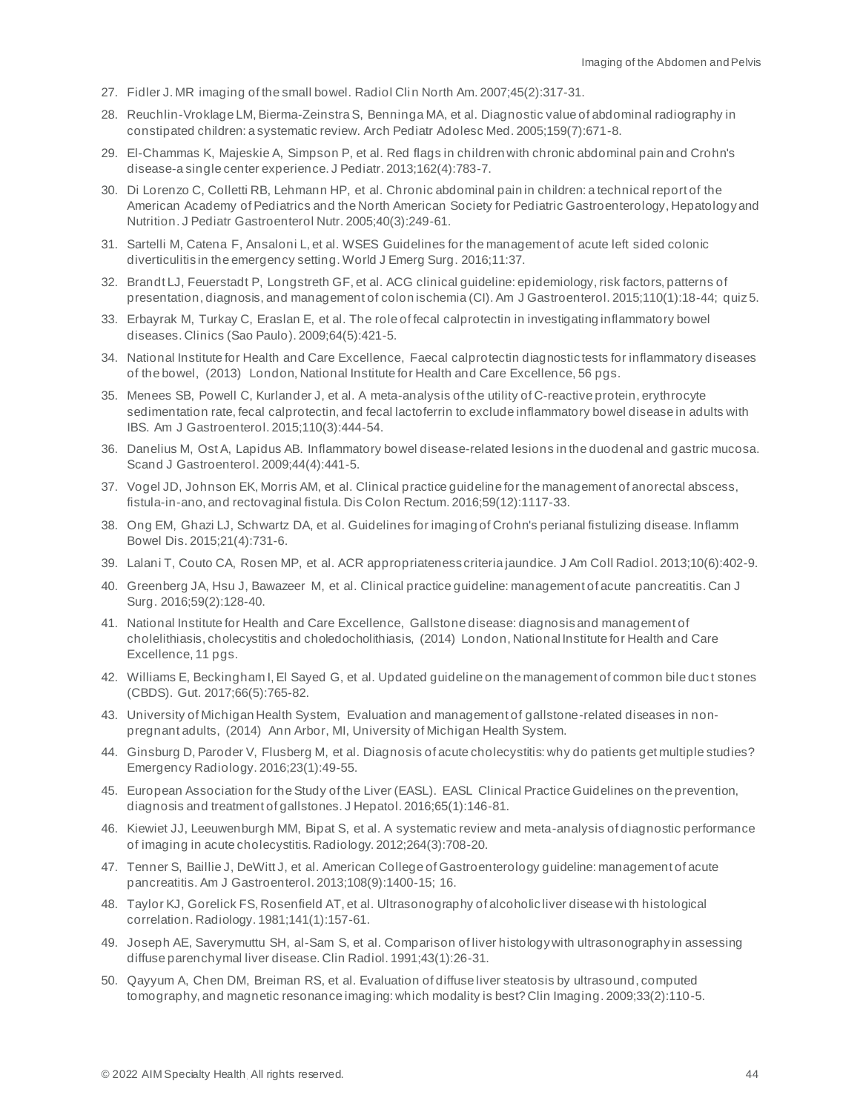- 27. Fidler J. MR imaging of the small bowel. Radiol Clin North Am. 2007;45(2):317-31.
- 28. Reuchlin-Vroklage LM, Bierma-Zeinstra S, Benninga MA, et al. Diagnostic value of abdominal radiography in constipated children: a systematic review. Arch Pediatr Adolesc Med. 2005;159(7):671-8.
- 29. El-Chammas K, Majeskie A, Simpson P, et al. Red flags in children with chronic abdominal pain and Crohn's disease-a single center experience. J Pediatr. 2013;162(4):783-7.
- 30. Di Lorenzo C, Colletti RB, Lehmann HP, et al. Chronic abdominal pain in children: a technical report of the American Academy of Pediatrics and the North American Society for Pediatric Gastroenterology, Hepatology and Nutrition. J Pediatr Gastroenterol Nutr. 2005;40(3):249-61.
- 31. Sartelli M, Catena F, Ansaloni L, et al. WSES Guidelines for the management of acute left sided colonic diverticulitis in the emergency setting. World J Emerg Surg. 2016;11:37.
- 32. Brandt LJ, Feuerstadt P, Longstreth GF, et al. ACG clinical guideline: epidemiology, risk factors, patterns of presentation, diagnosis, and management of colon ischemia (CI). Am J Gastroenterol. 2015;110(1):18-44; quiz 5.
- 33. Erbayrak M, Turkay C, Eraslan E, et al. The role of fecal calprotectin in investigating inflammatory bowel diseases. Clinics (Sao Paulo). 2009;64(5):421-5.
- 34. National Institute for Health and Care Excellence, Faecal calprotectin diagnostic tests for inflammatory diseases of the bowel, (2013) London, National Institute for Health and Care Excellence, 56 pgs.
- 35. Menees SB, Powell C, Kurlander J, et al. A meta-analysis of the utility of C-reactive protein, erythrocyte sedimentation rate, fecal calprotectin, and fecal lactoferrin to exclude inflammatory bowel disease in adults with IBS. Am J Gastroenterol. 2015;110(3):444-54.
- 36. Danelius M, Ost A, Lapidus AB. Inflammatory bowel disease-related lesions in the duodenal and gastric mucosa. Scand J Gastroenterol. 2009;44(4):441-5.
- 37. Vogel JD, Johnson EK, Morris AM, et al. Clinical practice guideline for the management of anorectal abscess, fistula-in-ano, and rectovaginal fistula. Dis Colon Rectum. 2016;59(12):1117-33.
- 38. Ong EM, Ghazi LJ, Schwartz DA, et al. Guidelines for imaging of Crohn's perianal fistulizing disease. Inflamm Bowel Dis. 2015;21(4):731-6.
- 39. Lalani T, Couto CA, Rosen MP, et al. ACR appropriateness criteria jaundice. J Am Coll Radiol. 2013;10(6):402-9.
- 40. Greenberg JA, Hsu J, Bawazeer M, et al. Clinical practice guideline: management of acute pancreatitis. Can J Surg. 2016;59(2):128-40.
- 41. National Institute for Health and Care Excellence, Gallstone disease: diagnosis and management of cholelithiasis, cholecystitis and choledocholithiasis, (2014) London, National Institute for Health and Care Excellence, 11 pgs.
- 42. Williams E, Beckingham I, El Sayed G, et al. Updated guideline on the management of common bile duc t stones (CBDS). Gut. 2017;66(5):765-82.
- 43. University of Michigan Health System, Evaluation and management of gallstone-related diseases in nonpregnant adults, (2014) Ann Arbor, MI, University of Michigan Health System.
- 44. Ginsburg D, Paroder V, Flusberg M, et al. Diagnosis of acute cholecystitis: why do patients get multiple studies? Emergency Radiology. 2016;23(1):49-55.
- 45. European Association for the Study of the Liver (EASL). EASL Clinical Practice Guidelines on the prevention, diagnosis and treatment of gallstones. J Hepatol. 2016;65(1):146-81.
- 46. Kiewiet JJ, Leeuwenburgh MM, Bipat S, et al. A systematic review and meta-analysis of diagnostic performance of imaging in acute cholecystitis. Radiology. 2012;264(3):708-20.
- 47. Tenner S, Baillie J, DeWitt J, et al. American College of Gastroenterology guideline: management of acute pancreatitis. Am J Gastroenterol. 2013;108(9):1400-15; 16.
- 48. Taylor KJ, Gorelick FS, Rosenfield AT, et al. Ultrasonography of alcoholic liver disease wi th histological correlation. Radiology. 1981;141(1):157-61.
- 49. Joseph AE, Saverymuttu SH, al-Sam S, et al. Comparison of liver histology with ultrasonography in assessing diffuse parenchymal liver disease. Clin Radiol. 1991;43(1):26-31.
- 50. Qayyum A, Chen DM, Breiman RS, et al. Evaluation of diffuse liver steatosis by ultrasound, computed tomography, and magnetic resonance imaging: which modality is best? Clin Imaging. 2009;33(2):110-5.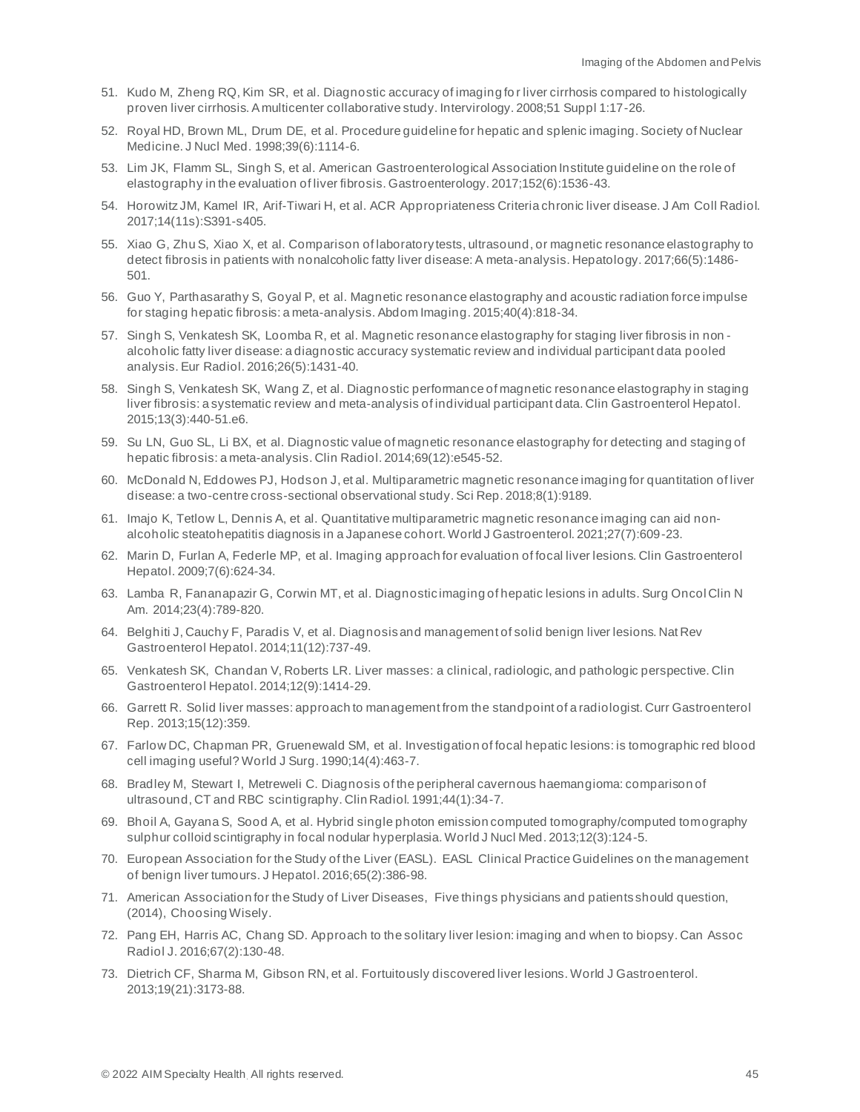- 51. Kudo M, Zheng RQ, Kim SR, et al. Diagnostic accuracy of imaging fo r liver cirrhosis compared to histologically proven liver cirrhosis. A multicenter collaborative study. Intervirology. 2008;51 Suppl 1:17-26.
- 52. Royal HD, Brown ML, Drum DE, et al. Procedure guideline for hepatic and splenic imaging. Society of Nuclear Medicine. J Nucl Med. 1998;39(6):1114-6.
- 53. Lim JK, Flamm SL, Singh S, et al. American Gastroenterological Association Institute guideline on the role of elastography in the evaluation of liver fibrosis. Gastroenterology. 2017;152(6):1536-43.
- 54. Horowitz JM, Kamel IR, Arif-Tiwari H, et al. ACR Appropriateness Criteria chronic liver disease. J Am Coll Radiol. 2017;14(11s):S391-s405.
- 55. Xiao G, Zhu S, Xiao X, et al. Comparison of laboratory tests, ultrasound, or magnetic resonance elastography to detect fibrosis in patients with nonalcoholic fatty liver disease: A meta-analysis. Hepatology. 2017;66(5):1486- 501.
- 56. Guo Y, Parthasarathy S, Goyal P, et al. Magnetic resonance elastography and acoustic radiation force impulse for staging hepatic fibrosis: a meta-analysis. Abdom Imaging. 2015;40(4):818-34.
- 57. Singh S, Venkatesh SK, Loomba R, et al. Magnetic resonance elastography for staging liver fibrosis in non alcoholic fatty liver disease: a diagnostic accuracy systematic review and individual participant data pooled analysis. Eur Radiol. 2016;26(5):1431-40.
- 58. Singh S, Venkatesh SK, Wang Z, et al. Diagnostic performance of magnetic resonance elastography in staging liver fibrosis: a systematic review and meta-analysis of individual participant data. Clin Gastroenterol Hepatol. 2015;13(3):440-51.e6.
- 59. Su LN, Guo SL, Li BX, et al. Diagnostic value of magnetic resonance elastography for detecting and staging of hepatic fibrosis: a meta-analysis. Clin Radiol. 2014;69(12):e545-52.
- 60. McDonald N, Eddowes PJ, Hodson J, et al. Multiparametric magnetic resonance imaging for quantitation of liver disease: a two-centre cross-sectional observational study. Sci Rep. 2018;8(1):9189.
- 61. Imajo K, Tetlow L, Dennis A, et al. Quantitative multiparametric magnetic resonance imaging can aid nonalcoholic steatohepatitis diagnosis in a Japanese cohort. World J Gastroenterol. 2021;27(7):609-23.
- 62. Marin D, Furlan A, Federle MP, et al. Imaging approach for evaluation of focal liver lesions. Clin Gastroenterol Hepatol. 2009;7(6):624-34.
- 63. Lamba R, Fananapazir G, Corwin MT, et al. Diagnostic imaging of hepatic lesions in adults. Surg Oncol Clin N Am. 2014;23(4):789-820.
- 64. Belghiti J, Cauchy F, Paradis V, et al. Diagnosis and management of solid benign liver lesions. Nat Rev Gastroenterol Hepatol. 2014;11(12):737-49.
- 65. Venkatesh SK, Chandan V, Roberts LR. Liver masses: a clinical, radiologic, and pathologic perspective. Clin Gastroenterol Hepatol. 2014;12(9):1414-29.
- 66. Garrett R. Solid liver masses: approach to management from the standpoint of a radiologist. Curr Gastroenterol Rep. 2013;15(12):359.
- 67. Farlow DC, Chapman PR, Gruenewald SM, et al. Investigation of focal hepatic lesions: is tomographic red blood cell imaging useful? World J Surg. 1990;14(4):463-7.
- 68. Bradley M, Stewart I, Metreweli C. Diagnosis of the peripheral cavernous haemangioma: comparison of ultrasound, CT and RBC scintigraphy. Clin Radiol. 1991;44(1):34-7.
- 69. Bhoil A, Gayana S, Sood A, et al. Hybrid single photon emission computed tomography/computed tomography sulphur colloid scintigraphy in focal nodular hyperplasia. World J Nucl Med. 2013;12(3):124-5.
- 70. European Association for the Study of the Liver (EASL). EASL Clinical Practice Guidelines on the management of benign liver tumours. J Hepatol. 2016;65(2):386-98.
- 71. American Association for the Study of Liver Diseases, Five things physicians and patients should question, (2014), Choosing Wisely.
- 72. Pang EH, Harris AC, Chang SD. Approach to the solitary liver lesion: imaging and when to biopsy. Can Assoc Radiol J. 2016;67(2):130-48.
- 73. Dietrich CF, Sharma M, Gibson RN, et al. Fortuitously discovered liver lesions. World J Gastroenterol. 2013;19(21):3173-88.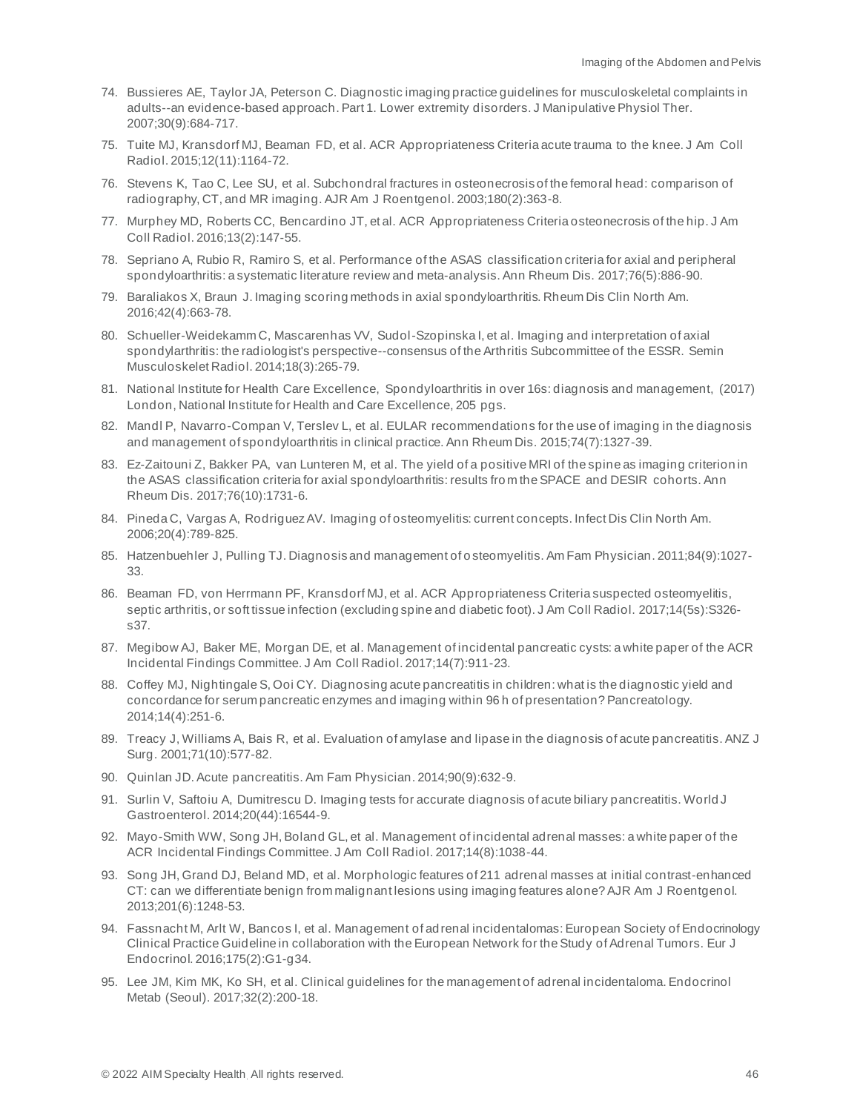- 74. Bussieres AE, Taylor JA, Peterson C. Diagnostic imaging practice guidelines for musculoskeletal complaints in adults--an evidence-based approach. Part 1. Lower extremity disorders. J Manipulative Physiol Ther. 2007;30(9):684-717.
- 75. Tuite MJ, Kransdorf MJ, Beaman FD, et al. ACR Appropriateness Criteria acute trauma to the knee. J Am Coll Radiol. 2015;12(11):1164-72.
- 76. Stevens K, Tao C, Lee SU, et al. Subchondral fractures in osteonecrosis of the femoral head: comparison of radiography, CT, and MR imaging. AJR Am J Roentgenol. 2003;180(2):363-8.
- 77. Murphey MD, Roberts CC, Bencardino JT, et al. ACR Appropriateness Criteria osteonecrosis of the hip. J Am Coll Radiol. 2016;13(2):147-55.
- 78. Sepriano A, Rubio R, Ramiro S, et al. Performance of the ASAS classification criteria for axial and peripheral spondyloarthritis: a systematic literature review and meta-analysis. Ann Rheum Dis. 2017;76(5):886-90.
- 79. Baraliakos X, Braun J. Imaging scoring methods in axial spondyloarthritis. Rheum Dis Clin North Am. 2016;42(4):663-78.
- 80. Schueller-Weidekamm C, Mascarenhas VV, Sudol-Szopinska I, et al. Imaging and interpretation of axial spondylarthritis: the radiologist's perspective--consensus of the Arthritis Subcommittee of the ESSR. Semin Musculoskelet Radiol. 2014;18(3):265-79.
- 81. National Institute for Health Care Excellence, Spondyloarthritis in over 16s: diagnosis and management, (2017) London, National Institute for Health and Care Excellence, 205 pgs.
- 82. Mandl P, Navarro-Compan V, Terslev L, et al. EULAR recommendations for the use of imaging in the diagnosis and management of spondyloarthritis in clinical practice. Ann Rheum Dis. 2015;74(7):1327-39.
- 83. Ez-Zaitouni Z, Bakker PA, van Lunteren M, et al. The yield of a positive MRI of the spine as imaging criterion in the ASAS classification criteria for axial spondyloarthritis: results fro m the SPACE and DESIR cohorts. Ann Rheum Dis. 2017;76(10):1731-6.
- 84. Pineda C, Vargas A, Rodriguez AV. Imaging of osteomyelitis: current concepts. Infect Dis Clin North Am. 2006;20(4):789-825.
- 85. Hatzenbuehler J, Pulling TJ. Diagnosis and management of o steomyelitis. Am Fam Physician. 2011;84(9):1027- 33.
- 86. Beaman FD, von Herrmann PF, Kransdorf MJ, et al. ACR Appropriateness Criteria suspected osteomyelitis, septic arthritis, or soft tissue infection (excluding spine and diabetic foot). J Am Coll Radiol. 2017;14(5s):S326 s37.
- 87. Megibow AJ, Baker ME, Morgan DE, et al. Management of incidental pancreatic cysts: a white paper of the ACR Incidental Findings Committee. J Am Coll Radiol. 2017;14(7):911-23.
- 88. Coffey MJ, Nightingale S, Ooi CY. Diagnosing acute pancreatitis in children: what is the diagnostic yield and concordance for serum pancreatic enzymes and imaging within 96 h of presentation? Pancreatology. 2014;14(4):251-6.
- 89. Treacy J, Williams A, Bais R, et al. Evaluation of amylase and lipase in the diagnosis of acute pancreatitis. ANZ J Surg. 2001;71(10):577-82.
- 90. Quinlan JD. Acute pancreatitis. Am Fam Physician. 2014;90(9):632-9.
- 91. Surlin V, Saftoiu A, Dumitrescu D. Imaging tests for accurate diagnosis of acute biliary pancreatitis. World J Gastroenterol. 2014;20(44):16544-9.
- 92. Mayo-Smith WW, Song JH, Boland GL, et al. Management of incidental adrenal masses: a white paper of the ACR Incidental Findings Committee. J Am Coll Radiol. 2017;14(8):1038-44.
- 93. Song JH, Grand DJ, Beland MD, et al. Morphologic features of 211 adrenal masses at initial contrast-enhanced CT: can we differentiate benign from malignant lesions using imaging features alone? AJR Am J Roentgenol. 2013;201(6):1248-53.
- 94. Fassnacht M, Arlt W, Bancos I, et al. Management of adrenal incidentalomas: European Society of Endocrinology Clinical Practice Guideline in collaboration with the European Network for the Study of Adrenal Tumors. Eur J Endocrinol. 2016;175(2):G1-g34.
- 95. Lee JM, Kim MK, Ko SH, et al. Clinical guidelines for the management of adrenal incidentaloma. Endocrinol Metab (Seoul). 2017;32(2):200-18.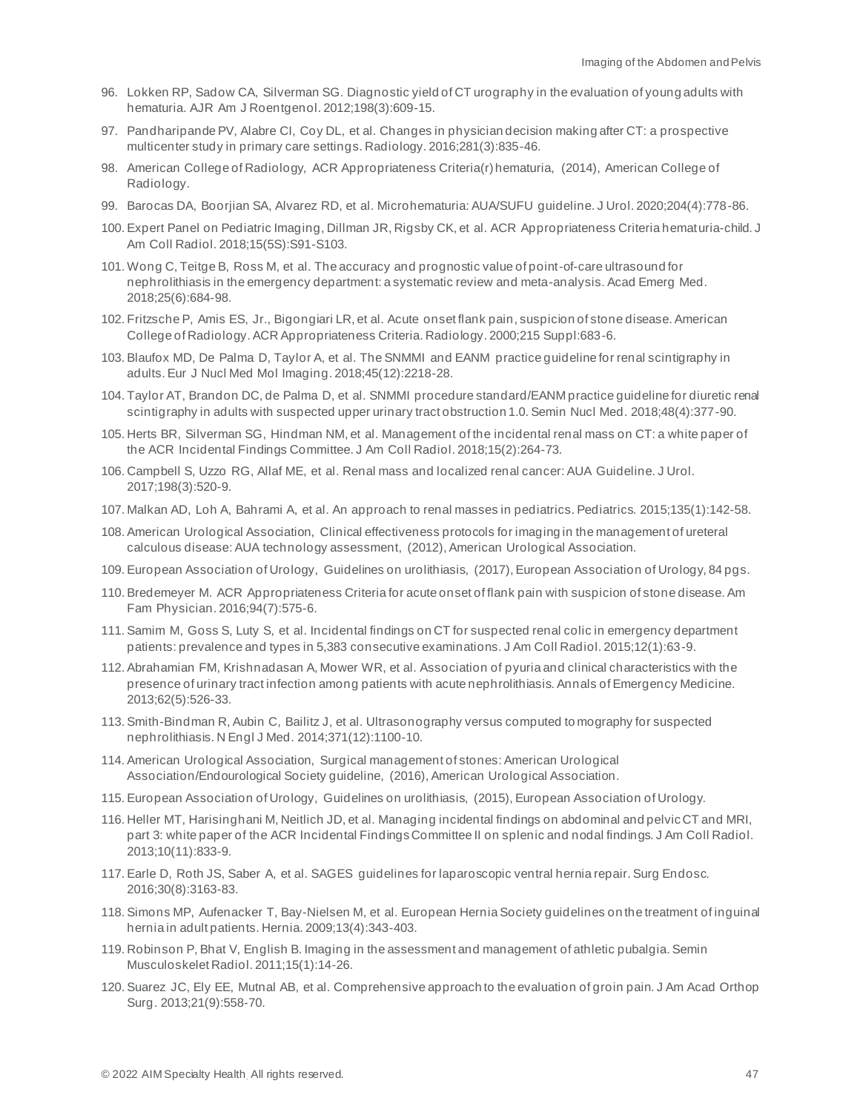- 96. Lokken RP, Sadow CA, Silverman SG. Diagnostic yield of CT urography in the evaluation of young adults with hematuria. AJR Am J Roentgenol. 2012;198(3):609-15.
- 97. Pandharipande PV, Alabre CI, Coy DL, et al. Changes in physician decision making after CT: a prospective multicenter study in primary care settings. Radiology. 2016;281(3):835-46.
- 98. American College of Radiology, ACR Appropriateness Criteria(r) hematuria, (2014), American College of Radiology.
- 99. Barocas DA, Boorjian SA, Alvarez RD, et al. Microhematuria: AUA/SUFU guideline. J Urol. 2020;204(4):778-86.
- 100. Expert Panel on Pediatric Imaging, Dillman JR, Rigsby CK, et al. ACR Appropriateness Criteria hematuria-child. J Am Coll Radiol. 2018;15(5S):S91-S103.
- 101. Wong C, Teitge B, Ross M, et al. The accuracy and prognostic value of point-of-care ultrasound for nephrolithiasis in the emergency department: a systematic review and meta-analysis. Acad Emerg Med. 2018;25(6):684-98.
- 102. Fritzsche P, Amis ES, Jr., Bigongiari LR, et al. Acute onset flank pain, suspicion of stone disease. American College of Radiology. ACR Appropriateness Criteria. Radiology. 2000;215 Suppl:683-6.
- 103. Blaufox MD, De Palma D, Taylor A, et al. The SNMMI and EANM practice guideline for renal scintigraphy in adults. Eur J Nucl Med Mol Imaging. 2018;45(12):2218-28.
- 104. Taylor AT, Brandon DC, de Palma D, et al. SNMMI procedure standard/EANM practice guideline for diuretic renal scintigraphy in adults with suspected upper urinary tract obstruction 1.0. Semin Nucl Med. 2018;48(4):377-90.
- 105. Herts BR, Silverman SG, Hindman NM, et al. Management of the incidental renal mass on CT: a white paper of the ACR Incidental Findings Committee. J Am Coll Radiol. 2018;15(2):264-73.
- 106. Campbell S, Uzzo RG, Allaf ME, et al. Renal mass and localized renal cancer: AUA Guideline. J Urol. 2017;198(3):520-9.
- 107. Malkan AD, Loh A, Bahrami A, et al. An approach to renal masses in pediatrics. Pediatrics. 2015;135(1):142-58.
- 108. American Urological Association, Clinical effectiveness protocols for imaging in the management of ureteral calculous disease: AUA technology assessment, (2012), American Urological Association.
- 109. European Association of Urology, Guidelines on urolithiasis, (2017), European Association of Urology, 84 pgs.
- 110. Bredemeyer M. ACR Appropriateness Criteria for acute onset of flank pain with suspicion of stone disease. Am Fam Physician. 2016;94(7):575-6.
- 111. Samim M, Goss S, Luty S, et al. Incidental findings on CT for suspected renal colic in emergency department patients: prevalence and types in 5,383 consecutive examinations. J Am Coll Radiol. 2015;12(1):63-9.
- 112. Abrahamian FM, Krishnadasan A, Mower WR, et al. Association of pyuria and clinical characteristics with the presence of urinary tract infection among patients with acute nephrolithiasis. Annals of Emergency Medicine. 2013;62(5):526-33.
- 113. Smith-Bindman R, Aubin C, Bailitz J, et al. Ultrasonography versus computed to mography for suspected nephrolithiasis. N Engl J Med. 2014;371(12):1100-10.
- 114. American Urological Association, Surgical management of stones: American Urological Association/Endourological Society guideline, (2016), American Urological Association.
- 115. European Association of Urology, Guidelines on urolithiasis, (2015), European Association of Urology.
- 116. Heller MT, Harisinghani M, Neitlich JD, et al. Managing incidental findings on abdominal and pelvic CT and MRI, part 3: white paper of the ACR Incidental Findings Committee II on splenic and nodal findings. J Am Coll Radiol. 2013;10(11):833-9.
- 117. Earle D, Roth JS, Saber A, et al. SAGES guidelines for laparoscopic ventral hernia repair. Surg Endosc. 2016;30(8):3163-83.
- 118. Simons MP, Aufenacker T, Bay-Nielsen M, et al. European Hernia Society guidelines on the treatment of inguinal hernia in adult patients. Hernia. 2009;13(4):343-403.
- 119. Robinson P, Bhat V, English B. Imaging in the assessment and management of athletic pubalgia. Semin Musculoskelet Radiol. 2011;15(1):14-26.
- 120. Suarez JC, Ely EE, Mutnal AB, et al. Comprehensive approach to the evaluation of groin pain. J Am Acad Orthop Surg. 2013;21(9):558-70.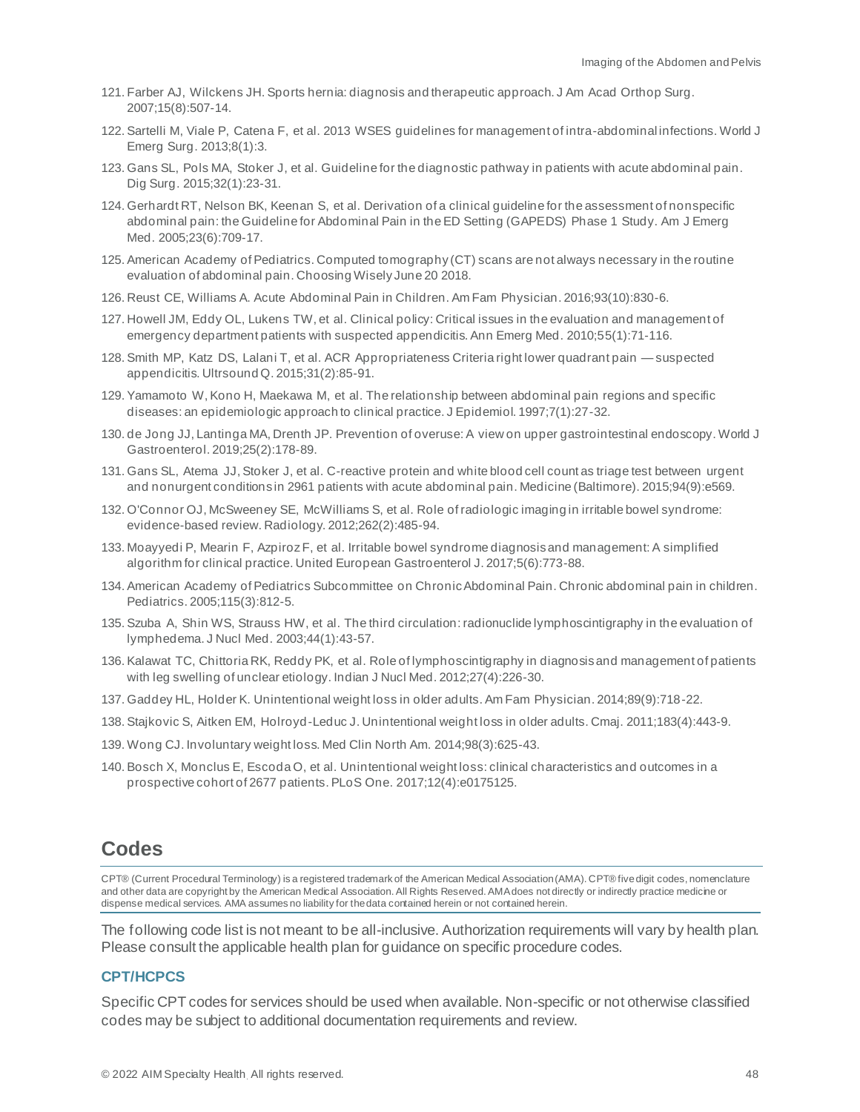- 121. Farber AJ, Wilckens JH. Sports hernia: diagnosis and therapeutic approach. J Am Acad Orthop Surg. 2007;15(8):507-14.
- 122. Sartelli M, Viale P, Catena F, et al. 2013 WSES guidelines for management of intra-abdominal infections. World J Emerg Surg. 2013;8(1):3.
- 123. Gans SL, Pols MA, Stoker J, et al. Guideline for the diagnostic pathway in patients with acute abdominal pain. Dig Surg. 2015;32(1):23-31.
- 124. Gerhardt RT, Nelson BK, Keenan S, et al. Derivation of a clinical guideline for the assessment of nonspecific abdominal pain: the Guideline for Abdominal Pain in the ED Setting (GAPEDS) Phase 1 Study. Am J Emerg Med. 2005;23(6):709-17.
- 125. American Academy of Pediatrics. Computed tomography (CT) scans are not always necessary in the routine evaluation of abdominal pain. Choosing Wisely June 20 2018.
- 126. Reust CE, Williams A. Acute Abdominal Pain in Children. Am Fam Physician. 2016;93(10):830-6.
- 127. Howell JM, Eddy OL, Lukens TW, et al. Clinical policy: Critical issues in the evaluation and management of emergency department patients with suspected appendicitis. Ann Emerg Med. 2010;55(1):71-116.
- 128. Smith MP, Katz DS, Lalani T, et al. ACR Appropriateness Criteria right lower quadrant pain suspected appendicitis. Ultrsound Q. 2015;31(2):85-91.
- 129. Yamamoto W, Kono H, Maekawa M, et al. The relationship between abdominal pain regions and specific diseases: an epidemiologic approach to clinical practice. J Epidemiol. 1997;7(1):27-32.
- 130. de Jong JJ, Lantinga MA, Drenth JP. Prevention of overuse: A view on upper gastrointestinal endoscopy. World J Gastroenterol. 2019;25(2):178-89.
- 131. Gans SL, Atema JJ, Stoker J, et al. C-reactive protein and white blood cell count as triage test between urgent and nonurgent conditions in 2961 patients with acute abdominal pain. Medicine (Baltimore). 2015;94(9):e569.
- 132. O'Connor OJ, McSweeney SE, McWilliams S, et al. Role of radiologic imaging in irritable bowel syndrome: evidence-based review. Radiology. 2012;262(2):485-94.
- 133. Moayyedi P, Mearin F, Azpiroz F, et al. Irritable bowel syndrome diagnosis and management: A simplified algorithm for clinical practice. United European Gastroenterol J. 2017;5(6):773-88.
- 134. American Academy of Pediatrics Subcommittee on Chronic Abdominal Pain. Chronic abdominal pain in children. Pediatrics. 2005;115(3):812-5.
- 135. Szuba A, Shin WS, Strauss HW, et al. The third circulation: radionuclide lymphoscintigraphy in the evaluation of lymphedema. J Nucl Med. 2003;44(1):43-57.
- 136. Kalawat TC, Chittoria RK, Reddy PK, et al. Role of lymphoscintigraphy in diagnosis and management of patients with leg swelling of unclear etiology. Indian J Nucl Med. 2012;27(4):226-30.
- 137. Gaddey HL, Holder K. Unintentional weight loss in older adults. Am Fam Physician. 2014;89(9):718-22.
- 138. Stajkovic S, Aitken EM, Holroyd-Leduc J. Unintentional weight loss in older adults. Cmaj. 2011;183(4):443-9.
- 139. Wong CJ. Involuntary weight loss. Med Clin North Am. 2014;98(3):625-43.
- 140. Bosch X, Monclus E, Escoda O, et al. Unintentional weight loss: clinical characteristics and outcomes in a prospective cohort of 2677 patients. PLoS One. 2017;12(4):e0175125.

# <span id="page-47-0"></span>**Codes**

CPT® (Current Procedural Terminology) is a registered trademark of the American Medical Association (AMA). CPT® five digit codes, nomenclature and other data are copyright by the American Medical Association. All Rights Reserved. AMA does not directly or indirectly practice medicine or dispense medical services. AMA assumes no liability for the data contained herein or not contained herein.

The following code list is not meant to be all-inclusive. Authorization requirements will vary by health plan. Please consult the applicable health plan for guidance on specific procedure codes.

#### **CPT/HCPCS**

Specific CPT codes for services should be used when available. Non-specific or not otherwise classified codes may be subject to additional documentation requirements and review.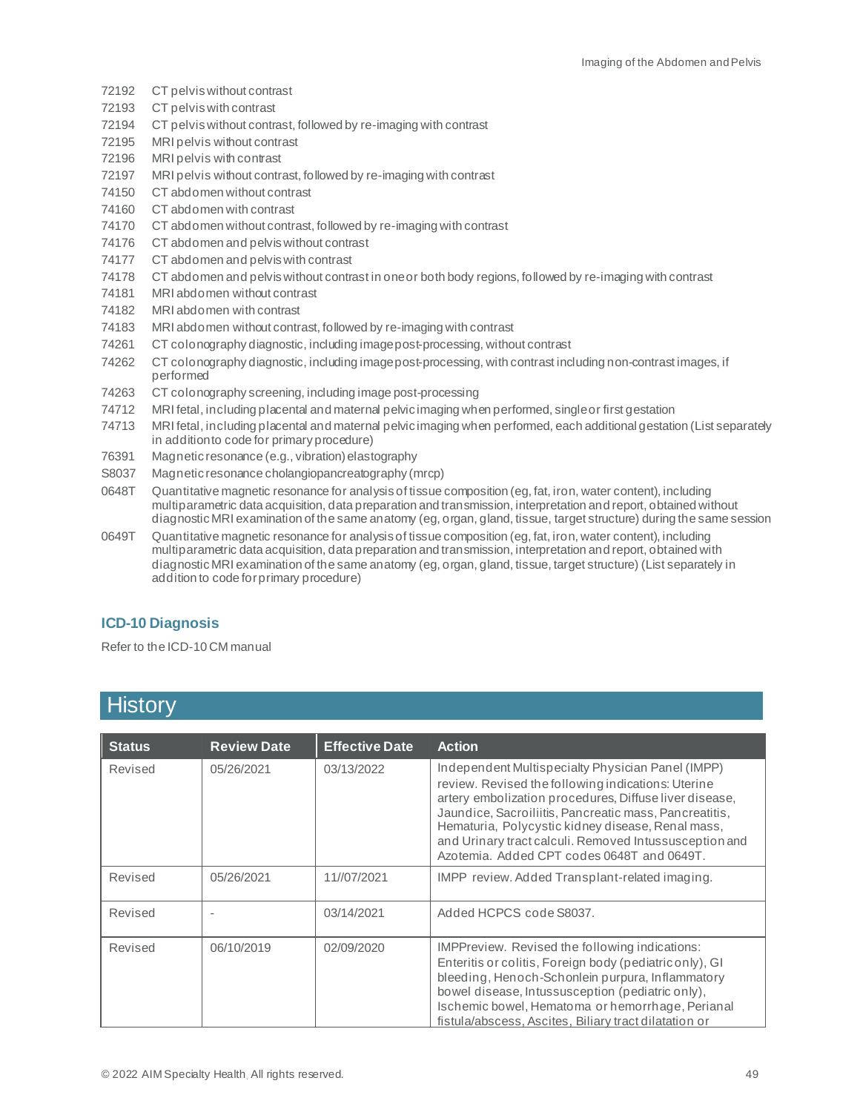- 72192 CT pelvis without contrast
- 72193 CT pelvis with contrast
- 72194 CT pelvis without contrast, followed by re-imaging with contrast
- 72195 MRI pelvis without contrast
- 72196 MRI pelvis with contrast
- 72197 MRI pelvis without contrast, followed by re-imaging with contrast
- 74150 CT abdomen without contrast
- 74160 CT abdomen with contrast
- 74170 CT abdomen without contrast, followed by re-imaging with contrast
- 74176 CT abdomen and pelviswithout contrast
- 74177 CT abdomen and pelviswith contrast
- 74178 CT abdomen and pelviswithout contrast in one or both body regions, followed by re-imaging with contrast
- 74181 MRI abdomen without contrast
- 74182 MRI abdomen with contrast
- 74183 MRI abdomen without contrast, followed by re-imaging with contrast
- 74261 CT colonography diagnostic, including image post-processing, without contrast
- 74262 CT colonography diagnostic, including image post-processing, with contrast including non-contrast images, if performed
- 74263 CT colonography screening, including image post-processing
- 74712 MRI fetal, including placental and maternal pelvic imaging when performed, single or first gestation
- 74713 MRI fetal, including placental and maternal pelvic imaging when performed, each additional gestation (List separately in addition to code for primary procedure)
- 76391 Magnetic resonance (e.g., vibration) elastography
- S8037 Magnetic resonance cholangiopancreatography (mrcp)
- 0648T Quantitative magnetic resonance for analysis of tissue composition (eg, fat, iron, water content), including multiparametric data acquisition, data preparation and transmission, interpretation and report, obtained without diagnostic MRI examination of the same anatomy (eg, organ, gland, tissue, target structure) during the same session
- 0649T Quantitative magnetic resonance for analysis of tissue composition (eg, fat, iron, water content), including multiparametric data acquisition, data preparation and transmission, interpretation and report, obtained with diagnostic MRI examination of the same anatomy (eg, organ, gland, tissue, target structure) (List separately in addition to code for primary procedure)

#### **ICD-10 Diagnosis**

Refer to the ICD-10 CM manual

# <span id="page-48-0"></span>**History**

| <b>Status</b> | <b>Review Date</b> | <b>Effective Date</b> | <b>Action</b>                                                                                                                                                                                                                                                                                                                                                                            |
|---------------|--------------------|-----------------------|------------------------------------------------------------------------------------------------------------------------------------------------------------------------------------------------------------------------------------------------------------------------------------------------------------------------------------------------------------------------------------------|
| Revised       | 05/26/2021         | 03/13/2022            | Independent Multispecialty Physician Panel (IMPP)<br>review. Revised the following indications: Uterine<br>artery embolization procedures, Diffuse liver disease,<br>Jaundice, Sacroiliitis, Pancreatic mass, Pancreatitis,<br>Hematuria, Polycystic kidney disease, Renal mass,<br>and Urinary tract calculi. Removed Intussusception and<br>Azotemia. Added CPT codes 0648T and 0649T. |
| Revised       | 05/26/2021         | 11//07/2021           | IMPP review. Added Transplant-related imaging.                                                                                                                                                                                                                                                                                                                                           |
| Revised       |                    | 03/14/2021            | Added HCPCS code S8037.                                                                                                                                                                                                                                                                                                                                                                  |
| Revised       | 06/10/2019         | 02/09/2020            | IMPPreview. Revised the following indications:<br>Enteritis or colitis, Foreign body (pediatric only), GI<br>bleeding, Henoch-Schonlein purpura, Inflammatory<br>bowel disease, Intussusception (pediatric only),<br>Ischemic bowel, Hematoma or hemorrhage, Perianal<br>fistula/abscess, Ascites, Biliary tract dilatation or                                                           |